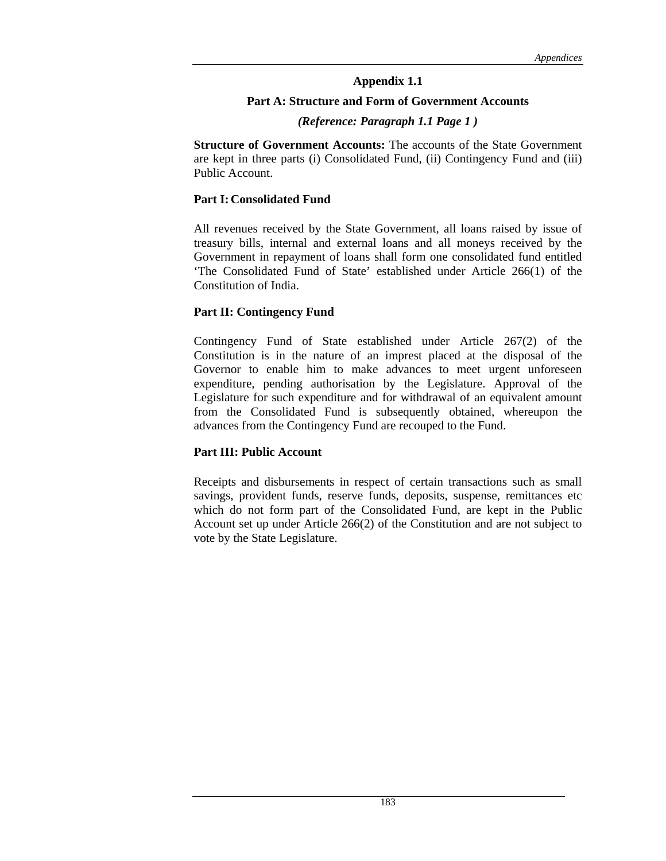### **Part A: Structure and Form of Government Accounts**

### *(Reference: Paragraph 1.1 Page 1 )*

**Structure of Government Accounts:** The accounts of the State Government are kept in three parts (i) Consolidated Fund, (ii) Contingency Fund and (iii) Public Account.

### **Part I: Consolidated Fund**

All revenues received by the State Government, all loans raised by issue of treasury bills, internal and external loans and all moneys received by the Government in repayment of loans shall form one consolidated fund entitled 'The Consolidated Fund of State' established under Article 266(1) of the Constitution of India.

### **Part II: Contingency Fund**

Contingency Fund of State established under Article 267(2) of the Constitution is in the nature of an imprest placed at the disposal of the Governor to enable him to make advances to meet urgent unforeseen expenditure, pending authorisation by the Legislature. Approval of the Legislature for such expenditure and for withdrawal of an equivalent amount from the Consolidated Fund is subsequently obtained, whereupon the advances from the Contingency Fund are recouped to the Fund.

### **Part III: Public Account**

Receipts and disbursements in respect of certain transactions such as small savings, provident funds, reserve funds, deposits, suspense, remittances etc which do not form part of the Consolidated Fund, are kept in the Public Account set up under Article 266(2) of the Constitution and are not subject to vote by the State Legislature.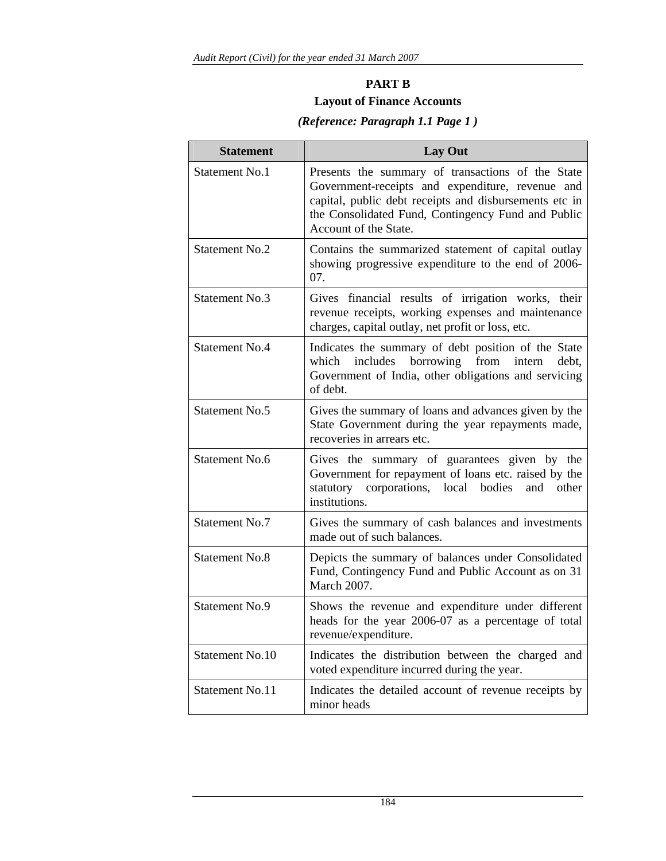# **PART B Layout of Finance Accounts**

# **Statement Lay Out**  Statement No.1 | Presents the summary of transactions of the State Government-receipts and expenditure, revenue and capital, public debt receipts and disbursements etc in the Consolidated Fund, Contingency Fund and Public Account of the State. Statement No.2 Contains the summarized statement of capital outlay showing progressive expenditure to the end of 2006- 07. Statement No.3 Gives financial results of irrigation works, their revenue receipts, working expenses and maintenance charges, capital outlay, net profit or loss, etc. Statement No.4 Indicates the summary of debt position of the State which includes borrowing from intern debt, Government of India, other obligations and servicing of debt. Statement No.5 Gives the summary of loans and advances given by the State Government during the year repayments made, recoveries in arrears etc. Statement No.6 Gives the summary of guarantees given by the Government for repayment of loans etc. raised by the statutory corporations, local bodies and other institutions. Statement No.7 Gives the summary of cash balances and investments made out of such balances. Statement No.8 Depicts the summary of balances under Consolidated Fund, Contingency Fund and Public Account as on 31 March 2007. Statement No.9 Shows the revenue and expenditure under different heads for the year 2006-07 as a percentage of total revenue/expenditure. Statement No.10 | Indicates the distribution between the charged and voted expenditure incurred during the year. Statement No.11 Indicates the detailed account of revenue receipts by minor heads

# *(Reference: Paragraph 1.1 Page 1 )*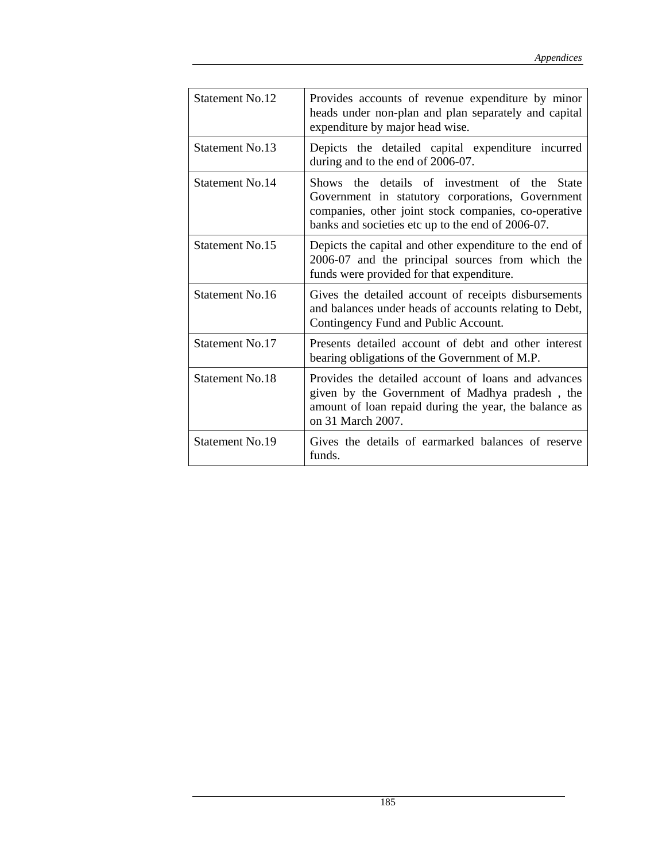| Statement No.12 | Provides accounts of revenue expenditure by minor<br>heads under non-plan and plan separately and capital<br>expenditure by major head wise.                                                                            |
|-----------------|-------------------------------------------------------------------------------------------------------------------------------------------------------------------------------------------------------------------------|
| Statement No.13 | Depicts the detailed capital expenditure incurred<br>during and to the end of 2006-07.                                                                                                                                  |
| Statement No.14 | Shows the details of investment of the<br><b>State</b><br>Government in statutory corporations, Government<br>companies, other joint stock companies, co-operative<br>banks and societies etc up to the end of 2006-07. |
| Statement No.15 | Depicts the capital and other expenditure to the end of<br>2006-07 and the principal sources from which the<br>funds were provided for that expenditure.                                                                |
| Statement No.16 | Gives the detailed account of receipts disbursements<br>and balances under heads of accounts relating to Debt,<br>Contingency Fund and Public Account.                                                                  |
| Statement No.17 | Presents detailed account of debt and other interest<br>bearing obligations of the Government of M.P.                                                                                                                   |
| Statement No.18 | Provides the detailed account of loans and advances<br>given by the Government of Madhya pradesh, the<br>amount of loan repaid during the year, the balance as<br>on 31 March 2007.                                     |
| Statement No.19 | Gives the details of earmarked balances of reserve<br>funds.                                                                                                                                                            |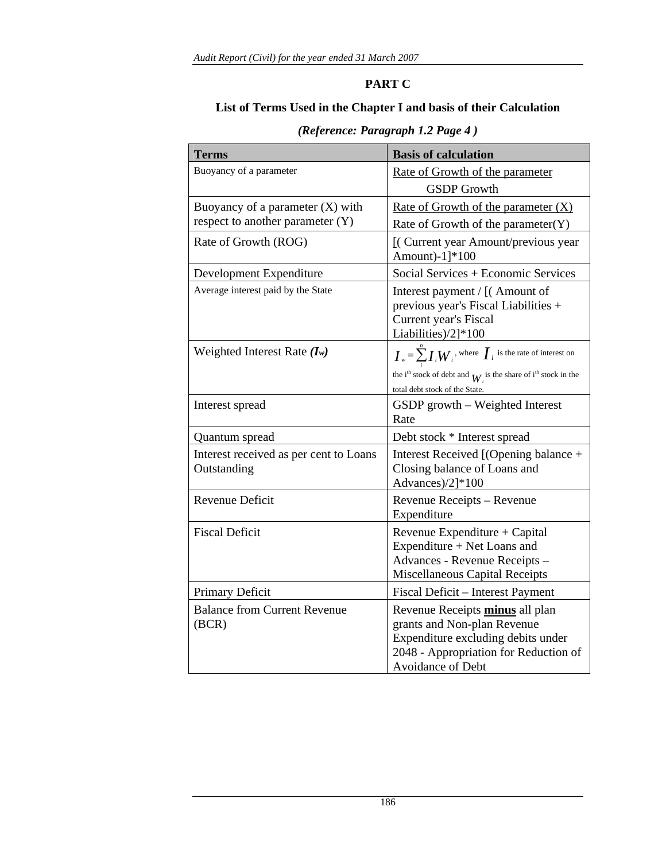# **PART C**

## **List of Terms Used in the Chapter I and basis of their Calculation**

| <b>Terms</b>                                                           | <b>Basis of calculation</b>                                                                                                                                                                                                                                       |
|------------------------------------------------------------------------|-------------------------------------------------------------------------------------------------------------------------------------------------------------------------------------------------------------------------------------------------------------------|
| Buoyancy of a parameter                                                | Rate of Growth of the parameter<br><b>GSDP</b> Growth                                                                                                                                                                                                             |
| Buoyancy of a parameter $(X)$ with<br>respect to another parameter (Y) | Rate of Growth of the parameter $(X)$<br>Rate of Growth of the parameter $(Y)$                                                                                                                                                                                    |
| Rate of Growth (ROG)                                                   | [(Current year Amount/previous year<br>Amount)-1]*100                                                                                                                                                                                                             |
| Development Expenditure                                                | Social Services + Economic Services                                                                                                                                                                                                                               |
| Average interest paid by the State                                     | Interest payment / [(Amount of<br>previous year's Fiscal Liabilities +<br>Current year's Fiscal<br>Liabilities)/2]*100                                                                                                                                            |
| Weighted Interest Rate $(I_w)$                                         | $\boldsymbol{I}_{w} = \sum_{i=1}^{n} \boldsymbol{I}_{i} \boldsymbol{W}_{i}$ , where $\boldsymbol{I}_{i}$ is the rate of interest on<br>the i <sup>th</sup> stock of debt and $W_i$ is the share of i <sup>th</sup> stock in the<br>total debt stock of the State. |
| Interest spread                                                        | GSDP growth - Weighted Interest<br>Rate                                                                                                                                                                                                                           |
| Quantum spread                                                         | Debt stock * Interest spread                                                                                                                                                                                                                                      |
| Interest received as per cent to Loans<br>Outstanding                  | Interest Received [(Opening balance +<br>Closing balance of Loans and<br>Advances)/2]*100                                                                                                                                                                         |
| Revenue Deficit                                                        | Revenue Receipts - Revenue<br>Expenditure                                                                                                                                                                                                                         |
| <b>Fiscal Deficit</b>                                                  | Revenue Expenditure + Capital<br>Expenditure + Net Loans and<br>Advances - Revenue Receipts -<br>Miscellaneous Capital Receipts                                                                                                                                   |
| Primary Deficit                                                        | Fiscal Deficit - Interest Payment                                                                                                                                                                                                                                 |
| <b>Balance from Current Revenue</b><br>(BCR)                           | Revenue Receipts minus all plan<br>grants and Non-plan Revenue<br>Expenditure excluding debits under<br>2048 - Appropriation for Reduction of<br>Avoidance of Debt                                                                                                |

# *(Reference: Paragraph 1.2 Page 4 )*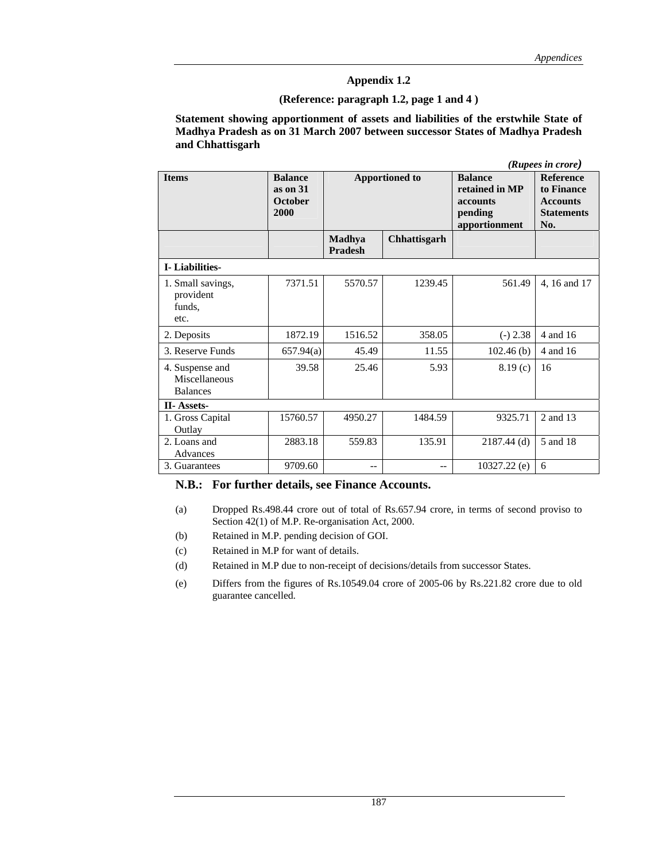### **(Reference: paragraph 1.2, page 1 and 4 )**

**Statement showing apportionment of assets and liabilities of the erstwhile State of Madhya Pradesh as on 31 March 2007 between successor States of Madhya Pradesh and Chhattisgarh** 

|                                                     |                                                      |                          |                       |                                                                          | (Rupees in crore)                                                             |
|-----------------------------------------------------|------------------------------------------------------|--------------------------|-----------------------|--------------------------------------------------------------------------|-------------------------------------------------------------------------------|
| <b>Items</b>                                        | <b>Balance</b><br>as on 31<br><b>October</b><br>2000 |                          | <b>Apportioned to</b> | <b>Balance</b><br>retained in MP<br>accounts<br>pending<br>apportionment | <b>Reference</b><br>to Finance<br><b>Accounts</b><br><b>Statements</b><br>No. |
|                                                     |                                                      | Madhya<br><b>Pradesh</b> | Chhattisgarh          |                                                                          |                                                                               |
| <b>I</b> -Liabilities-                              |                                                      |                          |                       |                                                                          |                                                                               |
| 1. Small savings,<br>provident<br>funds,<br>etc.    | 7371.51                                              | 5570.57                  | 1239.45               | 561.49                                                                   | 4, 16 and 17                                                                  |
| 2. Deposits                                         | 1872.19                                              | 1516.52                  | 358.05                | $(-) 2.38$                                                               | 4 and 16                                                                      |
| 3. Reserve Funds                                    | 657.94(a)                                            | 45.49                    | 11.55                 | 102.46(b)                                                                | 4 and 16                                                                      |
| 4. Suspense and<br>Miscellaneous<br><b>Balances</b> | 39.58                                                | 25.46                    | 5.93                  | 8.19(c)                                                                  | 16                                                                            |
| <b>II-Assets-</b>                                   |                                                      |                          |                       |                                                                          |                                                                               |
| 1. Gross Capital<br>Outlay                          | 15760.57                                             | 4950.27                  | 1484.59               | 9325.71                                                                  | 2 and 13                                                                      |
| 2. Loans and<br>Advances                            | 2883.18                                              | 559.83                   | 135.91                | $2187.44$ (d)                                                            | 5 and 18                                                                      |
| 3. Guarantees                                       | 9709.60                                              | $-$                      | $- -$                 | $10327.22$ (e)                                                           | 6                                                                             |

#### **N.B.: For further details, see Finance Accounts.**

- (a) Dropped Rs.498.44 crore out of total of Rs.657.94 crore, in terms of second proviso to Section 42(1) of M.P. Re-organisation Act, 2000.
- (b) Retained in M.P. pending decision of GOI.
- (c) Retained in M.P for want of details.
- (d) Retained in M.P due to non-receipt of decisions/details from successor States.
- (e) Differs from the figures of Rs.10549.04 crore of 2005-06 by Rs.221.82 crore due to old guarantee cancelled.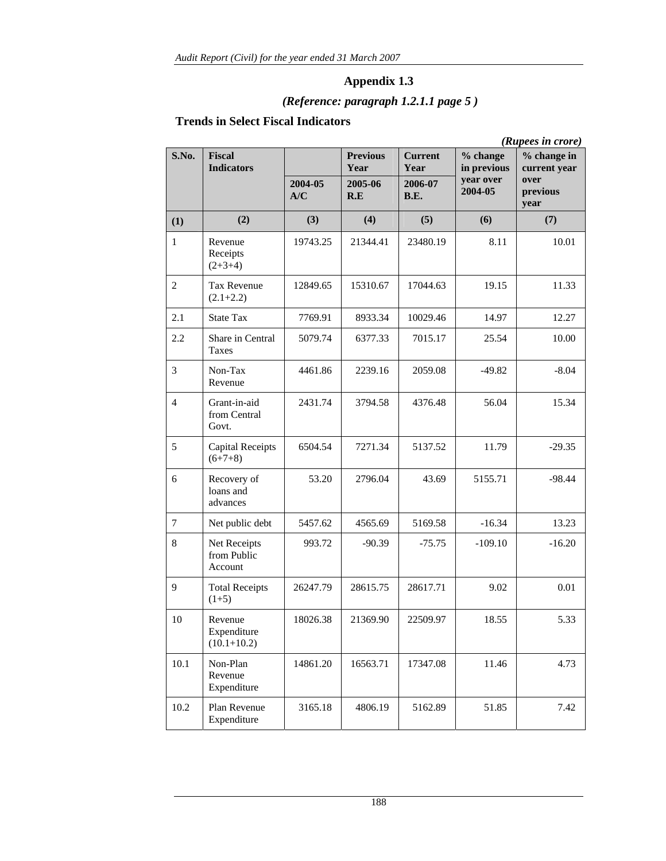# *(Reference: paragraph 1.2.1.1 page 5 )*

# **Trends in Select Fiscal Indicators**

|                          |                                           |          |                                    |                                   |                                      | (Rupees in crore)                   |
|--------------------------|-------------------------------------------|----------|------------------------------------|-----------------------------------|--------------------------------------|-------------------------------------|
| S.No.                    | <b>Fiscal</b><br><b>Indicators</b>        | 2004-05  | <b>Previous</b><br>Year<br>2005-06 | <b>Current</b><br>Year<br>2006-07 | % change<br>in previous<br>year over | % change in<br>current year<br>over |
|                          |                                           | A/C      | R.E                                | <b>B.E.</b>                       | 2004-05                              | previous<br>year                    |
| (1)                      | (2)                                       | (3)      | (4)                                | (5)                               | (6)                                  | (7)                                 |
| $\mathbf{1}$             | Revenue<br>Receipts<br>$(2+3+4)$          | 19743.25 | 21344.41                           | 23480.19                          | 8.11                                 | 10.01                               |
| $\overline{c}$           | <b>Tax Revenue</b><br>$(2.1+2.2)$         | 12849.65 | 15310.67                           | 17044.63                          | 19.15                                | 11.33                               |
| 2.1                      | <b>State Tax</b>                          | 7769.91  | 8933.34                            | 10029.46                          | 14.97                                | 12.27                               |
| 2.2                      | Share in Central<br><b>Taxes</b>          | 5079.74  | 6377.33                            | 7015.17                           | 25.54                                | 10.00                               |
| 3                        | Non-Tax<br>Revenue                        | 4461.86  | 2239.16                            | 2059.08                           | $-49.82$                             | $-8.04$                             |
| $\overline{\mathcal{A}}$ | Grant-in-aid<br>from Central<br>Govt.     | 2431.74  | 3794.58                            | 4376.48                           | 56.04                                | 15.34                               |
| 5                        | <b>Capital Receipts</b><br>$(6+7+8)$      | 6504.54  | 7271.34                            | 5137.52                           | 11.79                                | $-29.35$                            |
| 6                        | Recovery of<br>loans and<br>advances      | 53.20    | 2796.04                            | 43.69                             | 5155.71                              | $-98.44$                            |
| $\boldsymbol{7}$         | Net public debt                           | 5457.62  | 4565.69                            | 5169.58                           | $-16.34$                             | 13.23                               |
| 8                        | Net Receipts<br>from Public<br>Account    | 993.72   | $-90.39$                           | $-75.75$                          | $-109.10$                            | $-16.20$                            |
| 9                        | <b>Total Receipts</b><br>$(1+5)$          | 26247.79 | 28615.75                           | 28617.71                          | 9.02                                 | 0.01                                |
| 10                       | Revenue<br>Expenditure<br>$(10.1 + 10.2)$ | 18026.38 | 21369.90                           | 22509.97                          | 18.55                                | 5.33                                |
| 10.1                     | Non-Plan<br>Revenue<br>Expenditure        | 14861.20 | 16563.71                           | 17347.08                          | 11.46                                | 4.73                                |
| 10.2                     | Plan Revenue<br>Expenditure               | 3165.18  | 4806.19                            | 5162.89                           | 51.85                                | 7.42                                |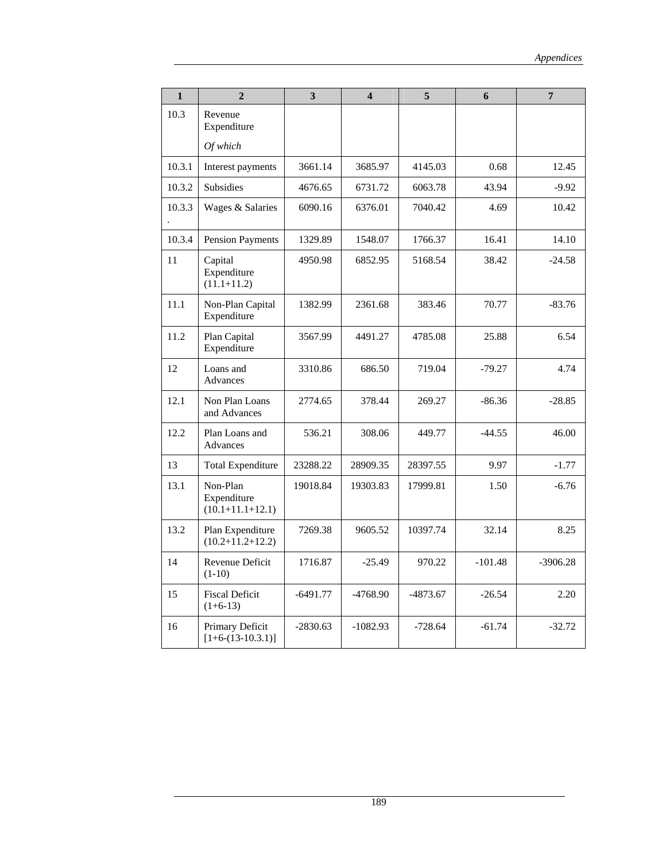| $\mathbf{1}$ | $\overline{2}$                                    | 3                  | $\overline{\mathbf{4}}$ | $\overline{5}$ | 6         | $\overline{7}$ |
|--------------|---------------------------------------------------|--------------------|-------------------------|----------------|-----------|----------------|
| 10.3         | Revenue<br>Expenditure                            |                    |                         |                |           |                |
|              | Of which                                          |                    |                         |                |           |                |
| 10.3.1       | Interest payments                                 | 3661.14            | 3685.97                 | 4145.03        | 0.68      | 12.45          |
| 10.3.2       | Subsidies                                         | 4676.65            | 6731.72                 | 6063.78        | 43.94     | $-9.92$        |
| 10.3.3       | Wages & Salaries                                  | 6090.16            | 6376.01                 | 7040.42        | 4.69      | 10.42          |
| 10.3.4       | <b>Pension Payments</b>                           | 1329.89            | 1548.07                 | 1766.37        | 16.41     | 14.10          |
| 11           | Capital<br>Expenditure<br>$(11.1 + 11.2)$         | 4950.98            | 6852.95                 | 5168.54        | 38.42     | $-24.58$       |
| 11.1         | Non-Plan Capital<br>Expenditure                   | 1382.99            | 2361.68                 | 383.46         | 70.77     | $-83.76$       |
| 11.2         | Plan Capital<br>Expenditure                       | 3567.99            | 4491.27                 | 4785.08        | 25.88     | 6.54           |
| 12           | Loans and<br>Advances                             | 3310.86            | 686.50                  | 719.04         | $-79.27$  | 4.74           |
| 12.1         | Non Plan Loans<br>and Advances                    | 2774.65            | 378.44                  | 269.27         | $-86.36$  | $-28.85$       |
| 12.2         | Plan Loans and<br>Advances                        | 536.21             | 308.06                  | 449.77         | $-44.55$  | 46.00          |
| 13           | <b>Total Expenditure</b>                          | 23288.22           | 28909.35                | 28397.55       | 9.97      | $-1.77$        |
| 13.1         | Non-Plan<br>Expenditure<br>$(10.1 + 11.1 + 12.1)$ | 19018.84           | 19303.83                | 17999.81       | 1.50      | $-6.76$        |
| 13.2         | Plan Expenditure<br>$(10.2+11.2+12.2)$            | 7269.38<br>9605.52 |                         | 10397.74       | 32.14     | 8.25           |
| 14           | Revenue Deficit<br>$(1-10)$                       | 1716.87            | $-25.49$                | 970.22         | $-101.48$ | $-3906.28$     |
| 15           | <b>Fiscal Deficit</b><br>$(1+6-13)$               | $-6491.77$         | $-4768.90$              | $-4873.67$     | $-26.54$  | 2.20           |
| 16           | Primary Deficit<br>$[1+6-(13-10.3.1)]$            | $-2830.63$         | $-1082.93$              | $-728.64$      | $-61.74$  | $-32.72$       |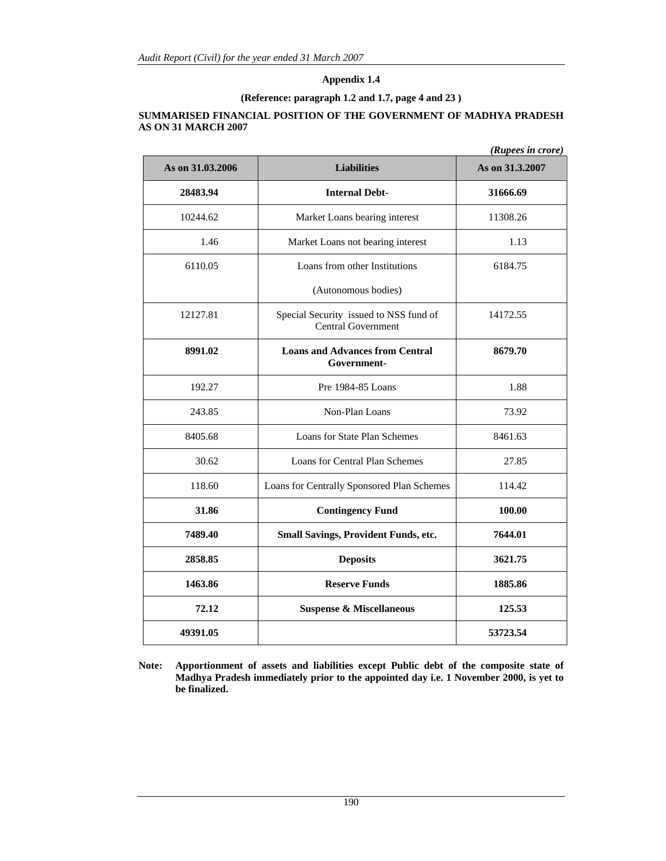### **(Reference: paragraph 1.2 and 1.7, page 4 and 23 )**

#### **SUMMARISED FINANCIAL POSITION OF THE GOVERNMENT OF MADHYA PRADESH AS ON 31 MARCH 2007**

|                  |                                                                     | (Rupees in crore) |
|------------------|---------------------------------------------------------------------|-------------------|
| As on 31.03.2006 | <b>Liabilities</b>                                                  | As on 31.3.2007   |
| 28483.94         | <b>Internal Debt-</b>                                               | 31666.69          |
| 10244.62         | Market Loans bearing interest                                       | 11308.26          |
| 1.46             | Market Loans not bearing interest                                   | 1.13              |
| 6110.05          | Loans from other Institutions                                       | 6184.75           |
|                  | (Autonomous bodies)                                                 |                   |
| 12127.81         | Special Security issued to NSS fund of<br><b>Central Government</b> | 14172.55          |
| 8991.02          | <b>Loans and Advances from Central</b><br>Government-               | 8679.70           |
| 192.27           | Pre 1984-85 Loans                                                   | 1.88              |
| 243.85           | Non-Plan Loans                                                      | 73.92             |
| 8405.68          | Loans for State Plan Schemes                                        | 8461.63           |
| 30.62            | Loans for Central Plan Schemes                                      | 27.85             |
| 118.60           | Loans for Centrally Sponsored Plan Schemes                          | 114.42            |
| 31.86            | <b>Contingency Fund</b>                                             | 100.00            |
| 7489.40          | Small Savings, Provident Funds, etc.                                | 7644.01           |
| 2858.85          | <b>Deposits</b>                                                     | 3621.75           |
| 1463.86          | <b>Reserve Funds</b>                                                | 1885.86           |
| 72.12            | <b>Suspense &amp; Miscellaneous</b>                                 | 125.53            |
| 49391.05         |                                                                     | 53723.54          |

**Note: Apportionment of assets and liabilities except Public debt of the composite state of Madhya Pradesh immediately prior to the appointed day i.e. 1 November 2000, is yet to be finalized.**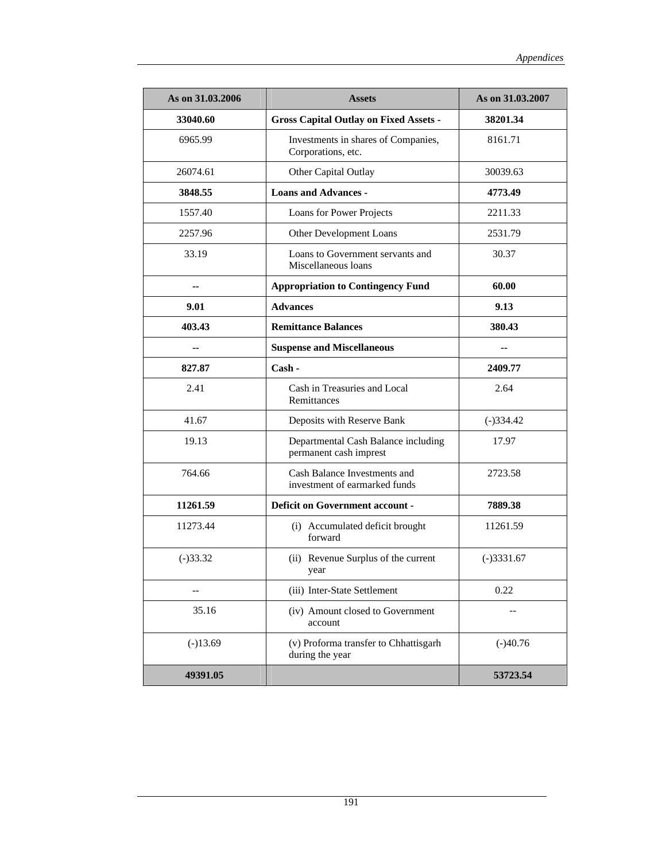| As on 31.03.2006 | <b>Assets</b>                                                 | As on 31.03.2007 |
|------------------|---------------------------------------------------------------|------------------|
| 33040.60         | <b>Gross Capital Outlay on Fixed Assets -</b>                 | 38201.34         |
| 6965.99          | Investments in shares of Companies,<br>Corporations, etc.     | 8161.71          |
| 26074.61         | Other Capital Outlay                                          | 30039.63         |
| 3848.55          | <b>Loans and Advances -</b>                                   | 4773.49          |
| 1557.40          | Loans for Power Projects                                      | 2211.33          |
| 2257.96          | Other Development Loans                                       | 2531.79          |
| 33.19            | Loans to Government servants and<br>Miscellaneous loans       | 30.37            |
| $-$              | <b>Appropriation to Contingency Fund</b>                      | 60.00            |
| 9.01             | <b>Advances</b>                                               | 9.13             |
| 403.43           | <b>Remittance Balances</b>                                    | 380.43           |
| $-$              | <b>Suspense and Miscellaneous</b>                             | --               |
| 827.87           | $Cash -$                                                      | 2409.77          |
| 2.41             | Cash in Treasuries and Local<br>Remittances                   | 2.64             |
| 41.67            | Deposits with Reserve Bank                                    | $(-)334.42$      |
| 19.13            | Departmental Cash Balance including<br>permanent cash imprest | 17.97            |
| 764.66           | Cash Balance Investments and<br>investment of earmarked funds | 2723.58          |
| 11261.59         | <b>Deficit on Government account -</b>                        | 7889.38          |
| 11273.44         | (i) Accumulated deficit brought<br>forward                    | 11261.59         |
| $(-)33.32$       | (ii) Revenue Surplus of the current<br>year                   | $(-)3331.67$     |
|                  | (iii) Inter-State Settlement                                  | 0.22             |
| 35.16            | (iv) Amount closed to Government<br>account                   |                  |
| $(-)13.69$       | (v) Proforma transfer to Chhattisgarh<br>during the year      | $(-)40.76$       |
| 49391.05         |                                                               | 53723.54         |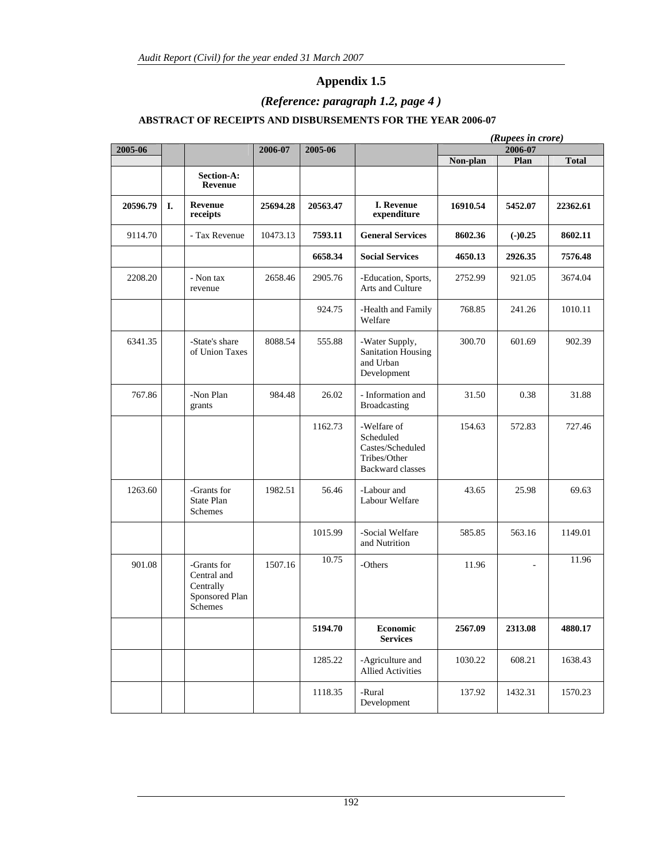# *(Reference: paragraph 1.2, page 4 )*

### **ABSTRACT OF RECEIPTS AND DISBURSEMENTS FOR THE YEAR 2006-07**

|          |    |                                                                      |          |          |                                                                                         |          | (Rupees in crore) |              |
|----------|----|----------------------------------------------------------------------|----------|----------|-----------------------------------------------------------------------------------------|----------|-------------------|--------------|
| 2005-06  |    |                                                                      | 2006-07  | 2005-06  |                                                                                         |          | 2006-07           |              |
|          |    |                                                                      |          |          |                                                                                         | Non-plan | Plan              | <b>Total</b> |
|          |    | Section-A:<br>Revenue                                                |          |          |                                                                                         |          |                   |              |
| 20596.79 | I. | Revenue<br>receipts                                                  | 25694.28 | 20563.47 | <b>I. Revenue</b><br>expenditure                                                        | 16910.54 | 5452.07           | 22362.61     |
| 9114.70  |    | - Tax Revenue                                                        | 10473.13 | 7593.11  | <b>General Services</b>                                                                 | 8602.36  | $(-)0.25$         | 8602.11      |
|          |    |                                                                      |          | 6658.34  | <b>Social Services</b>                                                                  | 4650.13  | 2926.35           | 7576.48      |
| 2208.20  |    | - Non tax<br>revenue                                                 | 2658.46  | 2905.76  | -Education, Sports,<br>Arts and Culture                                                 | 2752.99  | 921.05            | 3674.04      |
|          |    |                                                                      |          | 924.75   | -Health and Family<br>Welfare                                                           | 768.85   | 241.26            | 1010.11      |
| 6341.35  |    | -State's share<br>of Union Taxes                                     | 8088.54  | 555.88   | -Water Supply,<br>Sanitation Housing<br>and Urban<br>Development                        | 300.70   | 601.69            | 902.39       |
| 767.86   |    | -Non Plan<br>grants                                                  | 984.48   | 26.02    | - Information and<br><b>Broadcasting</b>                                                | 31.50    | 0.38              | 31.88        |
|          |    |                                                                      |          | 1162.73  | -Welfare of<br>Scheduled<br>Castes/Scheduled<br>Tribes/Other<br><b>Backward classes</b> | 154.63   | 572.83            | 727.46       |
| 1263.60  |    | -Grants for<br>State Plan<br>Schemes                                 | 1982.51  | 56.46    | -Labour and<br>Labour Welfare                                                           | 43.65    | 25.98             | 69.63        |
|          |    |                                                                      |          | 1015.99  | -Social Welfare<br>and Nutrition                                                        | 585.85   | 563.16            | 1149.01      |
| 901.08   |    | -Grants for<br>Central and<br>Centrally<br>Sponsored Plan<br>Schemes | 1507.16  | 10.75    | -Others                                                                                 | 11.96    |                   | 11.96        |
|          |    |                                                                      |          | 5194.70  | <b>Economic</b><br><b>Services</b>                                                      | 2567.09  | 2313.08           | 4880.17      |
|          |    |                                                                      |          | 1285.22  | -Agriculture and<br>Allied Activities                                                   | 1030.22  | 608.21            | 1638.43      |
|          |    |                                                                      |          | 1118.35  | -Rural<br>Development                                                                   | 137.92   | 1432.31           | 1570.23      |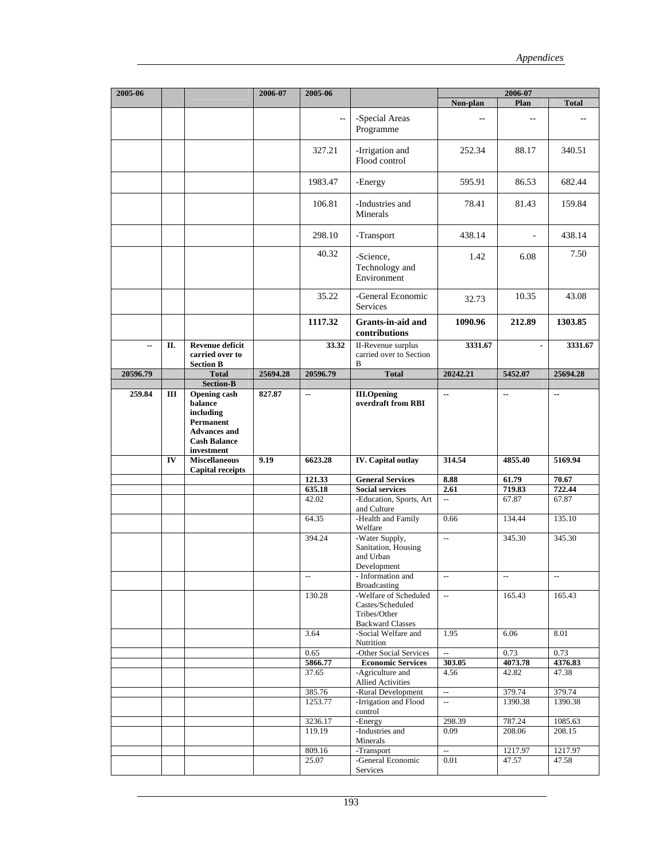| 2005-06  |     |                                                                                                                      | 2006-07  | 2005-06                  |                                                                                      |                                | 2006-07                  |                   |
|----------|-----|----------------------------------------------------------------------------------------------------------------------|----------|--------------------------|--------------------------------------------------------------------------------------|--------------------------------|--------------------------|-------------------|
|          |     |                                                                                                                      |          | Non-plan                 | Plan                                                                                 | <b>Total</b>                   |                          |                   |
|          |     |                                                                                                                      |          | $\overline{\phantom{m}}$ | -Special Areas<br>Programme                                                          |                                | $-$                      |                   |
|          |     |                                                                                                                      |          | 327.21                   | -Irrigation and<br>Flood control                                                     | 252.34                         | 88.17                    | 340.51            |
|          |     |                                                                                                                      |          | 1983.47                  | -Energy                                                                              | 595.91                         | 86.53                    | 682.44            |
|          |     |                                                                                                                      |          | 106.81                   | -Industries and<br>Minerals                                                          | 78.41                          | 81.43                    | 159.84            |
|          |     |                                                                                                                      |          | 298.10                   | -Transport                                                                           | 438.14                         | ÷,                       | 438.14            |
|          |     |                                                                                                                      |          | 40.32                    | -Science,<br>Technology and<br>Environment                                           | 1.42                           | 6.08                     | 7.50              |
|          |     |                                                                                                                      |          | 35.22                    | -General Economic<br>Services                                                        | 32.73                          | 10.35                    | 43.08             |
|          |     |                                                                                                                      |          | 1117.32                  | Grants-in-aid and<br>contributions                                                   | 1090.96                        | 212.89                   | 1303.85           |
| μ.       | П.  | <b>Revenue deficit</b><br>carried over to<br><b>Section B</b>                                                        |          | 33.32                    | <b>II-Revenue</b> surplus<br>carried over to Section<br>B                            | 3331.67                        | $\blacksquare$           | 3331.67           |
| 20596.79 |     | <b>Total</b><br><b>Section-B</b>                                                                                     | 25694.28 | 20596.79                 | <b>Total</b>                                                                         | 20242.21                       | 5452.07                  | 25694.28          |
| 259.84   | III | <b>Opening cash</b><br>balance<br>including<br>Permanent<br><b>Advances and</b><br><b>Cash Balance</b><br>investment | 827.87   | ۰.                       | <b>III.Opening</b><br>overdraft from RBI                                             | ۰.                             | ۰.                       | ۰.                |
|          | IV  | <b>Miscellaneous</b><br><b>Capital receipts</b>                                                                      | 9.19     | 6623.28                  | <b>IV.</b> Capital outlay                                                            | 314.54                         | 4855.40                  | 5169.94           |
|          |     |                                                                                                                      |          | 121.33                   | <b>General Services</b>                                                              | 8.88                           | 61.79                    | 70.67             |
|          |     |                                                                                                                      |          | 635.18                   | <b>Social services</b>                                                               | 2.61                           | 719.83                   | 722.44            |
|          |     |                                                                                                                      |          | 42.02                    | -Education, Sports, Art<br>and Culture                                               | $\ddotsc$                      | 67.87                    | 67.87             |
|          |     |                                                                                                                      |          | 64.35                    | -Health and Family<br>Welfare                                                        | 0.66                           | 134.44                   | 135.10            |
|          |     |                                                                                                                      |          | 394.24                   | -Water Supply,<br>Sanitation, Housing<br>and Urban<br>Development                    | $\mathbb{L}^2$                 | 345.30                   | 345.30            |
|          |     |                                                                                                                      |          | $\mathbb{L}^2$           | - Information and<br><b>Broadcasting</b>                                             | $\overline{\phantom{a}}$       | $\overline{\phantom{a}}$ | $\Box$            |
|          |     |                                                                                                                      |          | 130.28                   | -Welfare of Scheduled<br>Castes/Scheduled<br>Tribes/Other<br><b>Backward Classes</b> | $\mathbb{L}^{\mathbb{L}}$      | 165.43                   | 165.43            |
|          |     |                                                                                                                      |          | 3.64                     | -Social Welfare and<br>Nutrition                                                     | 1.95                           | 6.06                     | 8.01              |
|          |     |                                                                                                                      |          | 0.65                     | -Other Social Services                                                               | $\mathbb{L}^2$                 | 0.73                     | 0.73              |
|          |     |                                                                                                                      |          | 5866.77<br>37.65         | <b>Economic Services</b><br>-Agriculture and                                         | 303.05<br>4.56                 | 4073.78<br>42.82         | 4376.83<br>47.38  |
|          |     |                                                                                                                      |          |                          | <b>Allied Activities</b>                                                             |                                |                          |                   |
|          |     |                                                                                                                      |          | 385.76<br>1253.77        | -Rural Development<br>-Irrigation and Flood                                          | $\overline{\phantom{a}}$<br>Ξ. | 379.74<br>1390.38        | 379.74<br>1390.38 |
|          |     |                                                                                                                      |          |                          | control                                                                              |                                |                          |                   |
|          |     |                                                                                                                      |          | 3236.17<br>119.19        | -Energy<br>-Industries and                                                           | 298.39                         | 787.24                   | 1085.63<br>208.15 |
|          |     |                                                                                                                      |          |                          | Minerals                                                                             | 0.09                           | 208.06                   |                   |
|          |     |                                                                                                                      |          | 809.16<br>25.07          | -Transport<br>-General Economic                                                      | $\mathbb{L}^2$<br>0.01         | 1217.97<br>47.57         | 1217.97<br>47.58  |
|          |     |                                                                                                                      |          |                          | Services                                                                             |                                |                          |                   |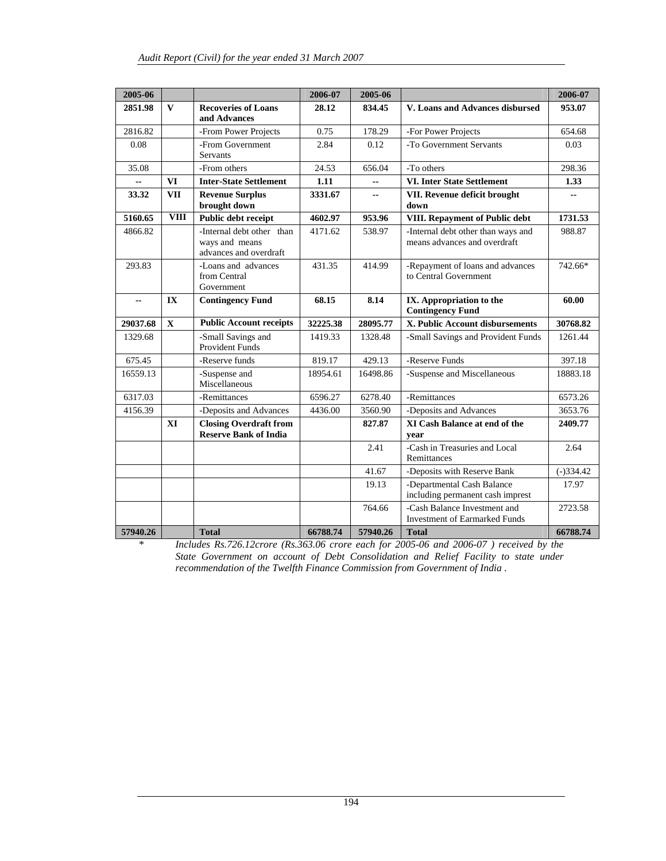| 2005-06        |              |                                                                       | 2006-07  | 2005-06                  |                                                                      | 2006-07     |
|----------------|--------------|-----------------------------------------------------------------------|----------|--------------------------|----------------------------------------------------------------------|-------------|
| 2851.98        | $\mathbf{V}$ | <b>Recoveries of Loans</b><br>and Advances                            | 28.12    | 834.45                   | V. Loans and Advances disbursed                                      | 953.07      |
| 2816.82        |              | -From Power Projects                                                  | 0.75     | 178.29                   | -For Power Projects                                                  | 654.68      |
| 0.08           |              | -From Government<br><b>Servants</b>                                   | 2.84     | 0.12                     | -To Government Servants                                              | 0.03        |
| 35.08          |              | -From others                                                          | 24.53    | 656.04                   | -To others                                                           | 298.36      |
|                | VI           | <b>Inter-State Settlement</b>                                         | 1.11     | $\overline{\phantom{a}}$ | <b>VI. Inter State Settlement</b>                                    | 1.33        |
| 33.32          | <b>VII</b>   | <b>Revenue Surplus</b><br>brought down                                | 3331.67  | --                       | VII. Revenue deficit brought<br>down                                 |             |
| 5160.65        | <b>VIII</b>  | Public debt receipt                                                   | 4602.97  | 953.96                   | VIII. Repayment of Public debt                                       | 1731.53     |
| 4866.82        |              | -Internal debt other than<br>ways and means<br>advances and overdraft | 4171.62  | 538.97                   | -Internal debt other than ways and<br>means advances and overdraft   | 988.87      |
| 293.83         |              | -Loans and advances<br>from Central<br>Government                     | 431.35   | 414.99                   | -Repayment of loans and advances<br>to Central Government            | 742.66*     |
| $\overline{a}$ | IX           | <b>Contingency Fund</b>                                               | 68.15    | 8.14                     | IX. Appropriation to the<br><b>Contingency Fund</b>                  | 60.00       |
| 29037.68       | $\mathbf{X}$ | <b>Public Account receipts</b>                                        | 32225.38 | 28095.77                 | X. Public Account disbursements                                      | 30768.82    |
| 1329.68        |              | -Small Savings and<br><b>Provident Funds</b>                          | 1419.33  | 1328.48                  | -Small Savings and Provident Funds                                   | 1261.44     |
| 675.45         |              | -Reserve funds                                                        | 819.17   | 429.13                   | -Reserve Funds                                                       | 397.18      |
| 16559.13       |              | -Suspense and<br>Miscellaneous                                        | 18954.61 | 16498.86                 | -Suspense and Miscellaneous                                          | 18883.18    |
| 6317.03        |              | -Remittances                                                          | 6596.27  | 6278.40                  | -Remittances                                                         | 6573.26     |
| 4156.39        |              | -Deposits and Advances                                                | 4436.00  | 3560.90                  | -Deposits and Advances                                               | 3653.76     |
|                | XI           | <b>Closing Overdraft from</b><br><b>Reserve Bank of India</b>         |          | 827.87                   | XI Cash Balance at end of the<br>year                                | 2409.77     |
|                |              |                                                                       |          | 2.41                     | -Cash in Treasuries and Local<br>Remittances                         | 2.64        |
|                |              |                                                                       |          | 41.67                    | -Deposits with Reserve Bank                                          | $(-)334.42$ |
|                |              |                                                                       |          | 19.13                    | -Departmental Cash Balance<br>including permanent cash imprest       | 17.97       |
|                |              |                                                                       |          | 764.66                   | -Cash Balance Investment and<br><b>Investment of Earmarked Funds</b> | 2723.58     |
| 57940.26       |              | <b>Total</b>                                                          | 66788.74 | 57940.26                 | <b>Total</b>                                                         | 66788.74    |

*\* Includes Rs.726.12crore (Rs.363.06 crore each for 2005-06 and 2006-07 ) received by the State Government on account of Debt Consolidation and Relief Facility to state under recommendation of the Twelfth Finance Commission from Government of India .*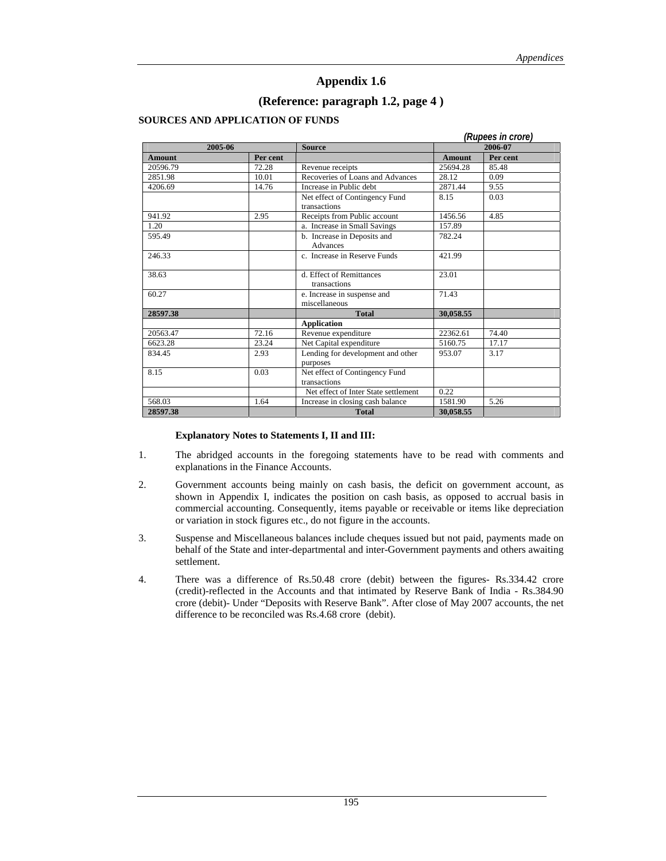### **(Reference: paragraph 1.2, page 4 )**

#### **SOURCES AND APPLICATION OF FUNDS**

|               |          |                                                |               | (Rupees in crore) |
|---------------|----------|------------------------------------------------|---------------|-------------------|
|               | 2005-06  | <b>Source</b>                                  |               | 2006-07           |
| <b>Amount</b> | Per cent |                                                | <b>Amount</b> | Per cent          |
| 20596.79      | 72.28    | Revenue receipts                               | 25694.28      | 85.48             |
| 2851.98       | 10.01    | Recoveries of Loans and Advances               | 28.12         | 0.09              |
| 4206.69       | 14.76    | Increase in Public debt                        | 2871.44       | 9.55              |
|               |          | Net effect of Contingency Fund<br>transactions | 8.15          | 0.03              |
| 941.92        | 2.95     | Receipts from Public account                   | 1456.56       | 4.85              |
| 1.20          |          | a. Increase in Small Savings                   | 157.89        |                   |
| 595.49        |          | b. Increase in Deposits and<br>Advances        | 782.24        |                   |
| 246.33        |          | c. Increase in Reserve Funds                   | 421.99        |                   |
| 38.63         |          | d. Effect of Remittances<br>transactions       | 23.01         |                   |
| 60.27         |          | e. Increase in suspense and<br>miscellaneous   | 71.43         |                   |
| 28597.38      |          | <b>Total</b>                                   | 30,058.55     |                   |
|               |          | <b>Application</b>                             |               |                   |
| 20563.47      | 72.16    | Revenue expenditure                            | 22362.61      | 74.40             |
| 6623.28       | 23.24    | Net Capital expenditure                        | 5160.75       | 17.17             |
| 834.45        | 2.93     | Lending for development and other<br>purposes  | 953.07        | 3.17              |
| 8.15          | 0.03     | Net effect of Contingency Fund<br>transactions |               |                   |
|               |          | Net effect of Inter State settlement           | 0.22          |                   |
| 568.03        | 1.64     | Increase in closing cash balance               | 1581.90       | 5.26              |
| 28597.38      |          | <b>Total</b>                                   | 30.058.55     |                   |

#### **Explanatory Notes to Statements I, II and III:**

- 1. The abridged accounts in the foregoing statements have to be read with comments and explanations in the Finance Accounts.
- 2. Government accounts being mainly on cash basis, the deficit on government account, as shown in Appendix I, indicates the position on cash basis, as opposed to accrual basis in commercial accounting. Consequently, items payable or receivable or items like depreciation or variation in stock figures etc., do not figure in the accounts.
- 3. Suspense and Miscellaneous balances include cheques issued but not paid, payments made on behalf of the State and inter-departmental and inter-Government payments and others awaiting settlement.
- 4. There was a difference of Rs.50.48 crore (debit) between the figures- Rs.334.42 crore (credit)-reflected in the Accounts and that intimated by Reserve Bank of India - Rs.384.90 crore (debit)- Under "Deposits with Reserve Bank". After close of May 2007 accounts, the net difference to be reconciled was Rs.4.68 crore (debit).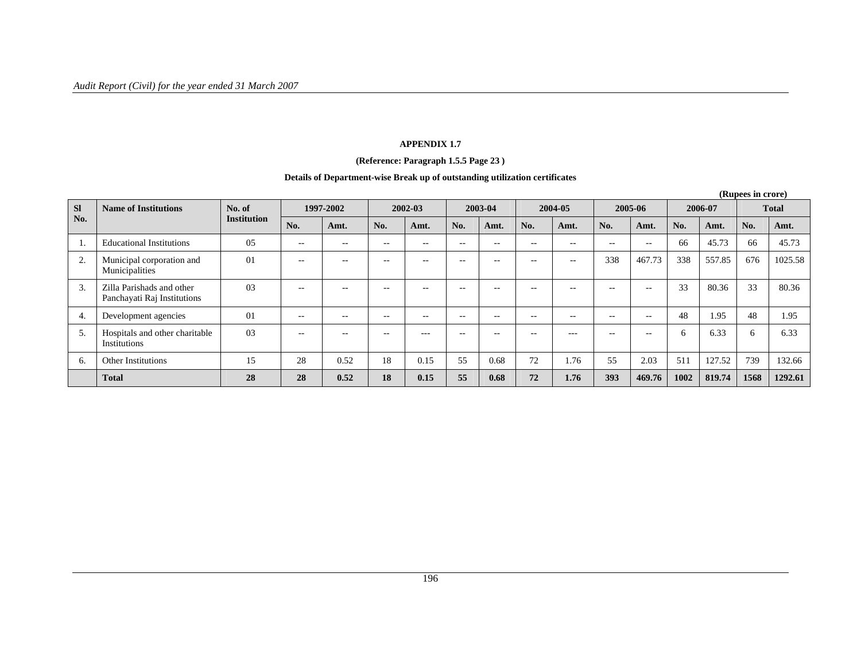#### **APPENDIX 1.7**

#### **(Reference: Paragraph 1.5.5 Page 23 )**

#### **Details of Department-wise Break up of outstanding utilization certificates**

|           | (Rupees in crore)                                        |                    |           |       |                          |       |               |       |         |               |         |        |         |        |              |         |
|-----------|----------------------------------------------------------|--------------------|-----------|-------|--------------------------|-------|---------------|-------|---------|---------------|---------|--------|---------|--------|--------------|---------|
| <b>SI</b> | <b>Name of Institutions</b>                              | No. of             | 1997-2002 |       | 2002-03                  |       | 2003-04       |       | 2004-05 |               | 2005-06 |        | 2006-07 |        | <b>Total</b> |         |
| No.       |                                                          | <b>Institution</b> | No.       | Amt.  | No.                      | Amt.  | No.           | Amt.  | No.     | Amt.          | No.     | Amt.   | No.     | Amt.   | No.          | Amt.    |
|           | <b>Educational Institutions</b>                          | 05                 | $-$       | $- -$ | $\overline{\phantom{m}}$ | $- -$ | $\sim$ $\sim$ | $- -$ | $- -$   | $\sim$ $\sim$ | $-$     | $- -$  | 66      | 45.73  | 66           | 45.73   |
| 2.        | Municipal corporation and<br>Municipalities              | 01                 | $- -$     | $- -$ | $- -$                    | $- -$ | $-$           | $- -$ | --      | $- -$         | 338     | 467.73 | 338     | 557.85 | 676          | 1025.58 |
| 3.        | Zilla Parishads and other<br>Panchayati Raj Institutions | 03                 | $-$       | $- -$ | $\overline{\phantom{m}}$ | $- -$ | $\sim$ $\sim$ | $- -$ | --      | $ -$          | $-$     | $- -$  | 33      | 80.36  | 33           | 80.36   |
| 4.        | Development agencies                                     | 01                 | $- -$     | $- -$ | $- -$                    | $- -$ | $\sim$ $\sim$ | $- -$ | --      | $\sim$ $-$    | $-$     | $- -$  | 48      | 1.95   | 48           | 1.95    |
| 5.        | Hospitals and other charitable<br>Institutions           | 03                 | $-$       | $- -$ | --                       | $---$ | --            |       |         | $---$         | $- -$   | $- -$  | 6       | 6.33   | $\sigma$     | 6.33    |
| b.        | <b>Other Institutions</b>                                | 15                 | 28        | 0.52  | 18                       | 0.15  | 55            | 0.68  | 72      | 1.76          | 55      | 2.03   | 511     | 127.52 | 739          | 132.66  |
|           | <b>Total</b>                                             | 28                 | 28        | 0.52  | 18                       | 0.15  | 55            | 0.68  | 72      | 1.76          | 393     | 469.76 | 1002    | 819.74 | 1568         | 1292.61 |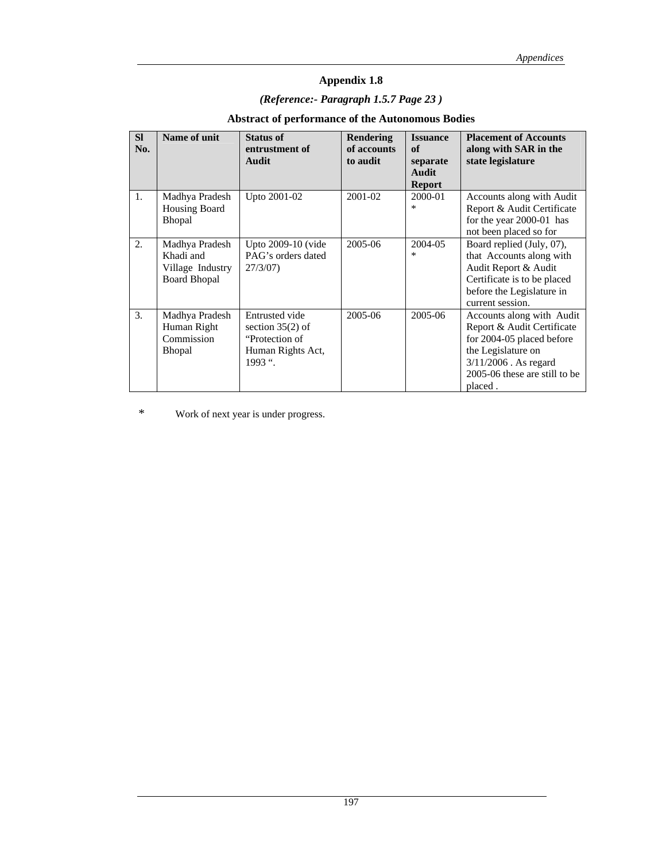# *(Reference:- Paragraph 1.5.7 Page 23 )*

### **Abstract of performance of the Autonomous Bodies**

| <b>SI</b><br>No. | Name of unit                                                           | <b>Status of</b><br>entrustment of<br>Audit                                              | <b>Rendering</b><br>of accounts<br>to audit | <b>Issuance</b><br>of<br>separate<br>Audit<br><b>Report</b> | <b>Placement of Accounts</b><br>along with SAR in the<br>state legislature                                                                                                        |
|------------------|------------------------------------------------------------------------|------------------------------------------------------------------------------------------|---------------------------------------------|-------------------------------------------------------------|-----------------------------------------------------------------------------------------------------------------------------------------------------------------------------------|
| $\mathbf{1}$ .   | Madhya Pradesh<br><b>Housing Board</b><br>Bhopal                       | Upto 2001-02                                                                             | 2001-02                                     | 2000-01<br>∗                                                | Accounts along with Audit<br>Report & Audit Certificate<br>for the year 2000-01 has<br>not been placed so for                                                                     |
| 2.               | Madhya Pradesh<br>Khadi and<br>Village Industry<br><b>Board Bhopal</b> | Upto 2009-10 (vide<br>PAG's orders dated<br>27/3/07                                      | 2005-06                                     | 2004-05<br>$\ast$                                           | Board replied (July, 07),<br>that Accounts along with<br>Audit Report & Audit<br>Certificate is to be placed<br>before the Legislature in<br>current session.                     |
| 3.               | Madhya Pradesh<br>Human Right<br>Commission<br><b>Bhopal</b>           | Entrusted vide<br>section $35(2)$ of<br>"Protection of<br>Human Rights Act,<br>$1993$ ". | 2005-06                                     | 2005-06                                                     | Accounts along with Audit<br>Report & Audit Certificate<br>for 2004-05 placed before<br>the Legislature on<br>$3/11/2006$ . As regard<br>2005-06 these are still to be<br>placed. |

\* Work of next year is under progress.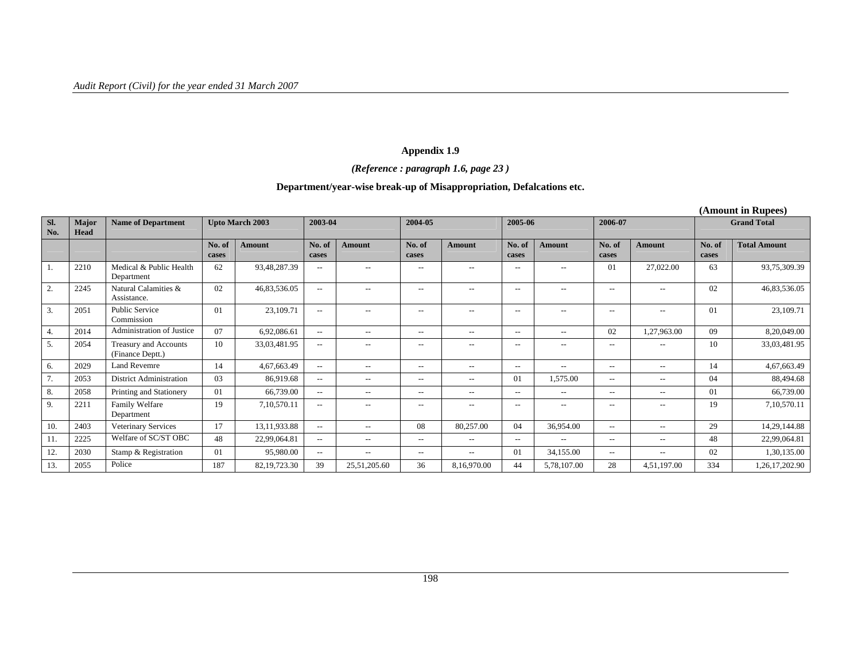## *(Reference : paragraph 1.6, page 23 )*

### **Department/year-wise break-up of Misappropriation, Defalcations etc.**

|                  |               |                                           |                 |                        |                          |                                                     |                          |                                                     |                                                     |                                                       |                          |                          |                 | (Amount in Rupees)  |
|------------------|---------------|-------------------------------------------|-----------------|------------------------|--------------------------|-----------------------------------------------------|--------------------------|-----------------------------------------------------|-----------------------------------------------------|-------------------------------------------------------|--------------------------|--------------------------|-----------------|---------------------|
| SI.<br>No.       | Major<br>Head | <b>Name of Department</b>                 |                 | <b>Upto March 2003</b> | 2003-04                  |                                                     | 2004-05                  |                                                     | 2005-06                                             |                                                       | 2006-07                  |                          |                 | <b>Grand Total</b>  |
|                  |               |                                           | No. of<br>cases | <b>Amount</b>          | No. of<br>cases          | <b>Amount</b>                                       | No. of<br>cases          | <b>Amount</b>                                       | No. of<br>cases                                     | <b>Amount</b>                                         | No. of<br>cases          | <b>Amount</b>            | No. of<br>cases | <b>Total Amount</b> |
| -1.              | 2210          | Medical & Public Health<br>Department     | 62              | 93,48,287.39           | $- -$                    | $- -$                                               | $\overline{\phantom{a}}$ | $- -$                                               | $\hspace{0.05cm} -\hspace{0.05cm} -\hspace{0.05cm}$ | $\overline{\phantom{a}}$                              | 01                       | 27,022.00                | 63              | 93,75,309.39        |
| 2.               | 2245          | Natural Calamities &<br>Assistance.       | 02              | 46,83,536.05           | $\overline{\phantom{m}}$ | $-$                                                 | $\overline{\phantom{a}}$ | $\qquad \qquad -$                                   | $\hspace{0.05cm} -\hspace{0.05cm} -\hspace{0.05cm}$ | $ -$                                                  | $\overline{\phantom{a}}$ | $\overline{\phantom{a}}$ | 02              | 46,83,536.05        |
| $\overline{3}$ . | 2051          | Public Service<br>Commission              | $\Omega$        | 23,109.71              | $- -$                    | $-$                                                 | $-\, -$                  | $- -$                                               | $\hspace{0.05cm} -\hspace{0.05cm} -\hspace{0.05cm}$ | $\overline{\phantom{a}}$                              | $\overline{\phantom{a}}$ | $-\, -$                  | 01              | 23,109.71           |
| 4.               | 2014          | Administration of Justice                 | 07              | 6,92,086.61            | $\overline{\phantom{a}}$ | $\hspace{0.05cm} -\hspace{0.05cm} -\hspace{0.05cm}$ | $- -$                    | $\qquad \qquad -$                                   | $\hspace{0.05cm} -\hspace{0.05cm} -\hspace{0.05cm}$ | $\hspace{0.05cm} - \hspace{0.05cm} - \hspace{0.05cm}$ | 02                       | 1,27,963.00              | 09              | 8,20,049.00         |
| 5.               | 2054          | Treasury and Accounts<br>(Finance Deptt.) | 10              | 33,03,481.95           | $\overline{\phantom{a}}$ | $\overline{\phantom{a}}$                            | $\overline{\phantom{a}}$ | $\qquad \qquad -$                                   | $\hspace{0.05cm} -\hspace{0.05cm} -\hspace{0.05cm}$ | $-$                                                   | $\overline{\phantom{a}}$ | $\overline{\phantom{a}}$ | 10              | 33,03,481.95        |
| 6.               | 2029          | <b>Land Revemre</b>                       | 14              | 4,67,663.49            | $\overline{\phantom{a}}$ | $\overline{\phantom{a}}$                            | $- -$                    | $\overline{\phantom{a}}$                            | $\overline{\phantom{a}}$                            | $- -$                                                 | $--$                     | $- -$                    | 14              | 4,67,663.49         |
| 7.               | 2053          | <b>District Administration</b>            | 03              | 86,919.68              | $\overline{\phantom{a}}$ | $-$                                                 | $\overline{\phantom{a}}$ | $- -$                                               | 01                                                  | 1,575.00                                              | $- -$                    | $- -$                    | 04              | 88,494.68           |
| 8.               | 2058          | Printing and Stationery                   | 01              | 66,739.00              | $\overline{\phantom{a}}$ | $\hspace{0.05cm}$ – $\hspace{0.05cm}$               | $- -$                    | $-$                                                 | $\hspace{0.05cm} -\hspace{0.05cm} -\hspace{0.05cm}$ | $\sim$                                                | $\overline{\phantom{a}}$ | $-\, -$                  | 01              | 66,739.00           |
| 9.               | 2211          | Family Welfare<br>Department              | 19              | 7,10,570.11            | $- -$                    | $\hspace{0.05cm} -\hspace{0.05cm} -\hspace{0.05cm}$ | $- -$                    | $- -$                                               | $\hspace{0.05cm} -\hspace{0.05cm} -\hspace{0.05cm}$ | $ -$                                                  | $\overline{\phantom{a}}$ | $\overline{\phantom{a}}$ | 19              | 7,10,570.11         |
| 10.              | 2403          | Veterinary Services                       | 17              | 13,11,933.88           | $\overline{\phantom{a}}$ | $- -$                                               | 08                       | 80,257.00                                           | 04                                                  | 36,954.00                                             | $- -$                    | $- -$                    | 29              | 14,29,144.88        |
| 11.              | 2225          | Welfare of SC/ST OBC                      | 48              | 22,99,064.81           | $- -$                    | $\hspace{0.05cm} -\hspace{0.05cm} -\hspace{0.05cm}$ | $- -$                    | $\hspace{0.05cm} -\hspace{0.05cm} -\hspace{0.05cm}$ | $\overline{\phantom{a}}$                            | $- -$                                                 | $--$                     | $- -$                    | 48              | 22,99,064.81        |
| 12.              | 2030          | Stamp & Registration                      | 01              | 95,980.00              | $\overline{\phantom{a}}$ | $\overline{\phantom{a}}$                            | $- -$                    | $- -$                                               | 01                                                  | 34,155.00                                             | $- -$                    | $- -$                    | 02              | 1,30,135.00         |
| 13.              | 2055          | Police                                    | 187             | 82, 19, 723. 30        | 39                       | 25,51,205.60                                        | 36                       | 8,16,970.00                                         | 44                                                  | 5,78,107.00                                           | 28                       | 4,51,197.00              | 334             | 1,26,17,202.90      |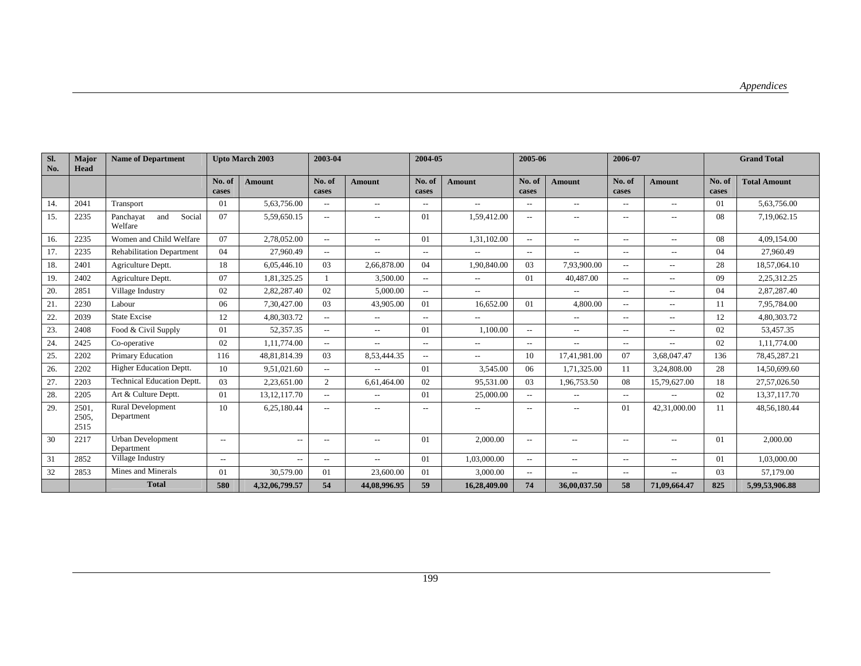| Sl.<br>No. | Major<br>Head          | <b>Name of Department</b>              |                          | <b>Upto March 2003</b> | 2003-04                  |                                                     | 2004-05                  |                          | 2005-06                  |                          | 2006-07                  |                          |                 | <b>Grand Total</b>  |
|------------|------------------------|----------------------------------------|--------------------------|------------------------|--------------------------|-----------------------------------------------------|--------------------------|--------------------------|--------------------------|--------------------------|--------------------------|--------------------------|-----------------|---------------------|
|            |                        |                                        | No. of<br>cases          | <b>Amount</b>          | No. of<br>cases          | <b>Amount</b>                                       | No. of<br>cases          | <b>Amount</b>            | No. of<br>cases          | <b>Amount</b>            | No. of<br>cases          | <b>Amount</b>            | No. of<br>cases | <b>Total Amount</b> |
| 14.        | 2041                   | Transport                              | 01                       | 5,63,756.00            | $-$                      | $\overline{\phantom{a}}$                            | $\overline{\phantom{a}}$ | $\overline{\phantom{a}}$ | $- -$                    | $\overline{\phantom{a}}$ | $\overline{\phantom{a}}$ | $\overline{\phantom{a}}$ | $\Omega$        | 5,63,756.00         |
| 15.        | 2235                   | Social<br>Panchayat<br>and<br>Welfare  | 07                       | 5,59,650.15            | $- -$                    | $\overline{\phantom{a}}$                            | 01                       | 1,59,412.00              | $\sim$ $\sim$            | $\overline{\phantom{a}}$ | $\overline{\phantom{a}}$ | $\overline{\phantom{a}}$ | 08              | 7,19,062.15         |
| 16.        | 2235                   | Women and Child Welfare                | 07                       | 2,78,052.00            | $\overline{\phantom{a}}$ | $\hspace{0.05cm} -\hspace{0.05cm} -\hspace{0.05cm}$ | 01                       | 1,31,102.00              | $---$                    | $\overline{\phantom{a}}$ | $\overline{\phantom{a}}$ | $\overline{\phantom{a}}$ | 08              | 4,09,154.00         |
| 17.        | 2235                   | <b>Rehabilitation Department</b>       | 04                       | 27.960.49              | $- -$                    | $\overline{\phantom{a}}$                            | $\overline{\phantom{a}}$ | $\overline{\phantom{a}}$ | $\overline{a}$           | $\overline{\phantom{a}}$ | $\overline{\phantom{a}}$ | $\overline{\phantom{a}}$ | 04              | 27,960.49           |
| 18.        | 2401                   | Agriculture Deptt.                     | 18                       | 6,05,446.10            | 03                       | 2.66.878.00                                         | 04                       | 1.90.840.00              | 03                       | 7,93,900.00              | $-$                      | $\overline{\phantom{a}}$ | 28              | 18,57,064.10        |
| 19.        | 2402                   | Agriculture Deptt.                     | 07                       | 1,81,325.25            |                          | 3,500.00                                            | $---$                    | $\frac{1}{2}$            | 01                       | 40,487.00                | $\overline{\phantom{a}}$ | $\overline{\phantom{m}}$ | 09              | 2,25,312.25         |
| 20.        | 2851                   | Village Industry                       | 02                       | 2,82,287.40            | 02                       | 5.000.00                                            | $\overline{a}$           | $\overline{a}$           |                          | $\overline{\phantom{a}}$ | $\overline{\phantom{a}}$ | $\sim$ $\sim$            | 04              | 2,87,287.40         |
| 21.        | 2230                   | Labour                                 | 06                       | 7,30,427.00            | 03                       | 43,905.00                                           | 01                       | 16,652.00                | 01                       | 4,800.00                 | $\overline{\phantom{a}}$ | $\sim$ $\sim$            | 11              | 7,95,784.00         |
| 22.        | 2039                   | <b>State Excise</b>                    | 12                       | 4,80,303.72            | $\overline{a}$           | $\hspace{0.05cm} -\hspace{0.05cm} -\hspace{0.05cm}$ | $\overline{\phantom{a}}$ | $\overline{\phantom{a}}$ |                          | $\overline{\phantom{a}}$ | $\overline{\phantom{m}}$ | $\overline{\phantom{m}}$ | 12              | 4,80,303.72         |
| 23.        | 2408                   | Food & Civil Supply                    | 01                       | 52,357.35              | $- -$                    | $\overline{\phantom{a}}$                            | 01                       | 1,100.00                 | $\overline{\phantom{a}}$ | $\overline{\phantom{a}}$ | $\overline{\phantom{m}}$ | $\overline{\phantom{m}}$ | 02              | 53,457.35           |
| 24.        | 2425                   | Co-operative                           | 02                       | 1,11,774.00            | $\overline{a}$           | $\hspace{0.05cm} -\hspace{0.05cm} -\hspace{0.05cm}$ | $\overline{\phantom{a}}$ | $- -$                    | $\overline{\phantom{a}}$ | $\overline{\phantom{a}}$ | $\overline{\phantom{a}}$ | $\overline{a}$           | 02              | 1,11,774.00         |
| 25.        | 2202                   | Primary Education                      | 116                      | 48,81,814.39           | 03                       | 8,53,444.35                                         | $--$                     | $\overline{\phantom{a}}$ | 10                       | 17,41,981.00             | 07                       | 3,68,047.47              | 136             | 78,45,287.21        |
| 26.        | 2202                   | Higher Education Deptt.                | 10                       | 9.51.021.60            | $- -$                    | $\overline{\phantom{a}}$                            | 01                       | 3.545.00                 | 06                       | 1,71,325.00              | 11                       | 3.24.808.00              | 28              | 14,50,699.60        |
| 27.        | 2203                   | <b>Technical Education Deptt.</b>      | 03                       | 2,23,651.00            | $\overline{2}$           | 6,61,464.00                                         | 02                       | 95,531.00                | 03                       | 1,96,753.50              | 08                       | 15,79,627.00             | 18              | 27,57,026.50        |
| 28.        | 2205                   | Art & Culture Deptt.                   | 01                       | 13, 12, 117. 70        | $-$                      | $\overline{\phantom{a}}$                            | 01                       | 25,000.00                | $---$                    | $\overline{\phantom{a}}$ | $\overline{\phantom{a}}$ | $\sim$ $\sim$            | 02              | 13,37,117.70        |
| 29.        | 2501.<br>2505.<br>2515 | <b>Rural Development</b><br>Department | 10                       | 6,25,180.44            | $- -$                    | $\overline{\phantom{a}}$                            | $\overline{\phantom{a}}$ | $\overline{\phantom{a}}$ | $\overline{\phantom{a}}$ | $\sim$                   | 01                       | 42,31,000.00             | 11              | 48,56,180.44        |
| 30         | 2217                   | <b>Urban Development</b><br>Department | $---$                    | $- -$                  | $- -$                    | $\overline{\phantom{a}}$                            | 01                       | 2,000.00                 | $--$                     | $\overline{\phantom{a}}$ | $\overline{\phantom{m}}$ |                          | $\Omega$        | 2,000.00            |
| 31         | 2852                   | Village Industry                       | $\overline{\phantom{a}}$ | $- -$                  | $\overline{a}$           | $\overline{\phantom{a}}$                            | 01                       | 1,03,000.00              | $\overline{a}$           | $\overline{\phantom{a}}$ | $\overline{\phantom{a}}$ | $\overline{\phantom{a}}$ | 01              | 1,03,000.00         |
| 32         | 2853                   | Mines and Minerals                     | 01                       | 30,579.00              | 01                       | 23,600.00                                           | 01                       | 3,000.00                 | $--$                     | $-\!$                    | $\overline{\phantom{m}}$ | $--$                     | 03              | 57,179.00           |
|            |                        | <b>Total</b>                           | 580                      | 4,32,06,799.57         | 54                       | 44,08,996.95                                        | 59                       | 16,28,409.00             | 74                       | 36,00,037.50             | 58                       | 71,09,664.47             | 825             | 5,99,53,906.88      |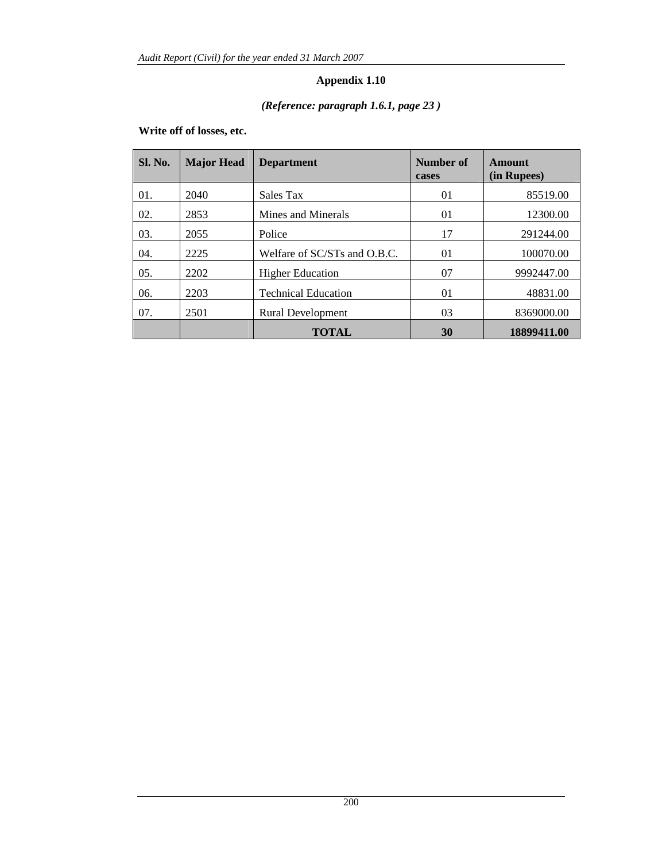# *(Reference: paragraph 1.6.1, page 23 )*

### **Write off of losses, etc.**

| <b>Sl. No.</b> | <b>Major Head</b> | <b>Department</b>            | Number of<br>cases | Amount<br>(in Rupees) |
|----------------|-------------------|------------------------------|--------------------|-----------------------|
| 01.            | 2040              | Sales Tax                    | 01                 | 85519.00              |
| 02.            | 2853              | Mines and Minerals           | 01                 | 12300.00              |
| 03.            | 2055              | Police                       | 17                 | 291244.00             |
| 04.            | 2225              | Welfare of SC/STs and O.B.C. | 01                 | 100070.00             |
| 05.            | 2202              | <b>Higher Education</b>      | 07                 | 9992447.00            |
| 06.            | 2203              | <b>Technical Education</b>   | 01                 | 48831.00              |
| 07.            | 2501              | <b>Rural Development</b>     | 03                 | 8369000.00            |
|                |                   | TOTAL                        | 30                 | 18899411.00           |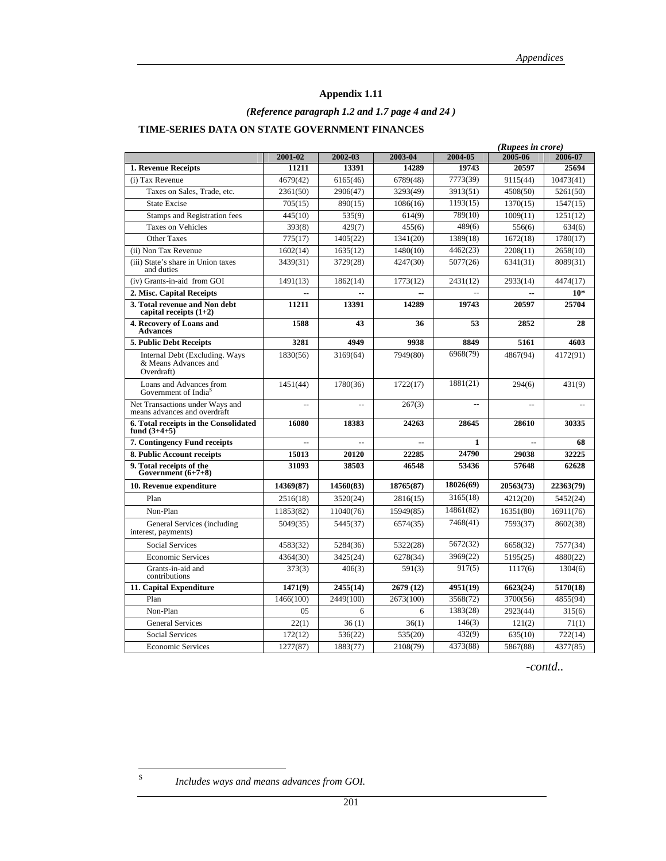### *(Reference paragraph 1.2 and 1.7 page 4 and 24 )*

### **TIME-SERIES DATA ON STATE GOVERNMENT FINANCES**

|                                                                      |                |                |                |              | (Rupees in crore) |           |  |  |
|----------------------------------------------------------------------|----------------|----------------|----------------|--------------|-------------------|-----------|--|--|
|                                                                      | 2001-02        | 2002-03        | 2003-04        | 2004-05      | 2005-06           | 2006-07   |  |  |
| 1. Revenue Receipts                                                  | 11211          | 13391          | 14289          | 19743        | 20597             | 25694     |  |  |
| (i) Tax Revenue                                                      | 4679(42)       | 6165(46)       | 6789(48)       | 7773(39)     | 9115(44)          | 10473(41) |  |  |
| Taxes on Sales, Trade, etc.                                          | 2361(50)       | 2906(47)       | 3293(49)       | 3913(51)     | 4508(50)          | 5261(50)  |  |  |
| <b>State Excise</b>                                                  | 705(15)        | 890(15)        | 1086(16)       | 1193(15)     | 1370(15)          | 1547(15)  |  |  |
| <b>Stamps and Registration fees</b>                                  | 445(10)        | 535(9)         | 614(9)         | 789(10)      | 1009(11)          | 1251(12)  |  |  |
| <b>Taxes on Vehicles</b>                                             | 393(8)         | 429(7)         | 455(6)         | 489(6)       | 556(6)            | 634(6)    |  |  |
| <b>Other Taxes</b>                                                   | 775(17)        | 1405(22)       | 1341(20)       | 1389(18)     | 1672(18)          | 1780(17)  |  |  |
| (ii) Non Tax Revenue                                                 | 1602(14)       | 1635(12)       | 1480(10)       | 4462(23)     | 2208(11)          | 2658(10)  |  |  |
| (iii) State's share in Union taxes<br>and duties                     | 3439(31)       | 3729(28)       | 4247(30)       | 5077(26)     | 6341(31)          | 8089(31)  |  |  |
| (iv) Grants-in-aid from GOI                                          | 1491(13)       | 1862(14)       | 1773(12)       | 2431(12)     | 2933(14)          | 4474(17)  |  |  |
| 2. Misc. Capital Receipts                                            | --             | $-$            | $\overline{a}$ |              | $\sim$            | $10*$     |  |  |
| 3. Total revenue and Non debt<br>capital receipts $(1+2)$            | 11211          | 13391          | 14289          | 19743        | 20597             | 25704     |  |  |
| 4. Recovery of Loans and<br><b>Advances</b>                          | 1588           | 43             | 36             | 53           | 2852              | 28        |  |  |
| 5. Public Debt Receipts                                              | 3281           | 4949           | 9938           | 8849         | 5161              | 4603      |  |  |
| Internal Debt (Excluding. Ways<br>& Means Advances and<br>Overdraft) | 1830(56)       | 3169(64)       | 7949(80)       | 6968(79)     | 4867(94)          | 4172(91)  |  |  |
| Loans and Advances from<br>Government of India <sup>S</sup>          | 1451(44)       | 1780(36)       | 1722(17)       | 1881(21)     | 294(6)            | 431(9)    |  |  |
| Net Transactions under Ways and<br>means advances and overdraft      | $\overline{a}$ | $\overline{a}$ | 267(3)         | $\sim$       | $\overline{a}$    | Ξ.        |  |  |
| 6. Total receipts in the Consolidated<br>fund $(3+4+5)$              | 16080          | 18383          | 24263          | 28645        | 28610             | 30335     |  |  |
| 7. Contingency Fund receipts                                         | $-$            |                |                | $\mathbf{1}$ | ٠.                | 68        |  |  |
| 8. Public Account receipts                                           | 15013          | 20120          | 22285          | 24790        | 29038             | 32225     |  |  |
| 9. Total receipts of the<br>Government $(6+7+8)$                     | 31093          | 38503          | 46548          | 53436        | 57648             | 62628     |  |  |
| 10. Revenue expenditure                                              | 14369(87)      | 14560(83)      | 18765(87)      | 18026(69)    | 20563(73)         | 22363(79) |  |  |
| Plan                                                                 | 2516(18)       | 3520(24)       | 2816(15)       | 3165(18)     | 4212(20)          | 5452(24)  |  |  |
| Non-Plan                                                             | 11853(82)      | 11040(76)      | 15949(85)      | 14861(82)    | 16351(80)         | 16911(76) |  |  |
| General Services (including<br>interest, payments)                   | 5049(35)       | 5445(37)       | 6574(35)       | 7468(41)     | 7593(37)          | 8602(38)  |  |  |
| Social Services                                                      | 4583(32)       | 5284(36)       | 5322(28)       | 5672(32)     | 6658(32)          | 7577(34)  |  |  |
| <b>Economic Services</b>                                             | 4364(30)       | 3425(24)       | 6278(34)       | 3969(22)     | 5195(25)          | 4880(22)  |  |  |
| Grants-in-aid and<br>contributions                                   | 373(3)         | 406(3)         | 591(3)         | 917(5)       | 1117(6)           | 1304(6)   |  |  |
| 11. Capital Expenditure                                              | 1471(9)        | 2455(14)       | 2679 (12)      | 4951(19)     | 6623(24)          | 5170(18)  |  |  |
| Plan                                                                 | 1466(100)      | 2449(100)      | 2673(100)      | 3568(72)     | 3700(56)          | 4855(94)  |  |  |
| Non-Plan                                                             | 0.5            | 6              | 6              | 1383(28)     | 2923(44)          | 315(6)    |  |  |
| <b>General Services</b>                                              | 22(1)          | 36(1)          | 36(1)          | 146(3)       | 121(2)            | 71(1)     |  |  |
| <b>Social Services</b>                                               | 172(12)        | 536(22)        | 535(20)        | 432(9)       | 635(10)           | 722(14)   |  |  |
| <b>Economic Services</b>                                             | 1277(87)       | 1883(77)       | 2108(79)       | 4373(88)     | 5867(88)          | 4377(85)  |  |  |

*-contd..* 

 $\bf S$ 

Includes ways and means advances from GOI.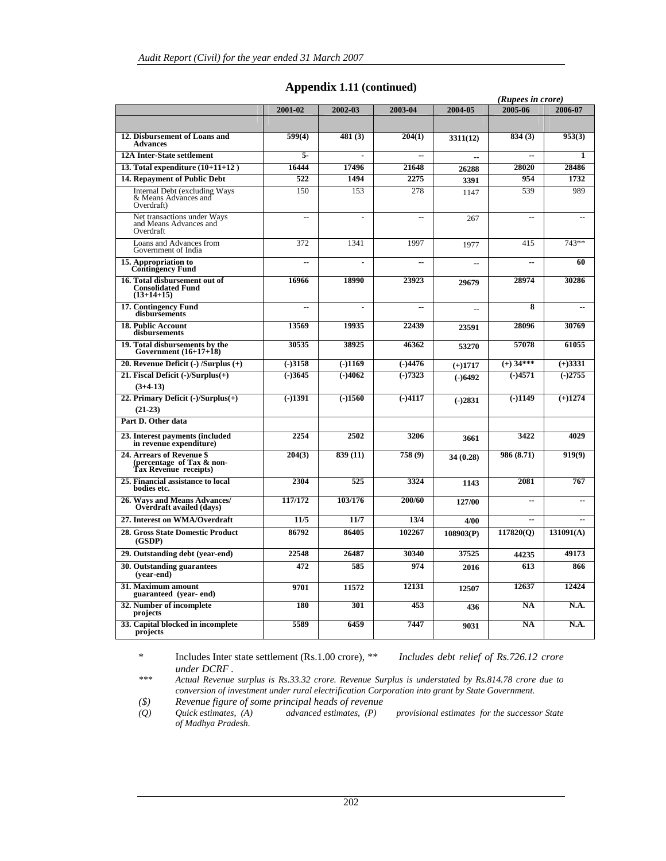|                                                                                 | (Rupees in crore) |           |                |           |                        |                |  |
|---------------------------------------------------------------------------------|-------------------|-----------|----------------|-----------|------------------------|----------------|--|
|                                                                                 | 2001-02           | 2002-03   | 2003-04        | 2004-05   | 2005-06                | 2006-07        |  |
|                                                                                 |                   |           |                |           |                        |                |  |
| 12. Disbursement of Loans and<br><b>Advances</b>                                | 599(4)            | 481(3)    | 204(1)         | 3311(12)  | 834(3)                 | 953(3)         |  |
| <b>12A Inter-State settlement</b>                                               | 5.                |           | ٠.             |           | $\overline{a}$         | 1              |  |
| 13. Total expenditure $(10+11+12)$                                              | 16444             | 17496     | 21648          | 26288     | 28020                  | 28486          |  |
| 14. Repayment of Public Debt                                                    | 522               | 1494      | 2275           | 3391      | 954                    | 1732           |  |
| <b>Internal Debt (excluding Ways</b><br>& Means Advances and<br>Overdraft)      | 150               | 153       | 278            | 1147      | 539                    | 989            |  |
| Net transactions under Ways<br>and Means Advances and<br>Overdraft              | Ξ.                |           | $\overline{a}$ | 267       | $=$                    |                |  |
| Loans and Advances from<br>Government of India                                  | 372               | 1341      | 1997           | 1977      | 415                    | 743**          |  |
| 15. Appropriation to<br><b>Contingency Fund</b>                                 | ٠.                | ä,        | ٠.             |           | $\overline{a}$         | 60             |  |
| 16. Total disbursement out of<br><b>Consolidated Fund</b><br>$(13+14+15)$       | 16966             | 18990     | 23923          | 29679     | 28974                  | 30286          |  |
| <b>17. Contingency Fund</b><br>disbursements                                    | ٠.                |           | ٠.             | u.        | 8                      |                |  |
| <b>18. Public Account</b><br>disbursements                                      | 13569             | 19935     | 22439          | 23591     | 28096                  | 30769          |  |
| 19. Total disbursements by the<br>Government $(16+17+18)$                       | 30535             | 38925     | 46362          | 53270     | 57078                  | 61055          |  |
| 20. Revenue Deficit $(-)$ /Surplus $(+)$                                        | $(-)3158$         | $(-)1169$ | $(-)4476$      | $(+)1717$ | $\left(+\right)$ 34*** | $(+)3331$      |  |
| 21. Fiscal Deficit (-)/Surplus(+)<br>$(3+4-13)$                                 | $(-)3645$         | $(-)4062$ | $(-)7323$      | $(-)6492$ | $(-)4571$              | $(-)2755$      |  |
| 22. Primary Deficit (-)/Surplus(+)<br>$(21-23)$                                 | $(-)1391$         | $(-)1560$ | $(-)4117$      | $(-)2831$ | $(-)1149$              | $(+)1274$      |  |
| Part D. Other data                                                              |                   |           |                |           |                        |                |  |
| 23. Interest payments (included<br>in revenue expenditure)                      | 2254              | 2502      | 3206           | 3661      | 3422                   | 4029           |  |
| 24. Arrears of Revenue \$<br>(percentage of Tax & non-<br>Tax Revenue receipts) | 204(3)            | 839(11)   | 758(9)         | 34(0.28)  | 986 (8.71)             | 919(9)         |  |
| 25. Financial assistance to local<br>bodies etc.                                | 2304              | 525       | 3324           | 1143      | 2081                   | 767            |  |
| 26. Ways and Means Advances/<br>Overdraft availed (days)                        | 117/172           | 103/176   | 200/60         | 127/00    | $\overline{a}$         | $\overline{a}$ |  |
| 27. Interest on WMA/Overdraft                                                   | 11/5              | 11/7      | 13/4           | 4/00      | $\sim$ $\sim$          | --             |  |
| <b>28. Gross State Domestic Product</b><br>(GSDP)                               | 86792             | 86405     | 102267         | 108903(P) | 117820(Q)              | 131091(A)      |  |
| 29. Outstanding debt (year-end)                                                 | 22548             | 26487     | 30340          | 37525     | 44235                  | 49173          |  |
| 30. Outstanding guarantees<br>(vear-end)                                        | 472               | 585       | 974            | 2016      | 613                    | 866            |  |
| 31. Maximum amount<br>guaranteed (year-end)                                     | 9701              | 11572     | 12131          | 12507     | 12637                  | 12424          |  |
| 32. Number of incomplete<br>projects                                            | 180               | 301       | 453            | 436       | <b>NA</b>              | N.A.           |  |
| 33. Capital blocked in incomplete<br>projects                                   | 5589              | 6459      | 7447           | 9031      | <b>NA</b>              | N.A.           |  |

### **Appendix 1.11 (continued)**

\* Includes Inter state settlement (Rs.1.00 crore), *\*\* Includes debt relief of Rs.726.12 crore under DCRF*.<br>\*\*\* Actual Revenue

*\*\*\* Actual Revenue surplus is Rs.33.32 crore. Revenue Surplus is understated by Rs.814.78 crore due to conversion of investment under rural electrification Corporation into grant by State Government.* 

*(\$) Revenue figure of some principal heads of revenue* 

*(Q) Quick estimates, (A) advanced estimates, (P) provisional estimates for the successor State of Madhya Pradesh.*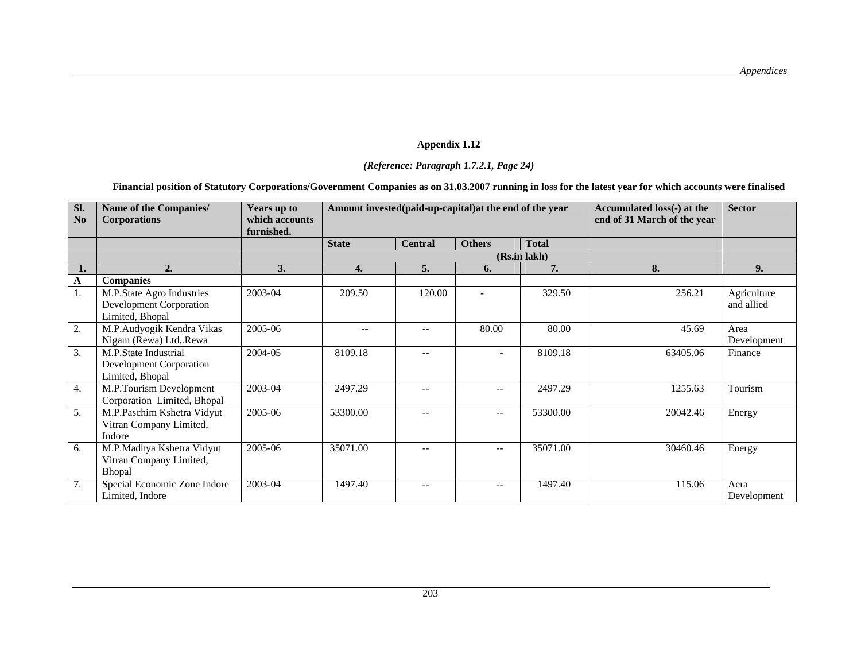### *(Reference: Paragraph 1.7.2.1, Page 24)*

### **Financial position of Statutory Corporations/Government Companies as on 31.03.2007 running in loss for the latest year for which accounts were finalised**

| SI.<br>No | Name of the Companies/<br><b>Corporations</b>                           | Years up to<br>which accounts<br>furnished. | Amount invested (paid-up-capital) at the end of the year |                |                                                     |              | Accumulated loss(-) at the<br>end of 31 March of the year | <b>Sector</b>             |
|-----------|-------------------------------------------------------------------------|---------------------------------------------|----------------------------------------------------------|----------------|-----------------------------------------------------|--------------|-----------------------------------------------------------|---------------------------|
|           |                                                                         |                                             | <b>State</b>                                             | <b>Central</b> | <b>Others</b>                                       | <b>Total</b> |                                                           |                           |
|           |                                                                         |                                             |                                                          |                |                                                     | (Rs.in lakh) |                                                           |                           |
|           | 2.                                                                      | 3.                                          | 4.                                                       | 5.             | 6.                                                  | 7.           | 8.                                                        | 9.                        |
| A         | <b>Companies</b>                                                        |                                             |                                                          |                |                                                     |              |                                                           |                           |
|           | M.P.State Agro Industries<br>Development Corporation<br>Limited, Bhopal | 2003-04                                     | 209.50                                                   | 120.00         |                                                     | 329.50       | 256.21                                                    | Agriculture<br>and allied |
| 2.        | M.P.Audyogik Kendra Vikas<br>Nigam (Rewa) Ltd, Rewa                     | 2005-06                                     | $-$                                                      |                | 80.00                                               | 80.00        | 45.69                                                     | Area<br>Development       |
| 3.        | M.P.State Industrial<br>Development Corporation<br>Limited, Bhopal      | 2004-05                                     | 8109.18                                                  |                | $\tilde{\phantom{a}}$                               | 8109.18      | 63405.06                                                  | Finance                   |
| 4.        | M.P.Tourism Development<br>Corporation Limited, Bhopal                  | 2003-04                                     | 2497.29                                                  | --             | $\overline{\phantom{a}}$                            | 2497.29      | 1255.63                                                   | Tourism                   |
| 5.        | M.P.Paschim Kshetra Vidyut<br>Vitran Company Limited,<br>Indore         | 2005-06                                     | 53300.00                                                 | $- -$          | $\overline{\phantom{a}}$                            | 53300.00     | 20042.46                                                  | Energy                    |
| 6.        | M.P.Madhya Kshetra Vidyut<br>Vitran Company Limited,<br>Bhopal          | 2005-06                                     | 35071.00                                                 |                | $\hspace{0.05cm} -\hspace{0.05cm} -\hspace{0.05cm}$ | 35071.00     | 30460.46                                                  | Energy                    |
| 7.        | Special Economic Zone Indore<br>Limited, Indore                         | 2003-04                                     | 1497.40                                                  | --             | $\overline{\phantom{m}}$                            | 1497.40      | 115.06                                                    | Aera<br>Development       |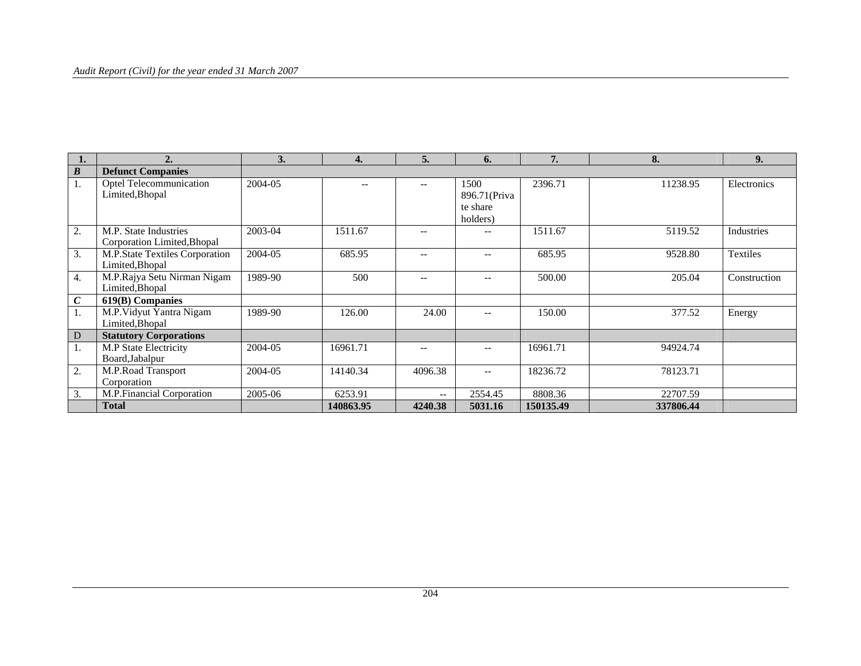### *Audit Report (Civil) for the year ended 31 March 2007*

|                  | 2.                                                   | 3.      | 4.        | 5.                | 6.                                            | 7.        | 8.        | 9.              |
|------------------|------------------------------------------------------|---------|-----------|-------------------|-----------------------------------------------|-----------|-----------|-----------------|
| $\boldsymbol{B}$ | <b>Defunct Companies</b>                             |         |           |                   |                                               |           |           |                 |
| ı.               | Optel Telecommunication<br>Limited, Bhopal           | 2004-05 | --        | $- -$             | 1500<br>896.71 (Priva<br>te share<br>holders) | 2396.71   | 11238.95  | Electronics     |
| 2.               | M.P. State Industries<br>Corporation Limited, Bhopal | 2003-04 | 1511.67   | $- -$             | $\qquad \qquad -$                             | 1511.67   | 5119.52   | Industries      |
| 3.               | M.P.State Textiles Corporation<br>Limited, Bhopal    | 2004-05 | 685.95    | $- -$             | $- -$                                         | 685.95    | 9528.80   | <b>Textiles</b> |
| 4.               | M.P.Rajya Setu Nirman Nigam<br>Limited, Bhopal       | 1989-90 | 500       | $-$               | $- -$                                         | 500.00    | 205.04    | Construction    |
| $\boldsymbol{C}$ | 619(B) Companies                                     |         |           |                   |                                               |           |           |                 |
| 1.               | M.P. Vidyut Yantra Nigam<br>Limited, Bhopal          | 1989-90 | 126.00    | 24.00             | $- -$                                         | 150.00    | 377.52    | Energy          |
| D                | <b>Statutory Corporations</b>                        |         |           |                   |                                               |           |           |                 |
| 1.               | M.P State Electricity<br>Board, Jabalpur             | 2004-05 | 16961.71  | $-$               | $- -$                                         | 16961.71  | 94924.74  |                 |
| 2.               | M.P.Road Transport<br>Corporation                    | 2004-05 | 14140.34  | 4096.38           | $- -$                                         | 18236.72  | 78123.71  |                 |
| 3.               | M.P.Financial Corporation                            | 2005-06 | 6253.91   | $\qquad \qquad -$ | 2554.45                                       | 8808.36   | 22707.59  |                 |
|                  | Total                                                |         | 140863.95 | 4240.38           | 5031.16                                       | 150135.49 | 337806.44 |                 |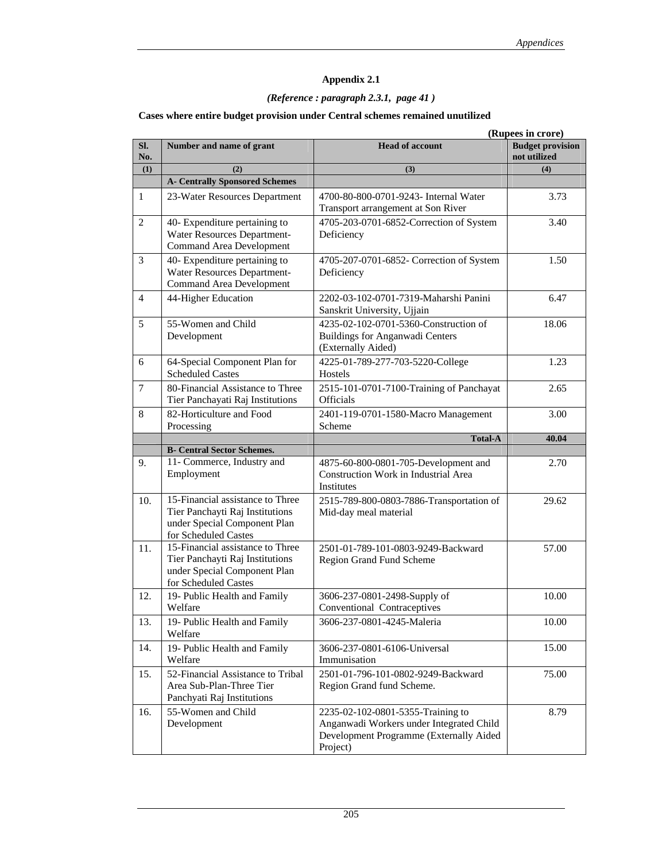## *(Reference : paragraph 2.3.1, page 41 )*

### **Cases where entire budget provision under Central schemes remained unutilized**

|                |                                                                                                                             | (Rupees in crore)                                                                                                                    |                                         |  |  |  |  |
|----------------|-----------------------------------------------------------------------------------------------------------------------------|--------------------------------------------------------------------------------------------------------------------------------------|-----------------------------------------|--|--|--|--|
| SI.<br>No.     | Number and name of grant                                                                                                    | <b>Head of account</b>                                                                                                               | <b>Budget provision</b><br>not utilized |  |  |  |  |
| (1)            | (2)                                                                                                                         | (3)                                                                                                                                  | (4)                                     |  |  |  |  |
|                | <b>A- Centrally Sponsored Schemes</b>                                                                                       |                                                                                                                                      |                                         |  |  |  |  |
| 1              | 23-Water Resources Department                                                                                               | 4700-80-800-0701-9243- Internal Water<br>Transport arrangement at Son River                                                          | 3.73                                    |  |  |  |  |
| 2              | 40- Expenditure pertaining to<br>Water Resources Department-<br><b>Command Area Development</b>                             | 4705-203-0701-6852-Correction of System<br>Deficiency                                                                                | 3.40                                    |  |  |  |  |
| 3              | 40- Expenditure pertaining to<br>Water Resources Department-<br><b>Command Area Development</b>                             | 4705-207-0701-6852- Correction of System<br>Deficiency                                                                               | 1.50                                    |  |  |  |  |
| $\overline{4}$ | 44-Higher Education                                                                                                         | 2202-03-102-0701-7319-Maharshi Panini<br>Sanskrit University, Ujjain                                                                 | 6.47                                    |  |  |  |  |
| 5              | 55-Women and Child<br>Development                                                                                           | 4235-02-102-0701-5360-Construction of<br><b>Buildings for Anganwadi Centers</b><br>(Externally Aided)                                | 18.06                                   |  |  |  |  |
| 6              | 64-Special Component Plan for<br><b>Scheduled Castes</b>                                                                    | 4225-01-789-277-703-5220-College<br>Hostels                                                                                          | 1.23                                    |  |  |  |  |
| 7              | 80-Financial Assistance to Three<br>Tier Panchayati Raj Institutions                                                        | 2515-101-0701-7100-Training of Panchayat<br><b>Officials</b>                                                                         | 2.65                                    |  |  |  |  |
| 8              | 82-Horticulture and Food<br>Processing                                                                                      | 2401-119-0701-1580-Macro Management<br>Scheme                                                                                        | 3.00                                    |  |  |  |  |
|                |                                                                                                                             | <b>Total-A</b>                                                                                                                       | 40.04                                   |  |  |  |  |
|                | <b>B- Central Sector Schemes.</b>                                                                                           |                                                                                                                                      |                                         |  |  |  |  |
| 9.             | 11- Commerce, Industry and<br>Employment                                                                                    | 4875-60-800-0801-705-Development and<br>Construction Work in Industrial Area<br>Institutes                                           | 2.70                                    |  |  |  |  |
| 10.            | 15-Financial assistance to Three<br>Tier Panchayti Raj Institutions<br>under Special Component Plan<br>for Scheduled Castes | 2515-789-800-0803-7886-Transportation of<br>Mid-day meal material                                                                    | 29.62                                   |  |  |  |  |
| 11.            | 15-Financial assistance to Three<br>Tier Panchayti Raj Institutions<br>under Special Component Plan<br>for Scheduled Castes | 2501-01-789-101-0803-9249-Backward<br>Region Grand Fund Scheme                                                                       | 57.00                                   |  |  |  |  |
| 12.            | 19- Public Health and Family<br>Welfare                                                                                     | 3606-237-0801-2498-Supply of<br>Conventional Contraceptives                                                                          | 10.00                                   |  |  |  |  |
| 13.            | 19- Public Health and Family<br>Welfare                                                                                     | 3606-237-0801-4245-Maleria                                                                                                           | 10.00                                   |  |  |  |  |
| 14.            | 19- Public Health and Family<br>Welfare                                                                                     | 3606-237-0801-6106-Universal<br>Immunisation                                                                                         | 15.00                                   |  |  |  |  |
| 15.            | 52-Financial Assistance to Tribal<br>Area Sub-Plan-Three Tier<br>Panchyati Raj Institutions                                 | 2501-01-796-101-0802-9249-Backward<br>Region Grand fund Scheme.                                                                      | 75.00                                   |  |  |  |  |
| 16.            | 55-Women and Child<br>Development                                                                                           | 2235-02-102-0801-5355-Training to<br>Anganwadi Workers under Integrated Child<br>Development Programme (Externally Aided<br>Project) | 8.79                                    |  |  |  |  |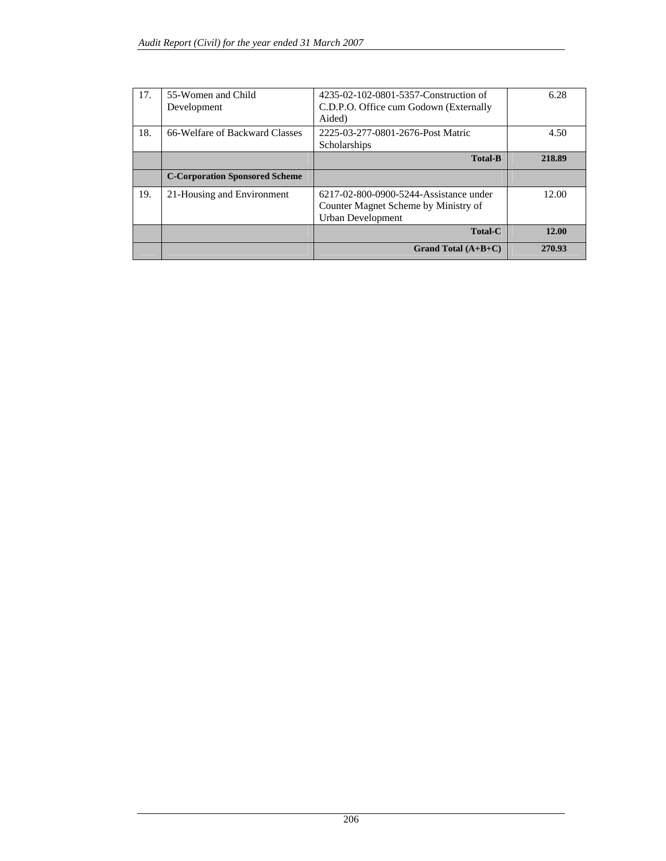| 17. | 55-Women and Child<br>Development     | 4235-02-102-0801-5357-Construction of<br>C.D.P.O. Office cum Godown (Externally<br>Aided)           | 6.28   |
|-----|---------------------------------------|-----------------------------------------------------------------------------------------------------|--------|
| 18. | 66-Welfare of Backward Classes        | 2225-03-277-0801-2676-Post Matric<br>Scholarships                                                   | 4.50   |
|     |                                       | <b>Total-B</b>                                                                                      | 218.89 |
|     | <b>C-Corporation Sponsored Scheme</b> |                                                                                                     |        |
| 19. | 21-Housing and Environment            | 6217-02-800-0900-5244-Assistance under<br>Counter Magnet Scheme by Ministry of<br>Urban Development | 12.00  |
|     |                                       | <b>Total-C</b>                                                                                      | 12.00  |
|     |                                       | Grand Total $(A+B+C)$                                                                               | 270.93 |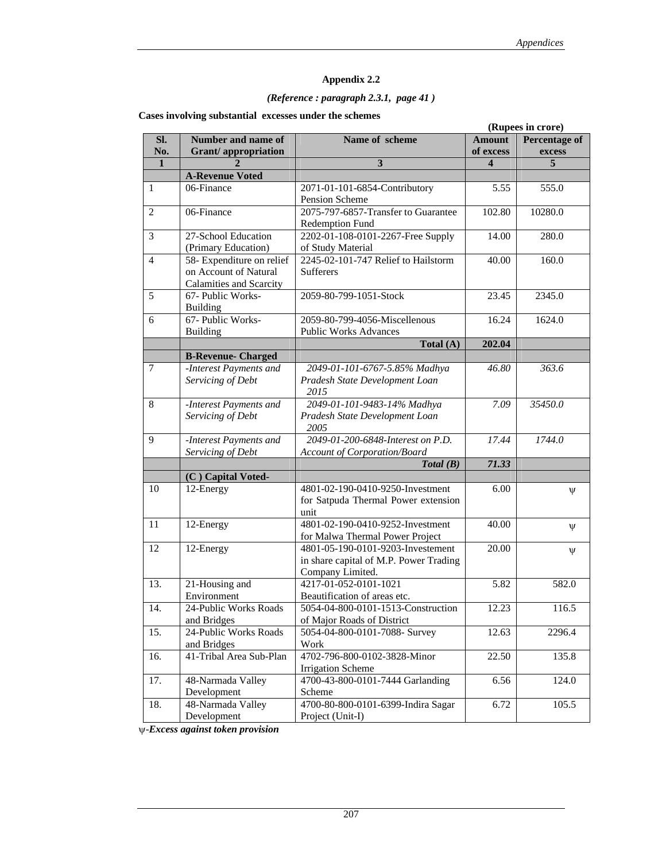### *(Reference : paragraph 2.3.1, page 41 )*

**Cases involving substantial excesses under the schemes** 

|                |                                |                                        | (Rupees in crore)       |                      |  |
|----------------|--------------------------------|----------------------------------------|-------------------------|----------------------|--|
| Sl.            | Number and name of             | Name of scheme                         | <b>Amount</b>           | <b>Percentage of</b> |  |
| No.            | <b>Grant/appropriation</b>     |                                        | of excess               | excess               |  |
| $\mathbf{1}$   |                                | 3                                      | $\overline{\mathbf{4}}$ | 5                    |  |
|                | <b>A-Revenue Voted</b>         |                                        |                         |                      |  |
| 1              | 06-Finance                     | 2071-01-101-6854-Contributory          | 5.55                    | 555.0                |  |
|                |                                | Pension Scheme                         |                         |                      |  |
| $\overline{2}$ | 06-Finance                     | 2075-797-6857-Transfer to Guarantee    | 102.80                  | 10280.0              |  |
|                |                                | Redemption Fund                        |                         |                      |  |
| 3              | 27-School Education            | 2202-01-108-0101-2267-Free Supply      | 14.00                   | 280.0                |  |
|                | (Primary Education)            | of Study Material                      |                         |                      |  |
| $\overline{4}$ |                                | 2245-02-101-747 Relief to Hailstorm    |                         |                      |  |
|                | 58- Expenditure on relief      |                                        | $\overline{40.00}$      | 160.0                |  |
|                | on Account of Natural          | Sufferers                              |                         |                      |  |
|                | <b>Calamities and Scarcity</b> |                                        |                         |                      |  |
| 5              | 67- Public Works-              | 2059-80-799-1051-Stock                 | 23.45                   | 2345.0               |  |
|                | <b>Building</b>                |                                        |                         |                      |  |
| 6              | 67- Public Works-              | 2059-80-799-4056-Miscellenous          | 16.24                   | 1624.0               |  |
|                | <b>Building</b>                | <b>Public Works Advances</b>           |                         |                      |  |
|                |                                | Total (A)                              | 202.04                  |                      |  |
|                | <b>B-Revenue- Charged</b>      |                                        |                         |                      |  |
| $\overline{7}$ | -Interest Payments and         | 2049-01-101-6767-5.85% Madhya          | 46.80                   | 363.6                |  |
|                | Servicing of Debt              | Pradesh State Development Loan         |                         |                      |  |
|                |                                | 2015                                   |                         |                      |  |
| 8              | -Interest Payments and         | 2049-01-101-9483-14% Madhya            | 7.09                    | 35450.0              |  |
|                | Servicing of Debt              | Pradesh State Development Loan         |                         |                      |  |
|                |                                | 2005                                   |                         |                      |  |
| 9              | -Interest Payments and         | 2049-01-200-6848-Interest on P.D.      | 17.44                   | 1744.0               |  |
|                | Servicing of Debt              | Account of Corporation/Board           |                         |                      |  |
|                |                                | Total(B)                               | 71.33                   |                      |  |
|                | (C) Capital Voted-             |                                        |                         |                      |  |
| 10             | 12-Energy                      | 4801-02-190-0410-9250-Investment       | 6.00                    |                      |  |
|                |                                | for Satpuda Thermal Power extension    |                         | $\Psi$               |  |
|                |                                | unit                                   |                         |                      |  |
| 11             | 12-Energy                      | 4801-02-190-0410-9252-Investment       | 40.00                   |                      |  |
|                |                                | for Malwa Thermal Power Project        |                         | Ψ                    |  |
| 12             |                                | 4801-05-190-0101-9203-Investement      |                         |                      |  |
|                | 12-Energy                      |                                        | 20.00                   | $\Psi$               |  |
|                |                                | in share capital of M.P. Power Trading |                         |                      |  |
|                |                                | Company Limited.                       |                         |                      |  |
| 13.            | 21-Housing and                 | 4217-01-052-0101-1021                  | 5.82                    | 582.0                |  |
|                | Environment                    | Beautification of areas etc.           |                         |                      |  |
| 14.            | 24-Public Works Roads          | 5054-04-800-0101-1513-Construction     | 12.23                   | 116.5                |  |
|                | and Bridges                    | of Major Roads of District             |                         |                      |  |
| 15.            | 24-Public Works Roads          | 5054-04-800-0101-7088- Survey          | 12.63                   | 2296.4               |  |
|                | and Bridges                    | Work                                   |                         |                      |  |
| 16.            | 41-Tribal Area Sub-Plan        | 4702-796-800-0102-3828-Minor           | 22.50                   | 135.8                |  |
|                |                                | <b>Irrigation Scheme</b>               |                         |                      |  |
| 17.            | 48-Narmada Valley              | 4700-43-800-0101-7444 Garlanding       | 6.56                    | 124.0                |  |
|                | Development                    | Scheme                                 |                         |                      |  |
| 18.            | 48-Narmada Valley              | 4700-80-800-0101-6399-Indira Sagar     | 6.72                    | 105.5                |  |
|                | Development                    | Project (Unit-I)                       |                         |                      |  |

ψ-*Excess against token provision*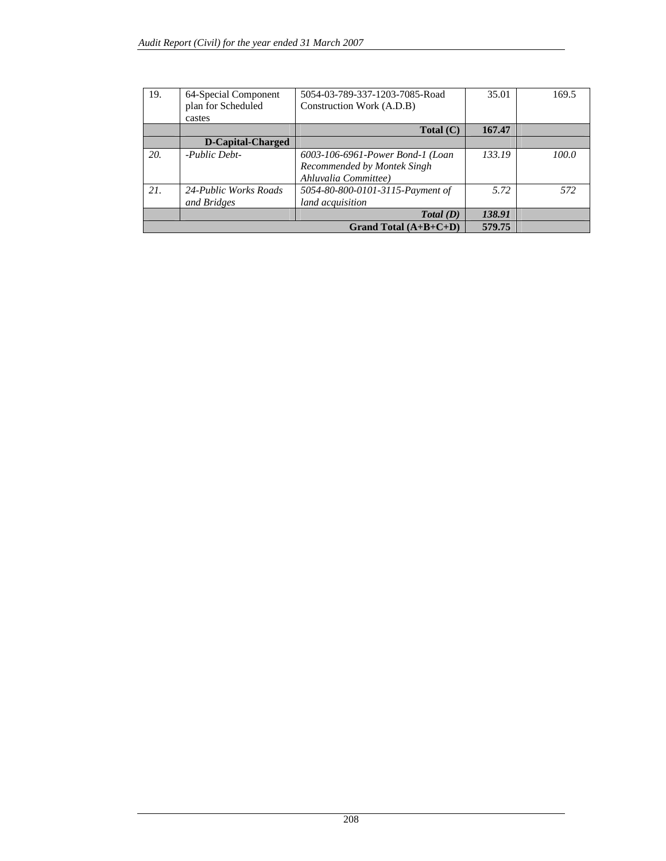| 19. | 64-Special Component<br>plan for Scheduled | 5054-03-789-337-1203-7085-Road<br>Construction Work (A.D.B) | 35.01  | 169.5 |
|-----|--------------------------------------------|-------------------------------------------------------------|--------|-------|
|     | castes                                     |                                                             |        |       |
|     |                                            | Total (C)                                                   | 167.47 |       |
|     | <b>D-Capital-Charged</b>                   |                                                             |        |       |
| 20. | -Public Debt-                              | 6003-106-6961-Power Bond-1 (Loan                            | 133.19 | 100.0 |
|     |                                            | Recommended by Montek Singh                                 |        |       |
|     |                                            | Ahluvalia Committee)                                        |        |       |
| 21. | 24-Public Works Roads                      | 5054-80-800-0101-3115-Payment of                            | 5.72   | 572   |
|     | and Bridges                                | land acquisition                                            |        |       |
|     |                                            | Total(D)                                                    | 138.91 |       |
|     |                                            | 579.75                                                      |        |       |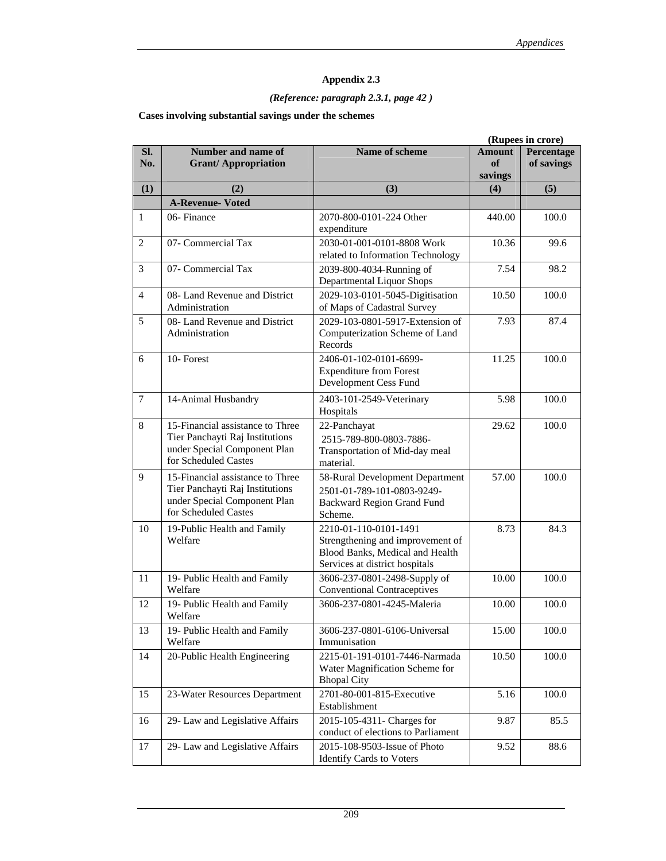### *(Reference: paragraph 2.3.1, page 42 )*

### **Cases involving substantial savings under the schemes**

|                |                                                                                                                             |                                                                                                                                |                                | (Rupees in crore)        |
|----------------|-----------------------------------------------------------------------------------------------------------------------------|--------------------------------------------------------------------------------------------------------------------------------|--------------------------------|--------------------------|
| SI.<br>No.     | Number and name of<br><b>Grant/Appropriation</b>                                                                            | Name of scheme                                                                                                                 | <b>Amount</b><br>of<br>savings | Percentage<br>of savings |
| (1)            | (2)                                                                                                                         | (3)                                                                                                                            | (4)                            | (5)                      |
|                | <b>A-Revenue- Voted</b>                                                                                                     |                                                                                                                                |                                |                          |
| 1              | 06-Finance                                                                                                                  | 2070-800-0101-224 Other<br>expenditure                                                                                         | 440.00                         | 100.0                    |
| 2              | 07- Commercial Tax                                                                                                          | 2030-01-001-0101-8808 Work<br>related to Information Technology                                                                | 10.36                          | 99.6                     |
| 3              | 07- Commercial Tax                                                                                                          | 2039-800-4034-Running of<br>Departmental Liquor Shops                                                                          | 7.54                           | 98.2                     |
| $\overline{4}$ | 08- Land Revenue and District<br>Administration                                                                             | 2029-103-0101-5045-Digitisation<br>of Maps of Cadastral Survey                                                                 | 10.50                          | 100.0                    |
| 5              | 08- Land Revenue and District<br>Administration                                                                             | 2029-103-0801-5917-Extension of<br>Computerization Scheme of Land<br>Records                                                   | 7.93                           | 87.4                     |
| 6              | 10-Forest                                                                                                                   | 2406-01-102-0101-6699-<br><b>Expenditure from Forest</b><br>Development Cess Fund                                              | 11.25                          | 100.0                    |
| $\tau$         | 14-Animal Husbandry                                                                                                         | 2403-101-2549-Veterinary<br>Hospitals                                                                                          | 5.98                           | 100.0                    |
| 8              | 15-Financial assistance to Three<br>Tier Panchayti Raj Institutions<br>under Special Component Plan<br>for Scheduled Castes | 22-Panchayat<br>2515-789-800-0803-7886-<br>Transportation of Mid-day meal<br>material.                                         | 29.62                          | 100.0                    |
| 9              | 15-Financial assistance to Three<br>Tier Panchayti Raj Institutions<br>under Special Component Plan<br>for Scheduled Castes | 58-Rural Development Department<br>2501-01-789-101-0803-9249-<br><b>Backward Region Grand Fund</b><br>Scheme.                  | 57.00                          | 100.0                    |
| 10             | 19-Public Health and Family<br>Welfare                                                                                      | 2210-01-110-0101-1491<br>Strengthening and improvement of<br>Blood Banks, Medical and Health<br>Services at district hospitals | 8.73                           | 84.3                     |
| 11             | 19- Public Health and Family<br>Welfare                                                                                     | 3606-237-0801-2498-Supply of<br><b>Conventional Contraceptives</b>                                                             | 10.00                          | 100.0                    |
| 12             | 19- Public Health and Family<br>Welfare                                                                                     | 3606-237-0801-4245-Maleria                                                                                                     | 10.00                          | 100.0                    |
| 13             | 19- Public Health and Family<br>Welfare                                                                                     | 3606-237-0801-6106-Universal<br>Immunisation                                                                                   | 15.00                          | 100.0                    |
| 14             | 20-Public Health Engineering                                                                                                | 2215-01-191-0101-7446-Narmada<br>Water Magnification Scheme for<br><b>Bhopal City</b>                                          | 10.50                          | 100.0                    |
| 15             | 23-Water Resources Department                                                                                               | 2701-80-001-815-Executive<br>Establishment                                                                                     | 5.16                           | 100.0                    |
| 16             | 29- Law and Legislative Affairs                                                                                             | 2015-105-4311- Charges for<br>conduct of elections to Parliament                                                               | 9.87                           | 85.5                     |
| 17             | 29- Law and Legislative Affairs                                                                                             | 2015-108-9503-Issue of Photo<br><b>Identify Cards to Voters</b>                                                                | 9.52                           | 88.6                     |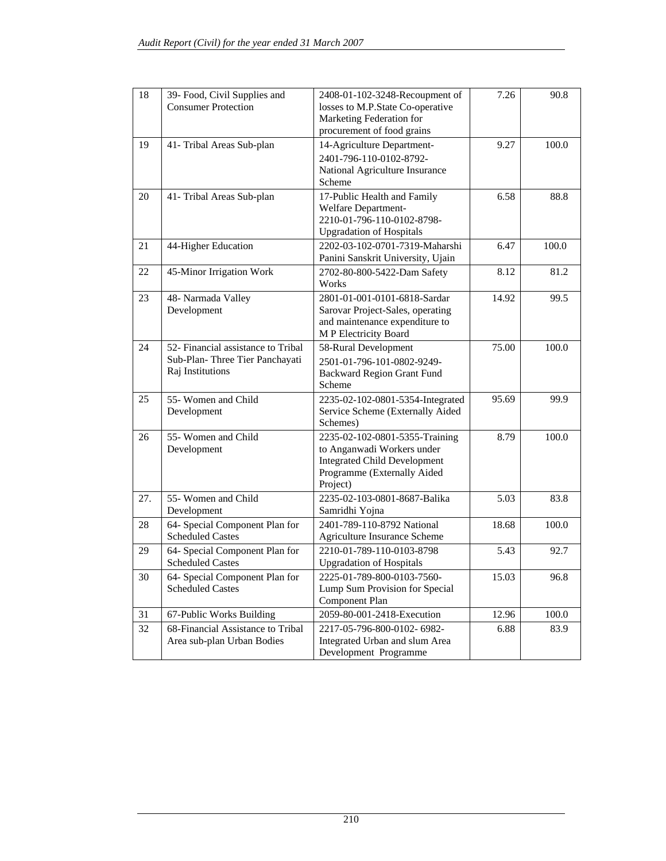| 18  | 39- Food, Civil Supplies and<br><b>Consumer Protection</b>                               | 2408-01-102-3248-Recoupment of<br>losses to M.P.State Co-operative<br>Marketing Federation for<br>procurement of food grains                   | 7.26  | 90.8  |
|-----|------------------------------------------------------------------------------------------|------------------------------------------------------------------------------------------------------------------------------------------------|-------|-------|
| 19  | 41- Tribal Areas Sub-plan                                                                | 14-Agriculture Department-<br>2401-796-110-0102-8792-<br>National Agriculture Insurance<br>Scheme                                              | 9.27  | 100.0 |
| 20  | 41- Tribal Areas Sub-plan                                                                | 17-Public Health and Family<br>Welfare Department-<br>2210-01-796-110-0102-8798-<br><b>Upgradation of Hospitals</b>                            | 6.58  | 88.8  |
| 21  | 44-Higher Education                                                                      | 2202-03-102-0701-7319-Maharshi<br>Panini Sanskrit University, Ujain                                                                            | 6.47  | 100.0 |
| 22  | 45-Minor Irrigation Work                                                                 | 2702-80-800-5422-Dam Safety<br>Works                                                                                                           | 8.12  | 81.2  |
| 23  | 48- Narmada Valley<br>Development                                                        | 2801-01-001-0101-6818-Sardar<br>Sarovar Project-Sales, operating<br>and maintenance expenditure to<br>M P Electricity Board                    | 14.92 | 99.5  |
| 24  | 52- Financial assistance to Tribal<br>Sub-Plan-Three Tier Panchayati<br>Raj Institutions | 58-Rural Development<br>2501-01-796-101-0802-9249-<br><b>Backward Region Grant Fund</b><br>Scheme                                              | 75.00 | 100.0 |
| 25  | 55- Women and Child<br>Development                                                       | 2235-02-102-0801-5354-Integrated<br>Service Scheme (Externally Aided<br>Schemes)                                                               | 95.69 | 99.9  |
| 26  | 55- Women and Child<br>Development                                                       | 2235-02-102-0801-5355-Training<br>to Anganwadi Workers under<br><b>Integrated Child Development</b><br>Programme (Externally Aided<br>Project) | 8.79  | 100.0 |
| 27. | 55- Women and Child<br>Development                                                       | 2235-02-103-0801-8687-Balika<br>Samridhi Yojna                                                                                                 | 5.03  | 83.8  |
| 28  | 64- Special Component Plan for<br><b>Scheduled Castes</b>                                | 2401-789-110-8792 National<br>Agriculture Insurance Scheme                                                                                     | 18.68 | 100.0 |
| 29  | 64- Special Component Plan for<br><b>Scheduled Castes</b>                                | 2210-01-789-110-0103-8798<br><b>Upgradation of Hospitals</b>                                                                                   | 5.43  | 92.7  |
| 30  | 64- Special Component Plan for<br><b>Scheduled Castes</b>                                | 2225-01-789-800-0103-7560-<br>Lump Sum Provision for Special<br>Component Plan                                                                 | 15.03 | 96.8  |
| 31  | 67-Public Works Building                                                                 | 2059-80-001-2418-Execution                                                                                                                     | 12.96 | 100.0 |
| 32  | 68-Financial Assistance to Tribal<br>Area sub-plan Urban Bodies                          | 2217-05-796-800-0102-6982-<br>Integrated Urban and slum Area<br>Development Programme                                                          | 6.88  | 83.9  |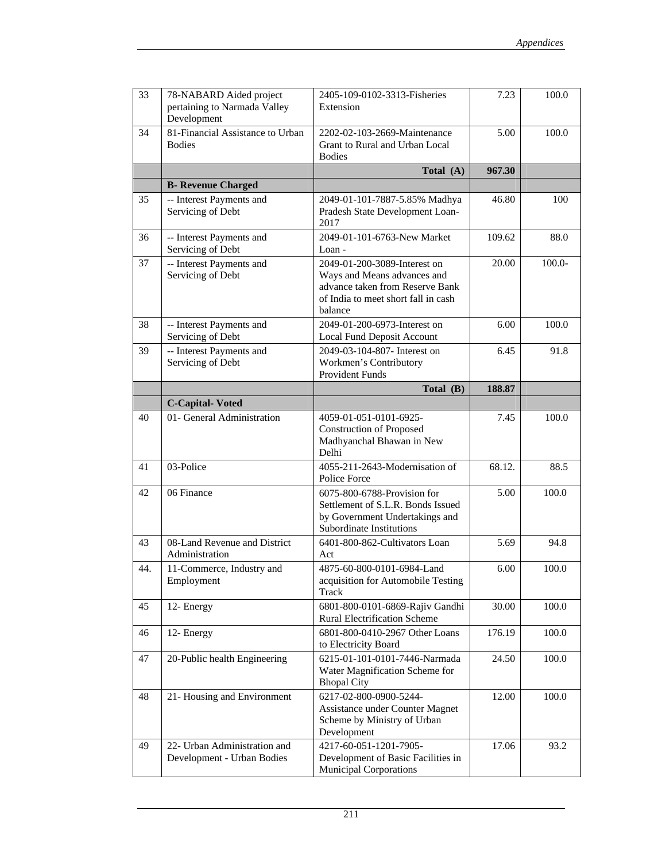| 33  | 78-NABARD Aided project<br>pertaining to Narmada Valley<br>Development | 2405-109-0102-3313-Fisheries<br>Extension                                                                                                        | 7.23   | 100.0     |
|-----|------------------------------------------------------------------------|--------------------------------------------------------------------------------------------------------------------------------------------------|--------|-----------|
| 34  | 81-Financial Assistance to Urban<br><b>Bodies</b>                      | 2202-02-103-2669-Maintenance<br>Grant to Rural and Urban Local<br><b>Bodies</b>                                                                  | 5.00   | 100.0     |
|     |                                                                        | Total (A)                                                                                                                                        | 967.30 |           |
|     | <b>B- Revenue Charged</b>                                              |                                                                                                                                                  |        |           |
| 35  | -- Interest Payments and<br>Servicing of Debt                          | 2049-01-101-7887-5.85% Madhya<br>Pradesh State Development Loan-<br>2017                                                                         | 46.80  | 100       |
| 36  | -- Interest Payments and<br>Servicing of Debt                          | 2049-01-101-6763-New Market<br>Loan -                                                                                                            | 109.62 | 88.0      |
| 37  | -- Interest Payments and<br>Servicing of Debt                          | 2049-01-200-3089-Interest on<br>Ways and Means advances and<br>advance taken from Reserve Bank<br>of India to meet short fall in cash<br>balance | 20.00  | $100.0 -$ |
| 38  | -- Interest Payments and<br>Servicing of Debt                          | 2049-01-200-6973-Interest on<br>Local Fund Deposit Account                                                                                       | 6.00   | 100.0     |
| 39  | -- Interest Payments and<br>Servicing of Debt                          | 2049-03-104-807- Interest on<br>Workmen's Contributory<br><b>Provident Funds</b>                                                                 | 6.45   | 91.8      |
|     |                                                                        | Total (B)                                                                                                                                        | 188.87 |           |
|     | <b>C-Capital-Voted</b>                                                 |                                                                                                                                                  |        |           |
| 40  | 01- General Administration                                             | 4059-01-051-0101-6925-<br><b>Construction of Proposed</b><br>Madhyanchal Bhawan in New<br>Delhi                                                  | 7.45   | 100.0     |
| 41  | 03-Police                                                              | 4055-211-2643-Modernisation of<br>Police Force                                                                                                   | 68.12. | 88.5      |
| 42  | 06 Finance                                                             | 6075-800-6788-Provision for<br>Settlement of S.L.R. Bonds Issued<br>by Government Undertakings and<br>Subordinate Institutions                   | 5.00   | 100.0     |
| 43  | 08-Land Revenue and District<br>Administration                         | 6401-800-862-Cultivators Loan<br>Act                                                                                                             | 5.69   | 94.8      |
| 44. | 11-Commerce, Industry and<br>Employment                                | 4875-60-800-0101-6984-Land<br>acquisition for Automobile Testing<br>Track                                                                        | 6.00   | 100.0     |
| 45  | 12- Energy                                                             | 6801-800-0101-6869-Rajiv Gandhi<br><b>Rural Electrification Scheme</b>                                                                           | 30.00  | 100.0     |
| 46  | 12- Energy                                                             | 6801-800-0410-2967 Other Loans<br>to Electricity Board                                                                                           | 176.19 | 100.0     |
| 47  | 20-Public health Engineering                                           | 6215-01-101-0101-7446-Narmada<br>Water Magnification Scheme for<br><b>Bhopal City</b>                                                            | 24.50  | 100.0     |
| 48  | 21- Housing and Environment                                            | 6217-02-800-0900-5244-<br>Assistance under Counter Magnet<br>Scheme by Ministry of Urban<br>Development                                          | 12.00  | 100.0     |
| 49  | 22- Urban Administration and<br>Development - Urban Bodies             | 4217-60-051-1201-7905-<br>Development of Basic Facilities in<br><b>Municipal Corporations</b>                                                    | 17.06  | 93.2      |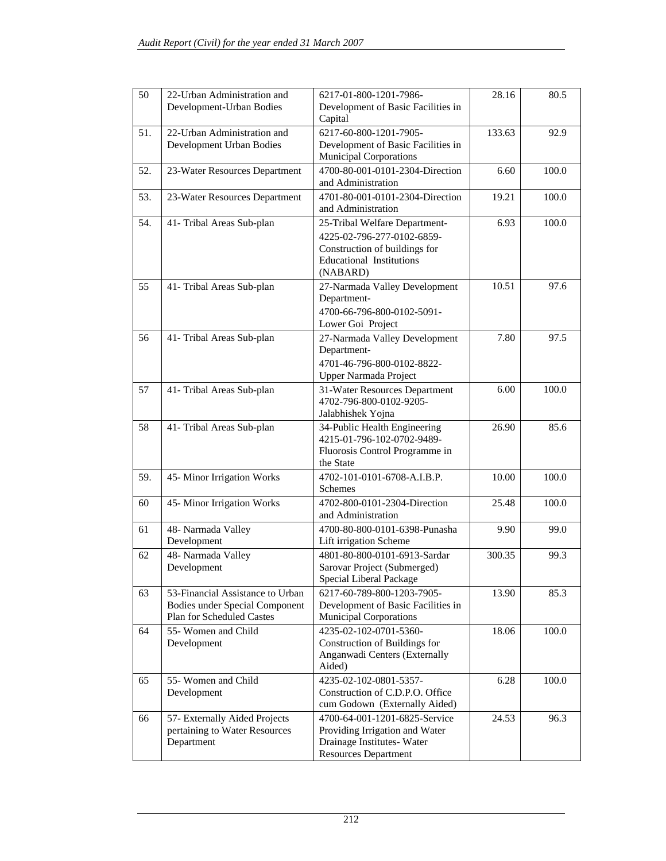| 50  | 22-Urban Administration and<br>Development-Urban Bodies                                                | 6217-01-800-1201-7986-<br>Development of Basic Facilities in<br>Capital                                                                     | 28.16  | 80.5  |
|-----|--------------------------------------------------------------------------------------------------------|---------------------------------------------------------------------------------------------------------------------------------------------|--------|-------|
| 51. | 22-Urban Administration and<br>Development Urban Bodies                                                | 6217-60-800-1201-7905-<br>Development of Basic Facilities in<br><b>Municipal Corporations</b>                                               | 133.63 | 92.9  |
| 52. | 23-Water Resources Department                                                                          | 4700-80-001-0101-2304-Direction<br>and Administration                                                                                       | 6.60   | 100.0 |
| 53. | 23-Water Resources Department                                                                          | 4701-80-001-0101-2304-Direction<br>and Administration                                                                                       | 19.21  | 100.0 |
| 54. | 41- Tribal Areas Sub-plan                                                                              | 25-Tribal Welfare Department-<br>4225-02-796-277-0102-6859-<br>Construction of buildings for<br><b>Educational Institutions</b><br>(NABARD) | 6.93   | 100.0 |
| 55  | 41- Tribal Areas Sub-plan                                                                              | 27-Narmada Valley Development<br>Department-<br>4700-66-796-800-0102-5091-<br>Lower Goi Project                                             | 10.51  | 97.6  |
| 56  | 41- Tribal Areas Sub-plan                                                                              | 27-Narmada Valley Development<br>Department-<br>4701-46-796-800-0102-8822-<br>Upper Narmada Project                                         | 7.80   | 97.5  |
| 57  | 41- Tribal Areas Sub-plan                                                                              | 31-Water Resources Department<br>4702-796-800-0102-9205-<br>Jalabhishek Yojna                                                               | 6.00   | 100.0 |
| 58  | 41- Tribal Areas Sub-plan                                                                              | 34-Public Health Engineering<br>4215-01-796-102-0702-9489-<br>Fluorosis Control Programme in<br>the State                                   | 26.90  | 85.6  |
| 59. | 45- Minor Irrigation Works                                                                             | 4702-101-0101-6708-A.I.B.P.<br>Schemes                                                                                                      | 10.00  | 100.0 |
| 60  | 45-Minor Irrigation Works                                                                              | 4702-800-0101-2304-Direction<br>and Administration                                                                                          | 25.48  | 100.0 |
| 61  | 48- Narmada Valley<br>Development                                                                      | 4700-80-800-0101-6398-Punasha<br>Lift irrigation Scheme                                                                                     | 9.90   | 99.0  |
| 62  | 48- Narmada Valley<br>Development                                                                      | 4801-80-800-0101-6913-Sardar<br>Sarovar Project (Submerged)<br>Special Liberal Package                                                      | 300.35 | 99.3  |
| 63  | 53-Financial Assistance to Urban<br><b>Bodies under Special Component</b><br>Plan for Scheduled Castes | 6217-60-789-800-1203-7905-<br>Development of Basic Facilities in<br><b>Municipal Corporations</b>                                           | 13.90  | 85.3  |
| 64  | 55- Women and Child<br>Development                                                                     | 4235-02-102-0701-5360-<br>Construction of Buildings for<br>Anganwadi Centers (Externally<br>Aided)                                          | 18.06  | 100.0 |
| 65  | 55- Women and Child<br>Development                                                                     | 4235-02-102-0801-5357-<br>Construction of C.D.P.O. Office<br>cum Godown (Externally Aided)                                                  | 6.28   | 100.0 |
| 66  | 57- Externally Aided Projects<br>pertaining to Water Resources<br>Department                           | 4700-64-001-1201-6825-Service<br>Providing Irrigation and Water<br>Drainage Institutes-Water<br><b>Resources Department</b>                 | 24.53  | 96.3  |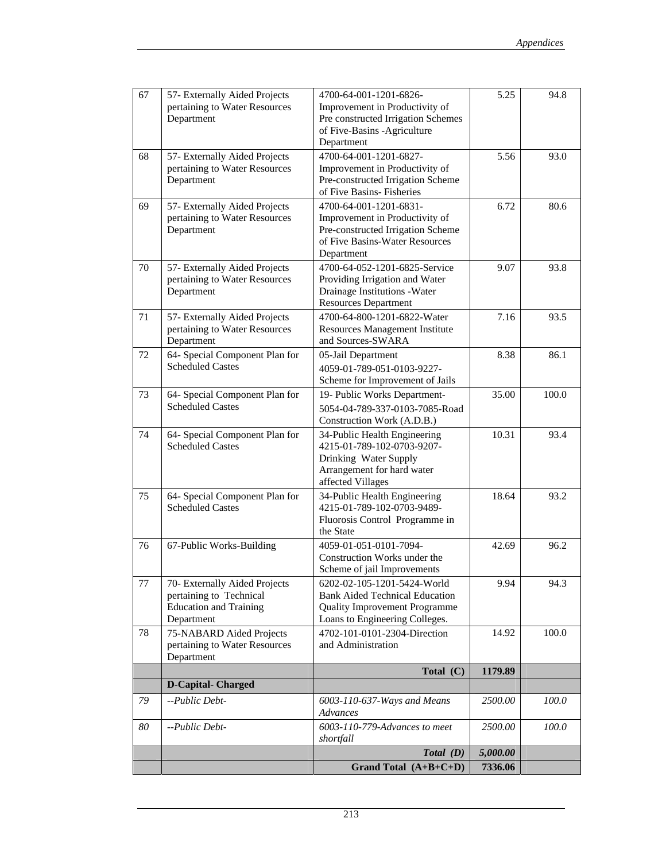| 67 | 57- Externally Aided Projects<br>pertaining to Water Resources<br>Department                            | 4700-64-001-1201-6826-<br>Improvement in Productivity of<br>Pre constructed Irrigation Schemes<br>of Five-Basins -Agriculture<br>Department    | 5.25     | 94.8  |
|----|---------------------------------------------------------------------------------------------------------|------------------------------------------------------------------------------------------------------------------------------------------------|----------|-------|
| 68 | 57- Externally Aided Projects<br>pertaining to Water Resources<br>Department                            | 4700-64-001-1201-6827-<br>Improvement in Productivity of<br>Pre-constructed Irrigation Scheme<br>of Five Basins-Fisheries                      | 5.56     | 93.0  |
| 69 | 57- Externally Aided Projects<br>pertaining to Water Resources<br>Department                            | 4700-64-001-1201-6831-<br>Improvement in Productivity of<br>Pre-constructed Irrigation Scheme<br>of Five Basins-Water Resources<br>Department  | 6.72     | 80.6  |
| 70 | 57- Externally Aided Projects<br>pertaining to Water Resources<br>Department                            | 4700-64-052-1201-6825-Service<br>Providing Irrigation and Water<br>Drainage Institutions - Water<br><b>Resources Department</b>                | 9.07     | 93.8  |
| 71 | 57- Externally Aided Projects<br>pertaining to Water Resources<br>Department                            | 4700-64-800-1201-6822-Water<br><b>Resources Management Institute</b><br>and Sources-SWARA                                                      | 7.16     | 93.5  |
| 72 | 64- Special Component Plan for<br><b>Scheduled Castes</b>                                               | 05-Jail Department<br>4059-01-789-051-0103-9227-<br>Scheme for Improvement of Jails                                                            | 8.38     | 86.1  |
| 73 | 64- Special Component Plan for<br><b>Scheduled Castes</b>                                               | 19- Public Works Department-<br>5054-04-789-337-0103-7085-Road<br>Construction Work (A.D.B.)                                                   | 35.00    | 100.0 |
| 74 | 64- Special Component Plan for<br><b>Scheduled Castes</b>                                               | 34-Public Health Engineering<br>4215-01-789-102-0703-9207-<br>Drinking Water Supply<br>Arrangement for hard water<br>affected Villages         | 10.31    | 93.4  |
| 75 | 64- Special Component Plan for<br><b>Scheduled Castes</b>                                               | 34-Public Health Engineering<br>4215-01-789-102-0703-9489-<br>Fluorosis Control Programme in<br>the State                                      | 18.64    | 93.2  |
| 76 | 67-Public Works-Building                                                                                | 4059-01-051-0101-7094-<br>Construction Works under the<br>Scheme of jail Improvements                                                          | 42.69    | 96.2  |
| 77 | 70- Externally Aided Projects<br>pertaining to Technical<br><b>Education</b> and Training<br>Department | 6202-02-105-1201-5424-World<br><b>Bank Aided Technical Education</b><br><b>Quality Improvement Programme</b><br>Loans to Engineering Colleges. | 9.94     | 94.3  |
| 78 | 75-NABARD Aided Projects<br>pertaining to Water Resources<br>Department                                 | 4702-101-0101-2304-Direction<br>and Administration                                                                                             | 14.92    | 100.0 |
|    |                                                                                                         | Total (C)                                                                                                                                      | 1179.89  |       |
|    | <b>D-Capital-Charged</b>                                                                                |                                                                                                                                                |          |       |
| 79 | --Public Debt-                                                                                          | 6003-110-637-Ways and Means<br>Advances                                                                                                        | 2500.00  | 100.0 |
| 80 | --Public Debt-                                                                                          | 6003-110-779-Advances to meet<br>shortfall                                                                                                     | 2500.00  | 100.0 |
|    |                                                                                                         | Total (D)                                                                                                                                      | 5,000.00 |       |
|    |                                                                                                         | Grand Total $(A+B+C+D)$                                                                                                                        | 7336.06  |       |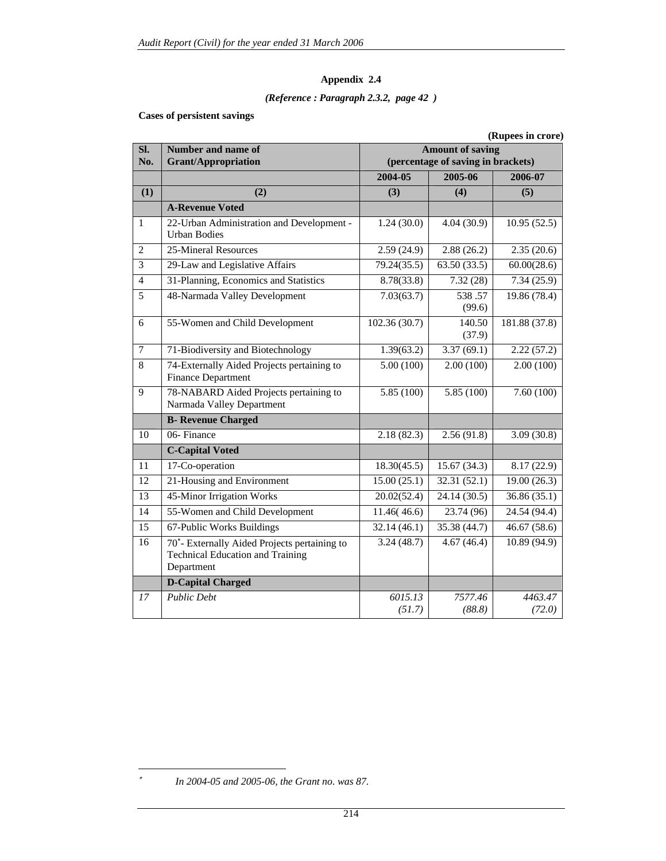### *(Reference : Paragraph 2.3.2, page 42 )*

### **Cases of persistent savings**

|                |                                                                                                                    |                         |                                    | (Rupees in crore)         |  |  |
|----------------|--------------------------------------------------------------------------------------------------------------------|-------------------------|------------------------------------|---------------------------|--|--|
| Sl.            | Number and name of                                                                                                 | <b>Amount of saving</b> |                                    |                           |  |  |
| No.            | <b>Grant/Appropriation</b>                                                                                         |                         | (percentage of saving in brackets) |                           |  |  |
|                |                                                                                                                    | 2004-05                 | 2005-06                            | 2006-07                   |  |  |
| (1)            | (2)                                                                                                                | (3)                     | (4)                                | (5)                       |  |  |
|                | <b>A-Revenue Voted</b>                                                                                             |                         |                                    |                           |  |  |
| $\mathbf{1}$   | 22-Urban Administration and Development -<br><b>Urban Bodies</b>                                                   | 1.24(30.0)              | 4.04(30.9)                         | 10.95(52.5)               |  |  |
| $\overline{2}$ | 25-Mineral Resources                                                                                               | 2.59(24.9)              | 2.88(26.2)                         | 2.35(20.6)                |  |  |
| $\overline{3}$ | 29-Law and Legislative Affairs                                                                                     | 79.24(35.5)             | 63.50(33.5)                        | 60.00(28.6)               |  |  |
| $\overline{4}$ | 31-Planning, Economics and Statistics                                                                              | 8.78(33.8)              | 7.32(28)                           | 7.34(25.9)                |  |  |
| 5              | 48-Narmada Valley Development                                                                                      | 7.03(63.7)              | 538.57<br>(99.6)                   | 19.86 (78.4)              |  |  |
| 6              | 55-Women and Child Development                                                                                     | 102.36 (30.7)           | 140.50<br>(37.9)                   | 181.88 (37.8)             |  |  |
| $\overline{7}$ | 71-Biodiversity and Biotechnology                                                                                  | 1.39(63.2)              | 3.37(69.1)                         | 2.22(57.2)                |  |  |
| 8              | 74-Externally Aided Projects pertaining to<br><b>Finance Department</b>                                            | 5.00(100)               | 2.00(100)                          | 2.00(100)                 |  |  |
| $\mathbf{Q}$   | 78-NABARD Aided Projects pertaining to<br>Narmada Valley Department                                                | 5.85 (100)              | 5.85 (100)                         | 7.60(100)                 |  |  |
|                | <b>B- Revenue Charged</b>                                                                                          |                         |                                    |                           |  |  |
| 10             | 06-Finance                                                                                                         | 2.18(82.3)              | 2.56(91.8)                         | 3.09(30.8)                |  |  |
|                | <b>C-Capital Voted</b>                                                                                             |                         |                                    |                           |  |  |
| 11             | 17-Co-operation                                                                                                    | 18.30(45.5)             | 15.67(34.3)                        | 8.17(22.9)                |  |  |
| 12             | 21-Housing and Environment                                                                                         | 15.00(25.1)             | 32.31(52.1)                        | 19.00(26.3)               |  |  |
| 13             | 45-Minor Irrigation Works                                                                                          | 20.02(52.4)             | 24.14 (30.5)                       | 36.86 (35.1)              |  |  |
| 14             | 55-Women and Child Development                                                                                     | 11.46(46.6)             | 23.74 (96)                         | 24.54 (94.4)              |  |  |
| 15             | 67-Public Works Buildings                                                                                          | 32.14(46.1)             | 35.38 (44.7)                       | $\overline{46.67}$ (58.6) |  |  |
| 16             | 70 <sup>*</sup> - Externally Aided Projects pertaining to<br><b>Technical Education and Training</b><br>Department | 3.24(48.7)              | 4.67(46.4)                         | 10.89 (94.9)              |  |  |
|                | <b>D-Capital Charged</b>                                                                                           |                         |                                    |                           |  |  |
| 17             | <b>Public Debt</b>                                                                                                 | 6015.13<br>(51.7)       | 7577.46<br>(88.8)                  | 4463.47<br>(72.0)         |  |  |

∗ *In 2004-05 and 2005-06, the Grant no. was 87.* 

 $\overline{a}$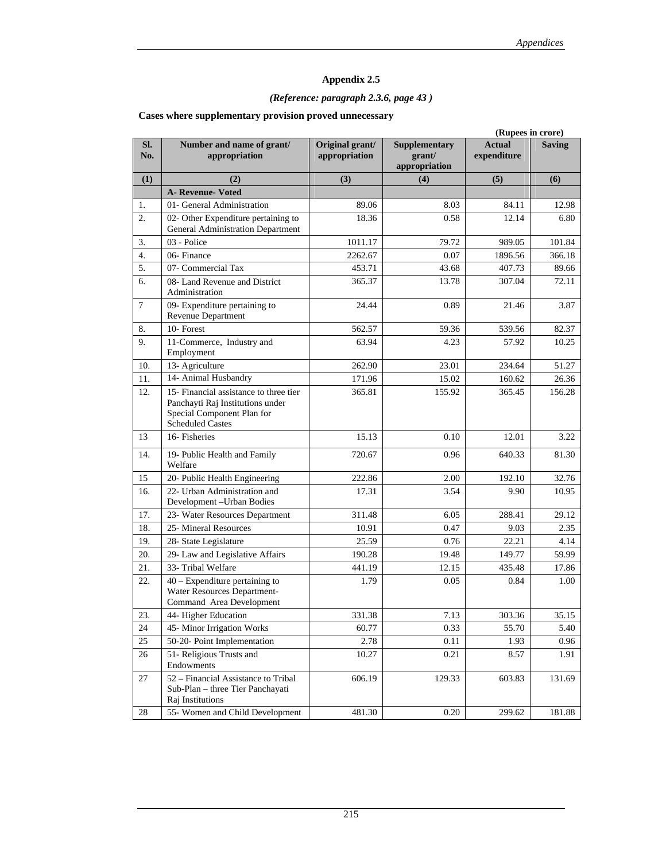## *(Reference: paragraph 2.3.6, page 43 )*

|            |                                                                                                                                     |                                  |                                                 | (Rupees in crore)            |               |
|------------|-------------------------------------------------------------------------------------------------------------------------------------|----------------------------------|-------------------------------------------------|------------------------------|---------------|
| SI.<br>No. | Number and name of grant/<br>appropriation                                                                                          | Original grant/<br>appropriation | <b>Supplementary</b><br>grant/<br>appropriation | <b>Actual</b><br>expenditure | <b>Saving</b> |
| (1)        | (2)                                                                                                                                 | (3)                              | (4)                                             | (5)                          | (6)           |
|            | A- Revenue-Voted                                                                                                                    |                                  |                                                 |                              |               |
| 1.         | 01- General Administration                                                                                                          | 89.06                            | 8.03                                            | 84.11                        | 12.98         |
| 2.         | 02- Other Expenditure pertaining to                                                                                                 | 18.36                            | 0.58                                            | 12.14                        | 6.80          |
|            | General Administration Department                                                                                                   |                                  |                                                 |                              |               |
| 3.         | 03 - Police                                                                                                                         | 1011.17                          | 79.72                                           | 989.05                       | 101.84        |
| 4.         | 06-Finance                                                                                                                          | 2262.67                          | 0.07                                            | 1896.56                      | 366.18        |
| 5.         | 07- Commercial Tax                                                                                                                  | 453.71                           | 43.68                                           | 407.73                       | 89.66         |
| 6.         | 08- Land Revenue and District<br>Administration                                                                                     | 365.37                           | 13.78                                           | 307.04                       | 72.11         |
| $\tau$     | 09- Expenditure pertaining to<br><b>Revenue Department</b>                                                                          | 24.44                            | 0.89                                            | 21.46                        | 3.87          |
| 8.         | 10-Forest                                                                                                                           | 562.57                           | 59.36                                           | 539.56                       | 82.37         |
| 9.         | 11-Commerce, Industry and<br>Employment                                                                                             | 63.94                            | 4.23                                            | 57.92                        | 10.25         |
| 10.        | 13- Agriculture                                                                                                                     | 262.90                           | 23.01                                           | 234.64                       | 51.27         |
| 11.        | 14- Animal Husbandry                                                                                                                | 171.96                           | 15.02                                           | 160.62                       | 26.36         |
| 12.        | 15- Financial assistance to three tier<br>Panchayti Raj Institutions under<br>Special Component Plan for<br><b>Scheduled Castes</b> | 365.81                           | 155.92                                          | 365.45                       | 156.28        |
| 13         | 16-Fisheries                                                                                                                        | 15.13                            | 0.10                                            | 12.01                        | 3.22          |
| 14.        | 19- Public Health and Family<br>Welfare                                                                                             | 720.67                           | 0.96                                            | 640.33                       | 81.30         |
| 15         | 20- Public Health Engineering                                                                                                       | 222.86                           | 2.00                                            | 192.10                       | 32.76         |
| 16.        | 22- Urban Administration and<br>Development-Urban Bodies                                                                            | 17.31                            | 3.54                                            | 9.90                         | 10.95         |
| 17.        | 23- Water Resources Department                                                                                                      | 311.48                           | 6.05                                            | 288.41                       | 29.12         |
| 18.        | 25- Mineral Resources                                                                                                               | 10.91                            | 0.47                                            | 9.03                         | 2.35          |
| 19.        | 28- State Legislature                                                                                                               | 25.59                            | 0.76                                            | 22.21                        | 4.14          |
| 20.        | 29- Law and Legislative Affairs                                                                                                     | 190.28                           | 19.48                                           | 149.77                       | 59.99         |
| 21.        | 33- Tribal Welfare                                                                                                                  | 441.19                           | 12.15                                           | 435.48                       | 17.86         |
| 22.        | $40$ – Expenditure pertaining to<br>Water Resources Department-<br>Command Area Development                                         | 1.79                             | 0.05                                            | 0.84                         | 1.00          |
| 23.        | 44- Higher Education                                                                                                                | 331.38                           | 7.13                                            | 303.36                       | 35.15         |
| 24         | 45- Minor Irrigation Works                                                                                                          | 60.77                            | 0.33                                            | 55.70                        | 5.40          |
| 25         | 50-20- Point Implementation                                                                                                         | 2.78                             | 0.11                                            | 1.93                         | 0.96          |
| 26         | 51- Religious Trusts and<br>Endowments                                                                                              | 10.27                            | 0.21                                            | 8.57                         | 1.91          |
| 27         | 52 - Financial Assistance to Tribal<br>Sub-Plan - three Tier Panchayati<br>Raj Institutions                                         | 606.19                           | 129.33                                          | 603.83                       | 131.69        |
| 28         | 55- Women and Child Development                                                                                                     | 481.30                           | 0.20                                            | 299.62                       | 181.88        |

### **Cases where supplementary provision proved unnecessary**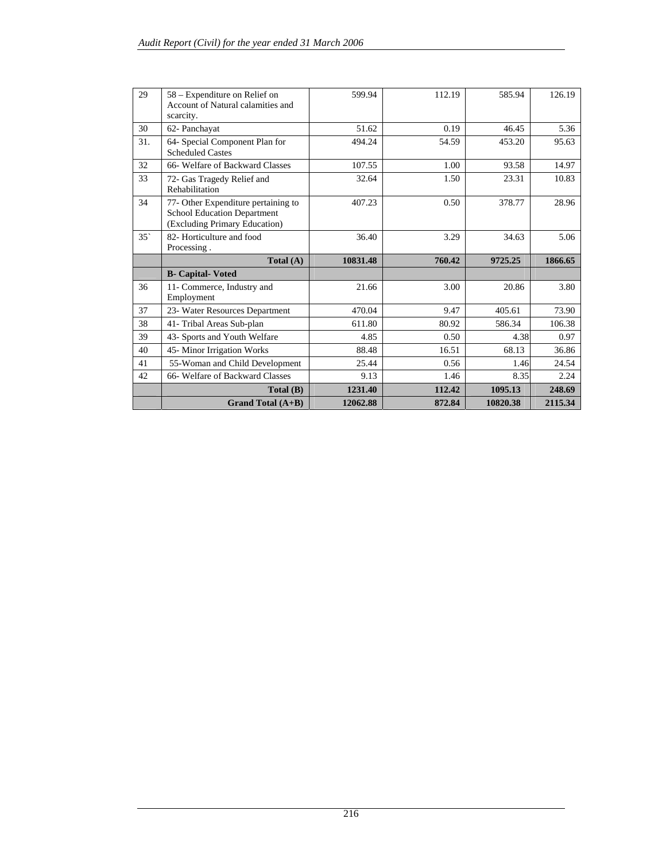| 29         | 58 – Expenditure on Relief on<br>Account of Natural calamities and<br>scarcity.                            | 599.94   | 112.19 | 585.94  | 126.19  |
|------------|------------------------------------------------------------------------------------------------------------|----------|--------|---------|---------|
| 30         | 62- Panchayat                                                                                              | 51.62    | 0.19   | 46.45   | 5.36    |
| 31.        | 64- Special Component Plan for<br><b>Scheduled Castes</b>                                                  | 494.24   | 54.59  | 453.20  | 95.63   |
| 32         | 66- Welfare of Backward Classes                                                                            | 107.55   | 1.00   | 93.58   | 14.97   |
| 33         | 72- Gas Tragedy Relief and<br>Rehabilitation                                                               | 32.64    | 1.50   | 23.31   | 10.83   |
| 34         | 77- Other Expenditure pertaining to<br><b>School Education Department</b><br>(Excluding Primary Education) | 407.23   | 0.50   | 378.77  | 28.96   |
| $35^\circ$ | 82- Horticulture and food<br>Processing.                                                                   | 36.40    | 3.29   | 34.63   | 5.06    |
|            | Total $(A)$                                                                                                | 10831.48 | 760.42 | 9725.25 | 1866.65 |
|            |                                                                                                            |          |        |         |         |
|            | <b>B-</b> Capital-Voted                                                                                    |          |        |         |         |
| 36         | 11- Commerce, Industry and<br>Employment                                                                   | 21.66    | 3.00   | 20.86   | 3.80    |
| 37         | 23- Water Resources Department                                                                             | 470.04   | 9.47   | 405.61  | 73.90   |
| 38         | 41- Tribal Areas Sub-plan                                                                                  | 611.80   | 80.92  | 586.34  | 106.38  |
| 39         | 43- Sports and Youth Welfare                                                                               | 4.85     | 0.50   | 4.38    | 0.97    |
| 40         | 45- Minor Irrigation Works                                                                                 | 88.48    | 16.51  | 68.13   | 36.86   |
| 41         | 55-Woman and Child Development                                                                             | 25.44    | 0.56   | 1.46    | 24.54   |
| 42         | 66- Welfare of Backward Classes                                                                            | 9.13     | 1.46   | 8.35    | 2.24    |
|            | Total(B)                                                                                                   | 1231.40  | 112.42 | 1095.13 | 248.69  |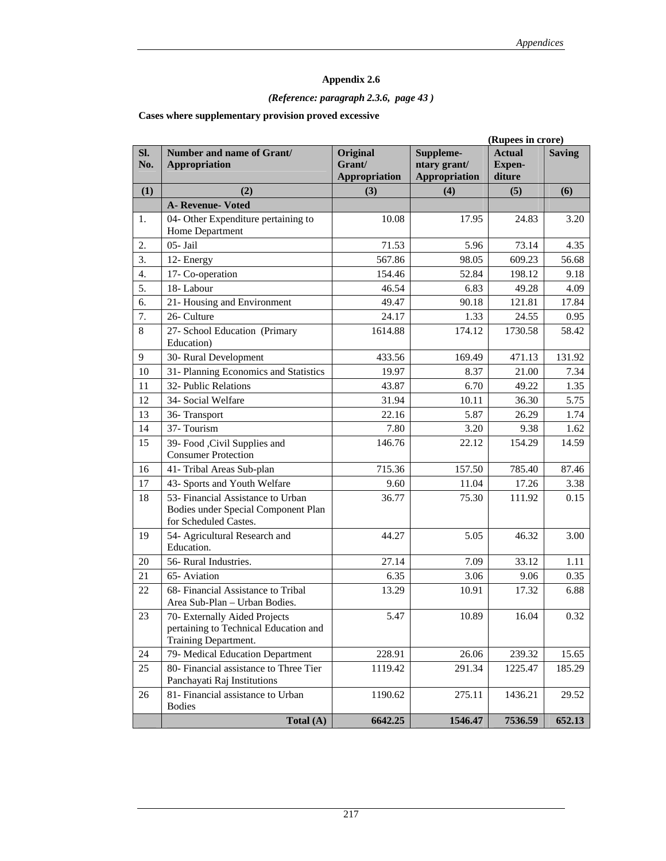## *(Reference: paragraph 2.3.6, page 43 )*

### **Cases where supplementary provision proved excessive**

|            | (Rupees in crore)                                                                                 |                                            |                                                   |                                          |               |
|------------|---------------------------------------------------------------------------------------------------|--------------------------------------------|---------------------------------------------------|------------------------------------------|---------------|
| SI.<br>No. | Number and name of Grant/<br><b>Appropriation</b>                                                 | Original<br>Grant/<br><b>Appropriation</b> | Suppleme-<br>ntary grant/<br><b>Appropriation</b> | <b>Actual</b><br><b>Expen-</b><br>diture | <b>Saving</b> |
| (1)        | (2)                                                                                               | (3)                                        | (4)                                               | (5)                                      | (6)           |
|            | <b>A- Revenue- Voted</b>                                                                          |                                            |                                                   |                                          |               |
| 1.         | 04- Other Expenditure pertaining to                                                               | 10.08                                      | 17.95                                             | 24.83                                    | 3.20          |
|            | Home Department                                                                                   |                                            |                                                   |                                          |               |
| 2.         | 05- Jail                                                                                          | 71.53                                      | 5.96                                              | 73.14                                    | 4.35          |
| 3.         | 12- Energy                                                                                        | 567.86                                     | 98.05                                             | 609.23                                   | 56.68         |
| 4.         | 17- Co-operation                                                                                  | 154.46                                     | 52.84                                             | 198.12                                   | 9.18          |
| 5.         | 18-Labour                                                                                         | 46.54                                      | 6.83                                              | 49.28                                    | 4.09          |
| 6.         | 21- Housing and Environment                                                                       | 49.47                                      | 90.18                                             | 121.81                                   | 17.84         |
| 7.         | 26- Culture                                                                                       | 24.17                                      | 1.33                                              | 24.55                                    | 0.95          |
| 8          | 27- School Education (Primary<br>Education)                                                       | 1614.88                                    | 174.12                                            | 1730.58                                  | 58.42         |
| 9          | 30- Rural Development                                                                             | 433.56                                     | 169.49                                            | 471.13                                   | 131.92        |
| 10         | 31- Planning Economics and Statistics                                                             | 19.97                                      | 8.37                                              | 21.00                                    | 7.34          |
| 11         | 32- Public Relations                                                                              | 43.87                                      | 6.70                                              | 49.22                                    | 1.35          |
| 12         | 34- Social Welfare                                                                                | 31.94                                      | 10.11                                             | 36.30                                    | 5.75          |
| 13         | 36-Transport                                                                                      | 22.16                                      | 5.87                                              | 26.29                                    | 1.74          |
| 14         | 37-Tourism                                                                                        | 7.80                                       | 3.20                                              | 9.38                                     | 1.62          |
| 15         | 39- Food , Civil Supplies and<br><b>Consumer Protection</b>                                       | 146.76                                     | 22.12                                             | 154.29                                   | 14.59         |
| 16         | 41- Tribal Areas Sub-plan                                                                         | 715.36                                     | 157.50                                            | 785.40                                   | 87.46         |
| 17         | 43- Sports and Youth Welfare                                                                      | 9.60                                       | 11.04                                             | 17.26                                    | 3.38          |
| 18         | 53- Financial Assistance to Urban<br>Bodies under Special Component Plan<br>for Scheduled Castes. | 36.77                                      | 75.30                                             | 111.92                                   | 0.15          |
| 19         | 54- Agricultural Research and<br>Education.                                                       | 44.27                                      | 5.05                                              | 46.32                                    | 3.00          |
| 20         | 56- Rural Industries.                                                                             | 27.14                                      | 7.09                                              | 33.12                                    | 1.11          |
| 21         | 65-Aviation                                                                                       | 6.35                                       | 3.06                                              | 9.06                                     | 0.35          |
| 22         | 68- Financial Assistance to Tribal<br>Area Sub-Plan - Urban Bodies.                               | 13.29                                      | 10.91                                             | 17.32                                    | 6.88          |
| 23         | 70- Externally Aided Projects<br>pertaining to Technical Education and<br>Training Department.    | 5.47                                       | 10.89                                             | 16.04                                    | 0.32          |
| 24         | 79- Medical Education Department                                                                  | 228.91                                     | 26.06                                             | 239.32                                   | 15.65         |
| 25         | 80- Financial assistance to Three Tier<br>Panchayati Raj Institutions                             | 1119.42                                    | 291.34                                            | 1225.47                                  | 185.29        |
| 26         | 81- Financial assistance to Urban<br><b>Bodies</b>                                                | 1190.62                                    | 275.11                                            | 1436.21                                  | 29.52         |
|            | Total (A)                                                                                         | 6642.25                                    | 1546.47                                           | 7536.59                                  | 652.13        |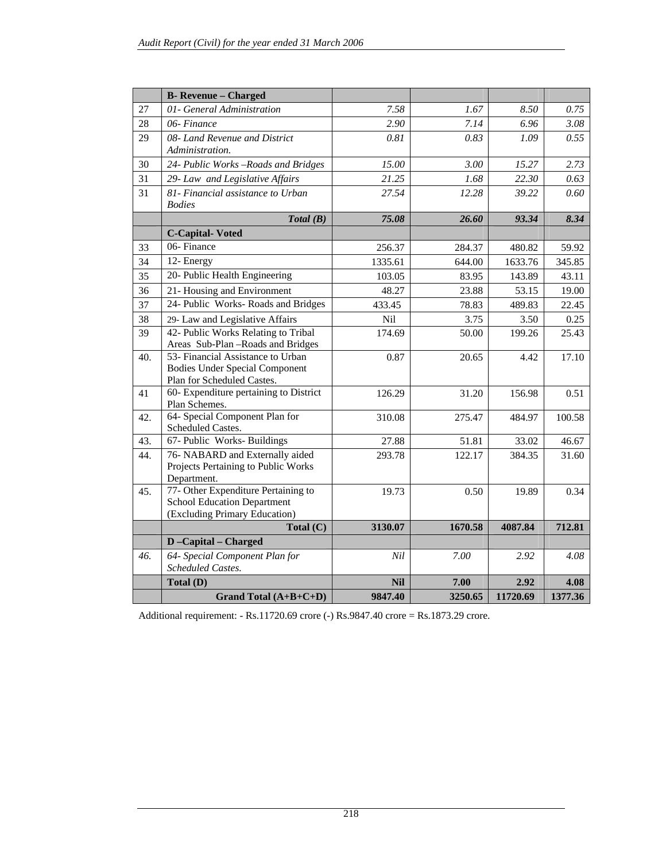|     | <b>B-</b> Revenue - Charged                                                                                |            |         |          |         |
|-----|------------------------------------------------------------------------------------------------------------|------------|---------|----------|---------|
| 27  | 01- General Administration                                                                                 | 7.58       | 1.67    | 8.50     | 0.75    |
| 28  | 06-Finance                                                                                                 | 2.90       | 7.14    | 6.96     | 3.08    |
| 29  | 08- Land Revenue and District<br>Administration.                                                           | 0.81       | 0.83    | 1.09     | 0.55    |
| 30  | 24- Public Works-Roads and Bridges                                                                         | 15.00      | 3.00    | 15.27    | 2.73    |
| 31  | 29- Law and Legislative Affairs                                                                            | 21.25      | 1.68    | 22.30    | 0.63    |
| 31  | 81- Financial assistance to Urban<br><b>Bodies</b>                                                         | 27.54      | 12.28   | 39.22    | 0.60    |
|     | Total(B)                                                                                                   | 75.08      | 26.60   | 93.34    | 8.34    |
|     | <b>C-Capital-Voted</b>                                                                                     |            |         |          |         |
| 33  | 06-Finance                                                                                                 | 256.37     | 284.37  | 480.82   | 59.92   |
| 34  | $12$ - Energy                                                                                              | 1335.61    | 644.00  | 1633.76  | 345.85  |
| 35  | 20- Public Health Engineering                                                                              | 103.05     | 83.95   | 143.89   | 43.11   |
| 36  | 21- Housing and Environment                                                                                | 48.27      | 23.88   | 53.15    | 19.00   |
| 37  | 24- Public Works-Roads and Bridges                                                                         | 433.45     | 78.83   | 489.83   | 22.45   |
| 38  | 29- Law and Legislative Affairs                                                                            | Nil        | 3.75    | 3.50     | 0.25    |
| 39  | 42- Public Works Relating to Tribal                                                                        | 174.69     | 50.00   | 199.26   | 25.43   |
|     | Areas Sub-Plan -Roads and Bridges                                                                          |            |         |          |         |
| 40. | 53- Financial Assistance to Urban<br><b>Bodies Under Special Component</b><br>Plan for Scheduled Castes.   | 0.87       | 20.65   | 4.42     | 17.10   |
| 41  | 60- Expenditure pertaining to District<br>Plan Schemes.                                                    | 126.29     | 31.20   | 156.98   | 0.51    |
| 42. | 64- Special Component Plan for<br>Scheduled Castes.                                                        | 310.08     | 275.47  | 484.97   | 100.58  |
| 43. | 67- Public Works- Buildings                                                                                | 27.88      | 51.81   | 33.02    | 46.67   |
| 44. | 76- NABARD and Externally aided<br>Projects Pertaining to Public Works<br>Department.                      | 293.78     | 122.17  | 384.35   | 31.60   |
| 45. | 77- Other Expenditure Pertaining to<br><b>School Education Department</b><br>(Excluding Primary Education) | 19.73      | 0.50    | 19.89    | 0.34    |
|     | Total $(C)$                                                                                                | 3130.07    | 1670.58 | 4087.84  | 712.81  |
|     | D-Capital - Charged                                                                                        |            |         |          |         |
| 46. | 64- Special Component Plan for<br>Scheduled Castes.                                                        | Nil        | 7.00    | 2.92     | 4.08    |
|     | Total (D)                                                                                                  | <b>Nil</b> | 7.00    | 2.92     | 4.08    |
|     | Grand Total $(A+B+C+D)$                                                                                    | 9847.40    | 3250.65 | 11720.69 | 1377.36 |

Additional requirement: - Rs.11720.69 crore (-) Rs.9847.40 crore = Rs.1873.29 crore.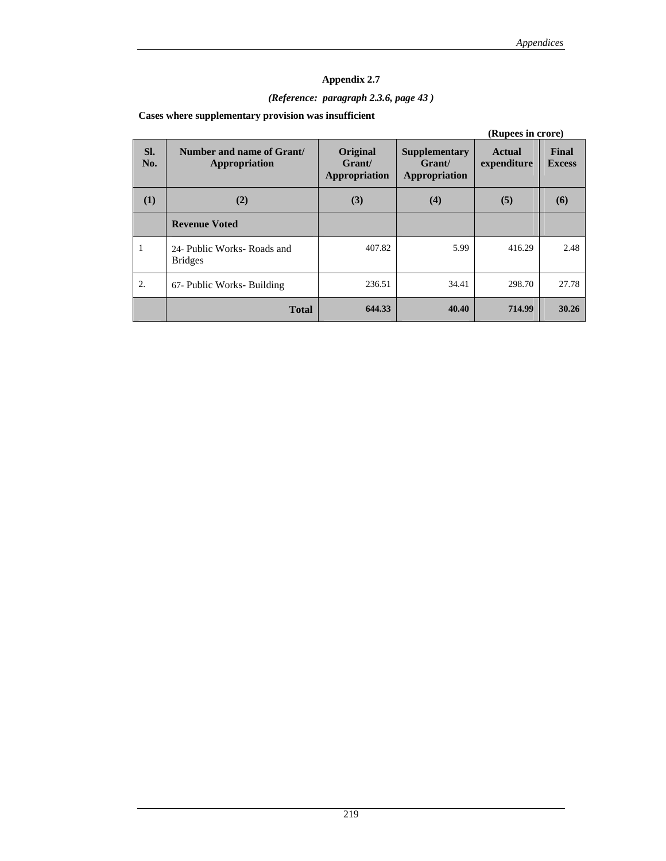## *(Reference: paragraph 2.3.6, page 43 )*

### **Cases where supplementary provision was insufficient**

|            | (Rupees in crore)                             |                                            |                                                        |                              |                        |  |  |
|------------|-----------------------------------------------|--------------------------------------------|--------------------------------------------------------|------------------------------|------------------------|--|--|
| SI.<br>No. | Number and name of Grant/<br>Appropriation    | Original<br>Grant/<br><b>Appropriation</b> | <b>Supplementary</b><br>Grant/<br><b>Appropriation</b> | <b>Actual</b><br>expenditure | Final<br><b>Excess</b> |  |  |
| (1)        | (2)                                           | (3)                                        | (4)                                                    | (5)                          | (6)                    |  |  |
|            | <b>Revenue Voted</b>                          |                                            |                                                        |                              |                        |  |  |
| 1          | 24- Public Works- Roads and<br><b>Bridges</b> | 407.82                                     | 5.99                                                   | 416.29                       | 2.48                   |  |  |
| 2.         | 67- Public Works- Building                    | 236.51                                     | 34.41                                                  | 298.70                       | 27.78                  |  |  |
|            | <b>Total</b>                                  | 644.33                                     | 40.40                                                  | 714.99                       | 30.26                  |  |  |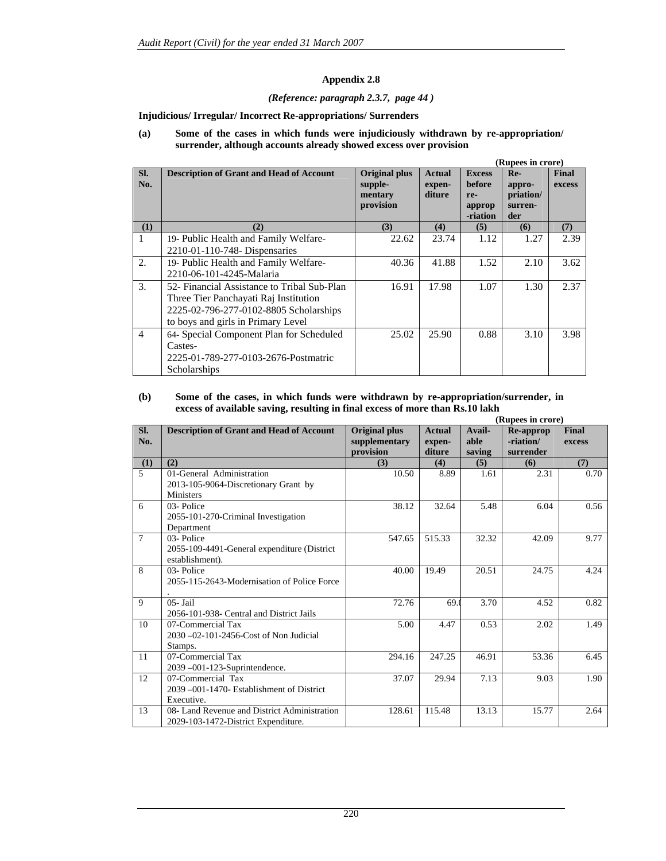#### *(Reference: paragraph 2.3.7, page 44 )*

#### **Injudicious/ Irregular/ Incorrect Re-appropriations/ Surrenders**

#### **(a) Some of the cases in which funds were injudiciously withdrawn by re-appropriation/ surrender, although accounts already showed excess over provision**

|                |                                                 |                                 |                         |                         | (Rupees in crore)    |                        |
|----------------|-------------------------------------------------|---------------------------------|-------------------------|-------------------------|----------------------|------------------------|
| SI.<br>No.     | <b>Description of Grant and Head of Account</b> | <b>Original plus</b><br>supple- | <b>Actual</b><br>expen- | <b>Excess</b><br>before | $Re-$<br>appro-      | <b>Final</b><br>excess |
|                |                                                 | mentary<br>provision            | diture                  | re-<br>approp           | priation/<br>surren- |                        |
|                |                                                 |                                 |                         | -riation                | der                  |                        |
| (1)            | (2)                                             | (3)                             | (4)                     | (5)                     | (6)                  | (7)                    |
| 1              | 19- Public Health and Family Welfare-           | 22.62                           | 23.74                   | 1.12                    | 1.27                 | 2.39                   |
|                | 2210-01-110-748- Dispensaries                   |                                 |                         |                         |                      |                        |
| 2.             | 19- Public Health and Family Welfare-           | 40.36                           | 41.88                   | 1.52                    | 2.10                 | 3.62                   |
|                | 2210-06-101-4245-Malaria                        |                                 |                         |                         |                      |                        |
| 3.             | 52- Financial Assistance to Tribal Sub-Plan     | 16.91                           | 17.98                   | 1.07                    | 1.30                 | 2.37                   |
|                | Three Tier Panchayati Raj Institution           |                                 |                         |                         |                      |                        |
|                | 2225-02-796-277-0102-8805 Scholarships          |                                 |                         |                         |                      |                        |
|                | to boys and girls in Primary Level              |                                 |                         |                         |                      |                        |
| $\overline{4}$ | 64- Special Component Plan for Scheduled        | 25.02                           | 25.90                   | 0.88                    | 3.10                 | 3.98                   |
|                | Castes-                                         |                                 |                         |                         |                      |                        |
|                | 2225-01-789-277-0103-2676-Postmatric            |                                 |                         |                         |                      |                        |
|                | Scholarships                                    |                                 |                         |                         |                      |                        |

#### **(b) Some of the cases, in which funds were withdrawn by re-appropriation/surrender, in excess of available saving, resulting in final excess of more than Rs.10 lakh**

|                |                                                 |                      |               |        | (Rupees in crore) |        |
|----------------|-------------------------------------------------|----------------------|---------------|--------|-------------------|--------|
| SI.            | <b>Description of Grant and Head of Account</b> | <b>Original plus</b> | <b>Actual</b> | Avail- | <b>Re-approp</b>  | Final  |
| No.            |                                                 | supplementary        | expen-        | able   | -riation/         | excess |
|                |                                                 | provision            | diture        | saving | surrender         |        |
| (1)            | (2)                                             | (3)                  | (4)           | (5)    | (6)               | (7)    |
| $\overline{5}$ | 01-General Administration                       | 10.50                | 8.89          | 1.61   | 2.31              | 0.70   |
|                | 2013-105-9064-Discretionary Grant by            |                      |               |        |                   |        |
|                | <b>Ministers</b>                                |                      |               |        |                   |        |
| 6              | 03-Police                                       | 38.12                | 32.64         | 5.48   | 6.04              | 0.56   |
|                | 2055-101-270-Criminal Investigation             |                      |               |        |                   |        |
|                | Department                                      |                      |               |        |                   |        |
| $\overline{7}$ | 03-Police                                       | 547.65               | 515.33        | 32.32  | 42.09             | 9.77   |
|                | 2055-109-4491-General expenditure (District     |                      |               |        |                   |        |
|                | establishment).                                 |                      |               |        |                   |        |
| 8              | 03-Police                                       | 40.00                | 19.49         | 20.51  | 24.75             | 4.24   |
|                | 2055-115-2643-Modernisation of Police Force     |                      |               |        |                   |        |
|                |                                                 |                      |               |        |                   |        |
| 9              | $05 - \text{Jail}$                              | 72.76                | 69.0          | 3.70   | 4.52              | 0.82   |
|                | 2056-101-938- Central and District Jails        |                      |               |        |                   |        |
| 10             | 07-Commercial Tax                               | 5.00                 | 4.47          | 0.53   | 2.02              | 1.49   |
|                | 2030 -02-101-2456-Cost of Non Judicial          |                      |               |        |                   |        |
|                | Stamps.                                         |                      |               |        |                   |        |
| 11             | 07-Commercial Tax                               | 294.16               | 247.25        | 46.91  | 53.36             | 6.45   |
|                | 2039-001-123-Suprintendence.                    |                      |               |        |                   |        |
| 12             | 07-Commercial Tax                               | 37.07                | 29.94         | 7.13   | 9.03              | 1.90   |
|                | 2039 -001-1470- Establishment of District       |                      |               |        |                   |        |
|                | Executive.                                      |                      |               |        |                   |        |
| 13             | 08- Land Revenue and District Administration    | 128.61               | 115.48        | 13.13  | 15.77             | 2.64   |
|                | 2029-103-1472-District Expenditure.             |                      |               |        |                   |        |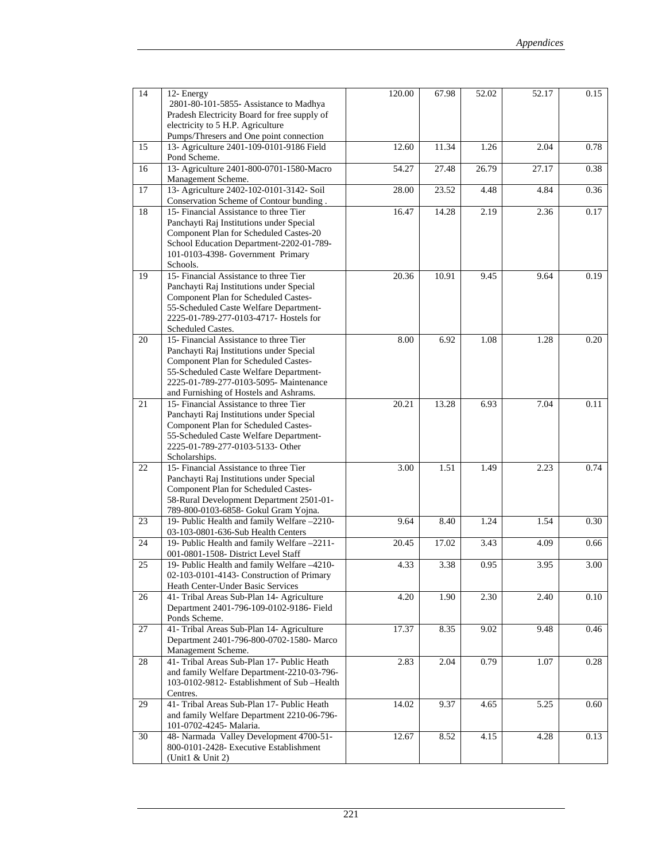| 14 | 12- Energy                                   | 120.00 | 67.98 | 52.02 | 52.17 | 0.15 |
|----|----------------------------------------------|--------|-------|-------|-------|------|
|    | 2801-80-101-5855- Assistance to Madhya       |        |       |       |       |      |
|    | Pradesh Electricity Board for free supply of |        |       |       |       |      |
|    | electricity to 5 H.P. Agriculture            |        |       |       |       |      |
|    | Pumps/Thresers and One point connection      |        |       |       |       |      |
| 15 | 13- Agriculture 2401-109-0101-9186 Field     | 12.60  | 11.34 | 1.26  | 2.04  | 0.78 |
|    | Pond Scheme.                                 |        |       |       |       |      |
| 16 | 13- Agriculture 2401-800-0701-1580-Macro     | 54.27  | 27.48 | 26.79 | 27.17 | 0.38 |
|    | Management Scheme.                           |        |       |       |       |      |
| 17 | 13- Agriculture 2402-102-0101-3142- Soil     | 28.00  | 23.52 | 4.48  | 4.84  | 0.36 |
|    | Conservation Scheme of Contour bunding.      |        |       |       |       |      |
| 18 | 15- Financial Assistance to three Tier       | 16.47  | 14.28 | 2.19  | 2.36  | 0.17 |
|    |                                              |        |       |       |       |      |
|    | Panchayti Raj Institutions under Special     |        |       |       |       |      |
|    | Component Plan for Scheduled Castes-20       |        |       |       |       |      |
|    | School Education Department-2202-01-789-     |        |       |       |       |      |
|    | 101-0103-4398- Government Primary            |        |       |       |       |      |
|    | Schools.                                     |        |       |       |       |      |
| 19 | 15- Financial Assistance to three Tier       | 20.36  | 10.91 | 9.45  | 9.64  | 0.19 |
|    | Panchayti Raj Institutions under Special     |        |       |       |       |      |
|    | Component Plan for Scheduled Castes-         |        |       |       |       |      |
|    | 55-Scheduled Caste Welfare Department-       |        |       |       |       |      |
|    | 2225-01-789-277-0103-4717- Hostels for       |        |       |       |       |      |
|    | Scheduled Castes.                            |        |       |       |       |      |
| 20 | 15- Financial Assistance to three Tier       | 8.00   | 6.92  | 1.08  | 1.28  | 0.20 |
|    | Panchayti Raj Institutions under Special     |        |       |       |       |      |
|    | Component Plan for Scheduled Castes-         |        |       |       |       |      |
|    | 55-Scheduled Caste Welfare Department-       |        |       |       |       |      |
|    | 2225-01-789-277-0103-5095- Maintenance       |        |       |       |       |      |
|    | and Furnishing of Hostels and Ashrams.       |        |       |       |       |      |
| 21 | 15- Financial Assistance to three Tier       | 20.21  | 13.28 | 6.93  | 7.04  | 0.11 |
|    | Panchayti Raj Institutions under Special     |        |       |       |       |      |
|    | Component Plan for Scheduled Castes-         |        |       |       |       |      |
|    | 55-Scheduled Caste Welfare Department-       |        |       |       |       |      |
|    | 2225-01-789-277-0103-5133- Other             |        |       |       |       |      |
|    | Scholarships.                                |        |       |       |       |      |
| 22 | 15- Financial Assistance to three Tier       | 3.00   | 1.51  | 1.49  | 2.23  | 0.74 |
|    | Panchayti Raj Institutions under Special     |        |       |       |       |      |
|    | Component Plan for Scheduled Castes-         |        |       |       |       |      |
|    | 58-Rural Development Department 2501-01-     |        |       |       |       |      |
|    | 789-800-0103-6858- Gokul Gram Yojna.         |        |       |       |       |      |
| 23 | 19- Public Health and family Welfare -2210-  | 9.64   | 8.40  | 1.24  | 1.54  | 0.30 |
|    | 03-103-0801-636-Sub Health Centers           |        |       |       |       |      |
| 24 | 19- Public Health and family Welfare -2211-  | 20.45  | 17.02 | 3.43  | 4.09  | 0.66 |
|    | 001-0801-1508- District Level Staff          |        |       |       |       |      |
| 25 | 19- Public Health and family Welfare -4210-  | 4.33   | 3.38  | 0.95  | 3.95  | 3.00 |
|    | 02-103-0101-4143- Construction of Primary    |        |       |       |       |      |
|    | Heath Center-Under Basic Services            |        |       |       |       |      |
| 26 | 41- Tribal Areas Sub-Plan 14- Agriculture    | 4.20   | 1.90  | 2.30  | 2.40  | 0.10 |
|    | Department 2401-796-109-0102-9186- Field     |        |       |       |       |      |
|    | Ponds Scheme.                                |        |       |       |       |      |
|    | 41- Tribal Areas Sub-Plan 14- Agriculture    |        |       |       |       |      |
| 27 | Department 2401-796-800-0702-1580- Marco     | 17.37  | 8.35  | 9.02  | 9.48  | 0.46 |
|    |                                              |        |       |       |       |      |
|    | Management Scheme.                           |        |       |       |       |      |
| 28 | 41- Tribal Areas Sub-Plan 17- Public Heath   | 2.83   | 2.04  | 0.79  | 1.07  | 0.28 |
|    | and family Welfare Department-2210-03-796-   |        |       |       |       |      |
|    | 103-0102-9812- Establishment of Sub-Health   |        |       |       |       |      |
|    | Centres.                                     |        |       |       |       |      |
| 29 | 41- Tribal Areas Sub-Plan 17- Public Heath   | 14.02  | 9.37  | 4.65  | 5.25  | 0.60 |
|    | and family Welfare Department 2210-06-796-   |        |       |       |       |      |
|    | 101-0702-4245- Malaria.                      |        |       |       |       |      |
| 30 | 48- Narmada Valley Development 4700-51-      | 12.67  | 8.52  | 4.15  | 4.28  | 0.13 |
|    | 800-0101-2428- Executive Establishment       |        |       |       |       |      |
|    | (Unit1 $&$ Unit 2)                           |        |       |       |       |      |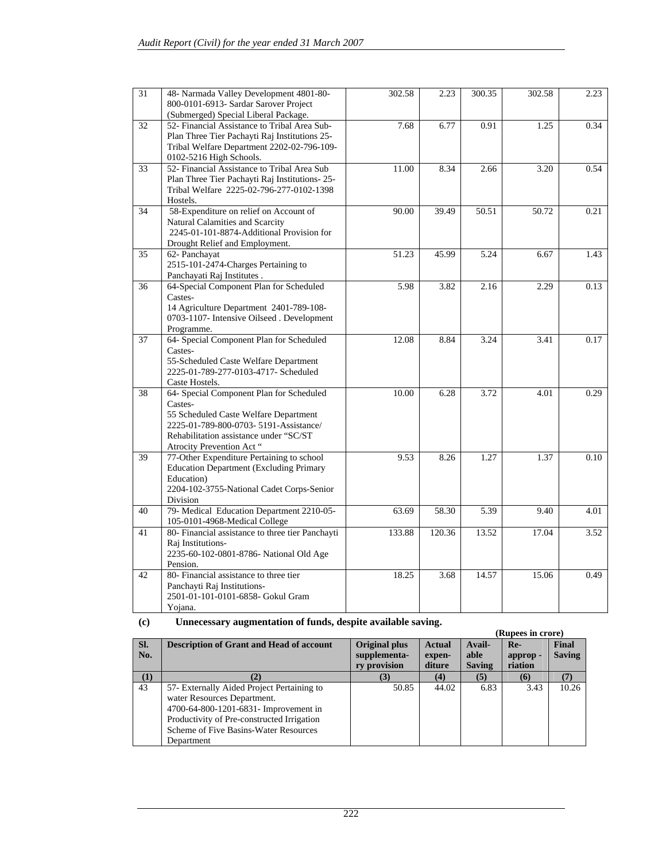| 31 | 48- Narmada Valley Development 4801-80-<br>800-0101-6913- Sardar Sarover Project<br>(Submerged) Special Liberal Package.                                                                                      | 302.58                           | 2.23   | 300.35 | 302.58 | 2.23 |
|----|---------------------------------------------------------------------------------------------------------------------------------------------------------------------------------------------------------------|----------------------------------|--------|--------|--------|------|
| 32 | 52- Financial Assistance to Tribal Area Sub-<br>Plan Three Tier Pachayti Raj Institutions 25-<br>Tribal Welfare Department 2202-02-796-109-<br>0102-5216 High Schools.                                        | 7.68                             | 6.77   | 0.91   | 1.25   | 0.34 |
| 33 | 52- Financial Assistance to Tribal Area Sub<br>Plan Three Tier Pachayti Raj Institutions-25-<br>Tribal Welfare 2225-02-796-277-0102-1398<br>Hostels.                                                          | 11.00                            | 8.34   | 2.66   | 3.20   | 0.54 |
| 34 | 58-Expenditure on relief on Account of<br>Natural Calamities and Scarcity<br>2245-01-101-8874-Additional Provision for<br>Drought Relief and Employment.                                                      | 90.00<br>39.49<br>50.51<br>50.72 |        |        |        |      |
| 35 | 62- Panchayat<br>2515-101-2474-Charges Pertaining to<br>Panchayati Raj Institutes.                                                                                                                            | 51.23                            | 45.99  | 5.24   | 6.67   | 1.43 |
| 36 | 64-Special Component Plan for Scheduled<br>Castes-<br>14 Agriculture Department 2401-789-108-<br>0703-1107- Intensive Oilseed . Development<br>Programme.                                                     | 5.98                             | 3.82   | 2.16   | 2.29   | 0.13 |
| 37 | 64- Special Component Plan for Scheduled<br>Castes-<br>55-Scheduled Caste Welfare Department<br>2225-01-789-277-0103-4717- Scheduled<br>Caste Hostels.                                                        | 12.08                            | 8.84   | 3.24   | 3.41   | 0.17 |
| 38 | 64- Special Component Plan for Scheduled<br>Castes-<br>55 Scheduled Caste Welfare Department<br>2225-01-789-800-0703- 5191-Assistance/<br>Rehabilitation assistance under "SC/ST<br>Atrocity Prevention Act " | 10.00                            | 6.28   | 3.72   | 4.01   | 0.29 |
| 39 | 77-Other Expenditure Pertaining to school<br><b>Education Department (Excluding Primary</b><br>Education)<br>2204-102-3755-National Cadet Corps-Senior<br>Division                                            | 9.53                             | 8.26   | 1.27   | 1.37   | 0.10 |
| 40 | 79- Medical Education Department 2210-05-<br>105-0101-4968-Medical College                                                                                                                                    | 63.69                            | 58.30  | 5.39   | 9.40   | 4.01 |
| 41 | 80- Financial assistance to three tier Panchayti<br>Raj Institutions-<br>2235-60-102-0801-8786- National Old Age<br>Pension.                                                                                  | 133.88                           | 120.36 | 13.52  | 17.04  | 3.52 |
| 42 | 80- Financial assistance to three tier<br>Panchayti Raj Institutions-<br>2501-01-101-0101-6858- Gokul Gram<br>Yojana.                                                                                         | 18.25                            | 3.68   | 14.57  | 15.06  | 0.49 |

| (c) |  | Unnecessary augmentation of funds, despite available saving. |
|-----|--|--------------------------------------------------------------|
|     |  |                                                              |

| $\mathcal{L}$ | описсевый у андиктивной от тапав, освртс атапарте ватинд. |                      |               |               |                   |               |
|---------------|-----------------------------------------------------------|----------------------|---------------|---------------|-------------------|---------------|
|               |                                                           |                      |               |               | (Rupees in crore) |               |
| SI.           | <b>Description of Grant and Head of account</b>           | <b>Original plus</b> | <b>Actual</b> | Avail-        | $Re-$             | <b>Final</b>  |
| No.           |                                                           | supplementa-         | expen-        | able          | approp-           | <b>Saving</b> |
|               |                                                           | ry provision         | diture        | <b>Saving</b> | riation           |               |
|               |                                                           |                      | (4)           |               | (6)               |               |
| 43            | 57- Externally Aided Project Pertaining to                | 50.85                | 44.02         | 6.83          | 3.43              | 10.26         |
|               | water Resources Department.                               |                      |               |               |                   |               |
|               | 4700-64-800-1201-6831- Improvement in                     |                      |               |               |                   |               |
|               | Productivity of Pre-constructed Irrigation                |                      |               |               |                   |               |
|               | Scheme of Five Basins-Water Resources                     |                      |               |               |                   |               |
|               | Department                                                |                      |               |               |                   |               |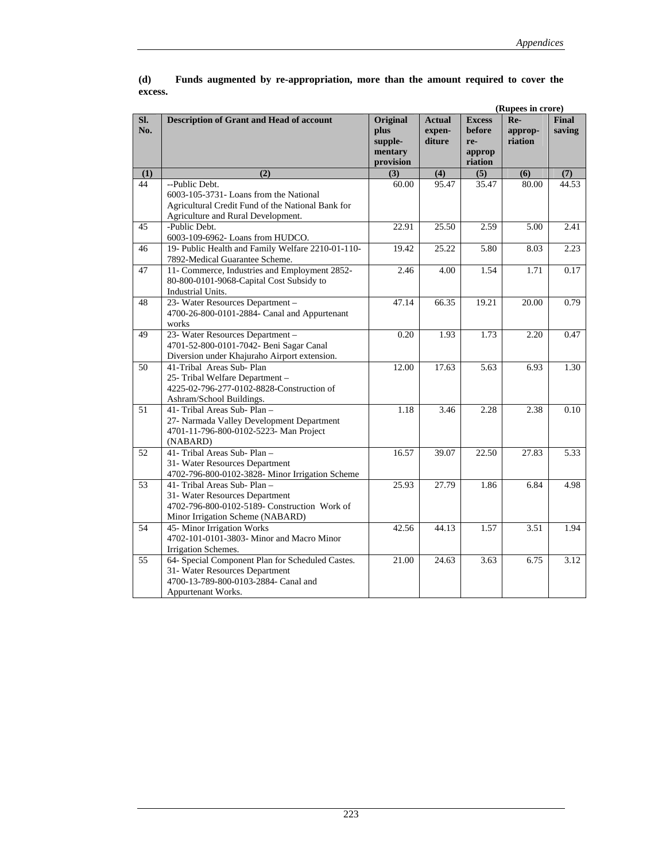|            |                                                                                                                                                     |                                                     |                                   |                                                     | (Rupees in crore)         |                        |
|------------|-----------------------------------------------------------------------------------------------------------------------------------------------------|-----------------------------------------------------|-----------------------------------|-----------------------------------------------------|---------------------------|------------------------|
| SI.<br>No. | Description of Grant and Head of account                                                                                                            | Original<br>plus<br>supple-<br>mentary<br>provision | <b>Actual</b><br>expen-<br>diture | <b>Excess</b><br>before<br>re-<br>approp<br>riation | Re-<br>approp-<br>riation | <b>Final</b><br>saving |
| (1)        | (2)                                                                                                                                                 | (3)                                                 | (4)                               | (5)                                                 | (6)                       | (7)                    |
| 44         | --Public Debt.<br>6003-105-3731- Loans from the National<br>Agricultural Credit Fund of the National Bank for<br>Agriculture and Rural Development. | 60.00                                               | 95.47                             | 35.47                                               | 80.00                     | 44.53                  |
| 45         | -Public Debt.<br>6003-109-6962- Loans from HUDCO.                                                                                                   | 22.91                                               | 25.50                             | 2.59                                                | 5.00                      | 2.41                   |
| 46         | 19- Public Health and Family Welfare 2210-01-110-<br>7892-Medical Guarantee Scheme.                                                                 | 19.42                                               | 25.22                             | 5.80                                                | 8.03                      | 2.23                   |
| 47         | 11- Commerce, Industries and Employment 2852-<br>80-800-0101-9068-Capital Cost Subsidy to<br>Industrial Units.                                      | 2.46                                                | 4.00                              | 1.54                                                | 1.71                      | 0.17                   |
| 48         | 23- Water Resources Department -<br>4700-26-800-0101-2884- Canal and Appurtenant<br>works                                                           | 47.14                                               | 66.35                             | 19.21                                               | 20.00                     | 0.79                   |
| 49         | 23- Water Resources Department -<br>4701-52-800-0101-7042- Beni Sagar Canal<br>Diversion under Khajuraho Airport extension.                         | 0.20                                                | 1.93                              | 1.73                                                | 2.20                      | 0.47                   |
| 50         | 41-Tribal Areas Sub-Plan<br>25- Tribal Welfare Department -<br>4225-02-796-277-0102-8828-Construction of<br>Ashram/School Buildings.                | 12.00                                               | 17.63                             | 5.63                                                | 6.93                      | 1.30                   |
| 51         | 41- Tribal Areas Sub-Plan -<br>27- Narmada Valley Development Department<br>4701-11-796-800-0102-5223- Man Project<br>(NABARD)                      | 1.18                                                | 3.46                              | 2.28                                                | 2.38                      | 0.10                   |
| 52         | 41- Tribal Areas Sub-Plan-<br>31- Water Resources Department<br>4702-796-800-0102-3828- Minor Irrigation Scheme                                     | 16.57                                               | 39.07                             | 22.50                                               | 27.83                     | 5.33                   |
| 53         | 41- Tribal Areas Sub- Plan -<br>31- Water Resources Department<br>4702-796-800-0102-5189- Construction Work of<br>Minor Irrigation Scheme (NABARD)  | 25.93<br>27.79<br>1.86                              |                                   | 6.84                                                | 4.98                      |                        |
| 54         | 45- Minor Irrigation Works<br>4702-101-0101-3803- Minor and Macro Minor<br>Irrigation Schemes.                                                      | 42.56                                               | 44.13                             | 1.57                                                | 3.51                      | 1.94                   |
| 55         | 64- Special Component Plan for Scheduled Castes.<br>31- Water Resources Department<br>4700-13-789-800-0103-2884- Canal and<br>Appurtenant Works.    | 21.00                                               | 24.63                             | 3.63                                                | 6.75                      | 3.12                   |

### Funds augmented by re-appropriation, more than the amount required to cover the **excess.**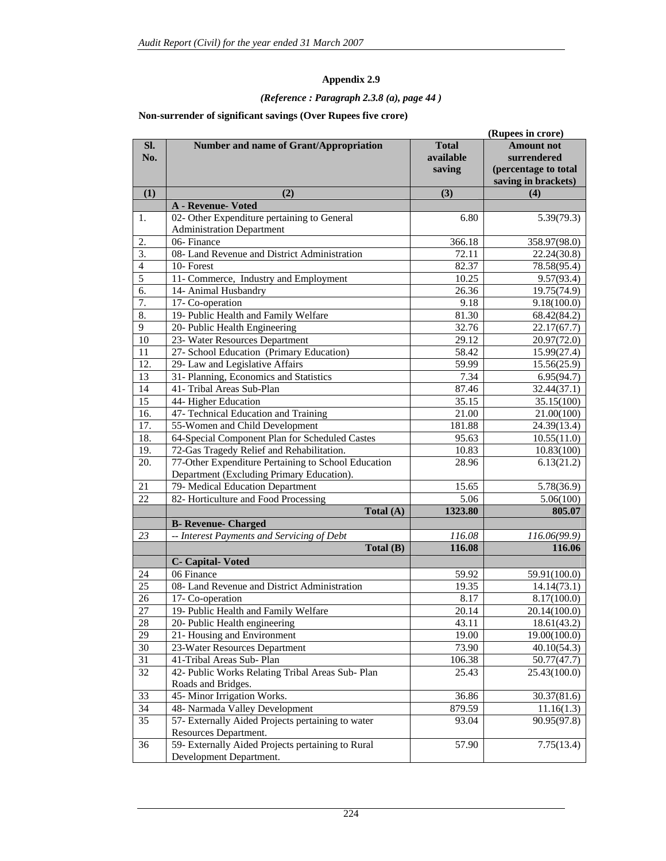## *(Reference : Paragraph 2.3.8 (a), page 44 )*

### **Non-surrender of significant savings (Over Rupees five crore)**

|                  |                                                     | (Rupees in crore) |                          |  |  |
|------------------|-----------------------------------------------------|-------------------|--------------------------|--|--|
| SI.              | Number and name of Grant/Appropriation              | <b>Total</b>      | <b>Amount not</b>        |  |  |
| No.              |                                                     | available         | surrendered              |  |  |
|                  |                                                     | saving            | (percentage to total     |  |  |
|                  |                                                     |                   | saving in brackets)      |  |  |
| (1)              | (2)                                                 | (3)               | (4)                      |  |  |
|                  | A - Revenue- Voted                                  |                   |                          |  |  |
| 1.               | 02- Other Expenditure pertaining to General         | 6.80              | 5.39(79.3)               |  |  |
|                  | <b>Administration Department</b>                    |                   |                          |  |  |
| 2.               | 06-Finance                                          | 366.18            | 358.97(98.0)             |  |  |
| 3.               | 08- Land Revenue and District Administration        | 72.11             | 22.24(30.8)              |  |  |
| $\overline{4}$   | 10-Forest                                           | 82.37             | 78.58(95.4)              |  |  |
| 5                | 11- Commerce, Industry and Employment               | 10.25             | 9.57(93.4)               |  |  |
| $\overline{6}$ . | 14- Animal Husbandry                                | 26.36             | 19.75(74.9)              |  |  |
| 7.               | 17- Co-operation                                    | 9.18              | 9.18(100.0)              |  |  |
| 8.               | 19- Public Health and Family Welfare                | 81.30             | 68.42(84.2)              |  |  |
| 9                | 20- Public Health Engineering                       | 32.76             | 22.17(67.7)              |  |  |
| 10               | 23- Water Resources Department                      | 29.12             | 20.97(72.0)              |  |  |
| 11               | 27- School Education (Primary Education)            | 58.42             | 15.99(27.4)              |  |  |
| 12.              | 29- Law and Legislative Affairs                     | 59.99             | 15.56(25.9)              |  |  |
| 13               | 31- Planning, Economics and Statistics              | 7.34              | 6.95(94.7)               |  |  |
| 14               | 41- Tribal Areas Sub-Plan                           | 87.46             | 32.44(37.1)              |  |  |
| 15               | 44- Higher Education                                | 35.15             | 35.15(100)               |  |  |
| 16.              | 47- Technical Education and Training                | 21.00             | 21.00(100)               |  |  |
| 17.              | 55-Women and Child Development                      | 181.88            | 24.39(13.4)              |  |  |
| 18.              | 64-Special Component Plan for Scheduled Castes      | 95.63             | 10.55(11.0)              |  |  |
| 19.              | 72-Gas Tragedy Relief and Rehabilitation.           | 10.83             | 10.83(100)               |  |  |
| 20.              | 77-Other Expenditure Pertaining to School Education | 28.96             | 6.13(21.2)               |  |  |
|                  | Department (Excluding Primary Education).           |                   |                          |  |  |
| 21               | 79- Medical Education Department                    | 15.65             | 5.78(36.9)               |  |  |
| 22               | 82- Horticulture and Food Processing                | 5.06              | 5.06(100)                |  |  |
|                  | Total (A)                                           | 1323.80           | 805.07                   |  |  |
|                  | <b>B- Revenue- Charged</b>                          |                   |                          |  |  |
| 23               | -- Interest Payments and Servicing of Debt          | 116.08            | 116.06(99.9)             |  |  |
|                  | Total (B)                                           | 116.08            | 116.06                   |  |  |
|                  | <b>C- Capital-Voted</b>                             |                   |                          |  |  |
| 24               | 06 Finance                                          | 59.92             | 59.91(100.0)             |  |  |
| 25               | 08- Land Revenue and District Administration        | 19.35             | 14.14(73.1)              |  |  |
| 26               | 17- Co-operation                                    | 8.17              | 8.17(100.0)              |  |  |
| 27               | 19- Public Health and Family Welfare                | 20.14             | 20.14(100.0)             |  |  |
| $28\,$           | 20- Public Health engineering                       | 43.11             | 18.61(43.2)              |  |  |
| 29               | 21- Housing and Environment                         | 19.00             | 19.00(100.0)             |  |  |
| 30               | 23-Water Resources Department                       | 73.90             | $\overline{40.10(54.3)}$ |  |  |
| 31               | 41-Tribal Areas Sub-Plan                            | 106.38            | 50.77(47.7)              |  |  |
| 32               | 42- Public Works Relating Tribal Areas Sub-Plan     | 25.43             | 25.43(100.0)             |  |  |
|                  | Roads and Bridges.                                  |                   |                          |  |  |
| 33               | 45- Minor Irrigation Works.                         | 36.86             | 30.37(81.6)              |  |  |
| 34               | 48- Narmada Valley Development                      | 879.59            | 11.16(1.3)               |  |  |
| 35               | 57- Externally Aided Projects pertaining to water   | 93.04             | 90.95(97.8)              |  |  |
|                  | Resources Department.                               |                   |                          |  |  |
| 36               | 59- Externally Aided Projects pertaining to Rural   | 57.90             | 7.75(13.4)               |  |  |
|                  | Development Department.                             |                   |                          |  |  |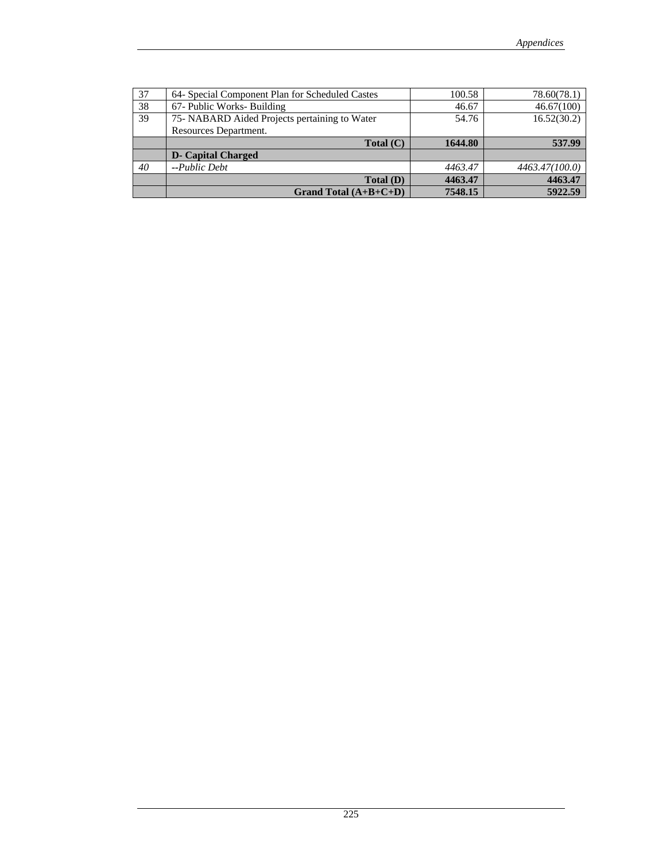| 37 | 64- Special Component Plan for Scheduled Castes | 100.58  | 78.60(78.1)    |
|----|-------------------------------------------------|---------|----------------|
| 38 | 67- Public Works- Building                      | 46.67   | 46.67(100)     |
| 39 | 75- NABARD Aided Projects pertaining to Water   | 54.76   | 16.52(30.2)    |
|    | Resources Department.                           |         |                |
|    | Total (C)                                       | 1644.80 | 537.99         |
|    |                                                 |         |                |
|    | <b>D</b> - Capital Charged                      |         |                |
| 40 | $-Public$                                       | 4463.47 | 4463.47(100.0) |
|    | Total(D)                                        | 4463.47 | 4463.47        |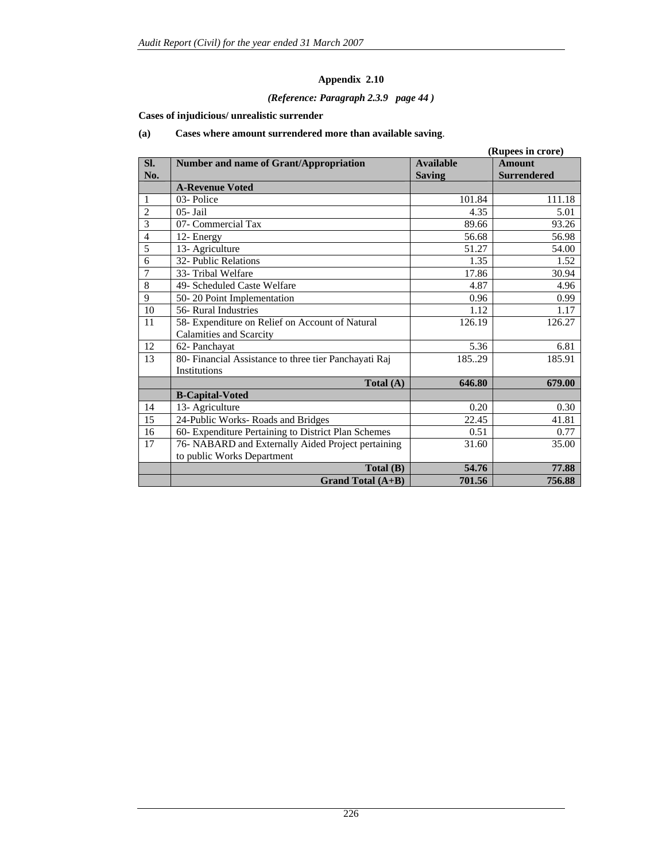### *(Reference: Paragraph 2.3.9 page 44 )*

### **Cases of injudicious/ unrealistic surrender**

### **(a) Cases where amount surrendered more than available saving**.

|                |                                                       |                  | (Rupees in crore)  |
|----------------|-------------------------------------------------------|------------------|--------------------|
| SI.            | <b>Number and name of Grant/Appropriation</b>         | <b>Available</b> | <b>Amount</b>      |
| No.            |                                                       | <b>Saving</b>    | <b>Surrendered</b> |
|                | <b>A-Revenue Voted</b>                                |                  |                    |
| 1              | 03-Police                                             | 101.84           | 111.18             |
| $\overline{c}$ | $05 - \text{Jail}$                                    | 4.35             | 5.01               |
| 3              | 07- Commercial Tax                                    | 89.66            | 93.26              |
| $\overline{4}$ | 12- Energy                                            | 56.68            | 56.98              |
| 5              | 13- Agriculture                                       | 51.27            | 54.00              |
| 6              | 32- Public Relations                                  | 1.35             | 1.52               |
| $\overline{7}$ | 33- Tribal Welfare                                    | 17.86            | 30.94              |
| $\overline{8}$ | 49- Scheduled Caste Welfare                           | 4.87             | 4.96               |
| 9              | 50-20 Point Implementation                            | 0.96             | 0.99               |
| 10             | 56- Rural Industries                                  | 1.12             | 1.17               |
| 11             | 58- Expenditure on Relief on Account of Natural       | 126.19           | 126.27             |
|                | Calamities and Scarcity                               |                  |                    |
| 12             | 62- Panchayat                                         | 5.36             | 6.81               |
| 13             | 80- Financial Assistance to three tier Panchayati Raj | 18529            | 185.91             |
|                | Institutions                                          |                  |                    |
|                | Total $(A)$                                           | 646.80           | 679.00             |
|                | <b>B-Capital-Voted</b>                                |                  |                    |
| 14             | 13- Agriculture                                       | 0.20             | 0.30               |
| 15             | 24-Public Works-Roads and Bridges                     | 22.45            | 41.81              |
| 16             | 60- Expenditure Pertaining to District Plan Schemes   | 0.51             | 0.77               |
| 17             | 76- NABARD and Externally Aided Project pertaining    | 31.60            | 35.00              |
|                | to public Works Department                            |                  |                    |
|                | Total (B)                                             | 54.76            | 77.88              |
|                | <b>Grand Total (A+B)</b>                              | 701.56           | 756.88             |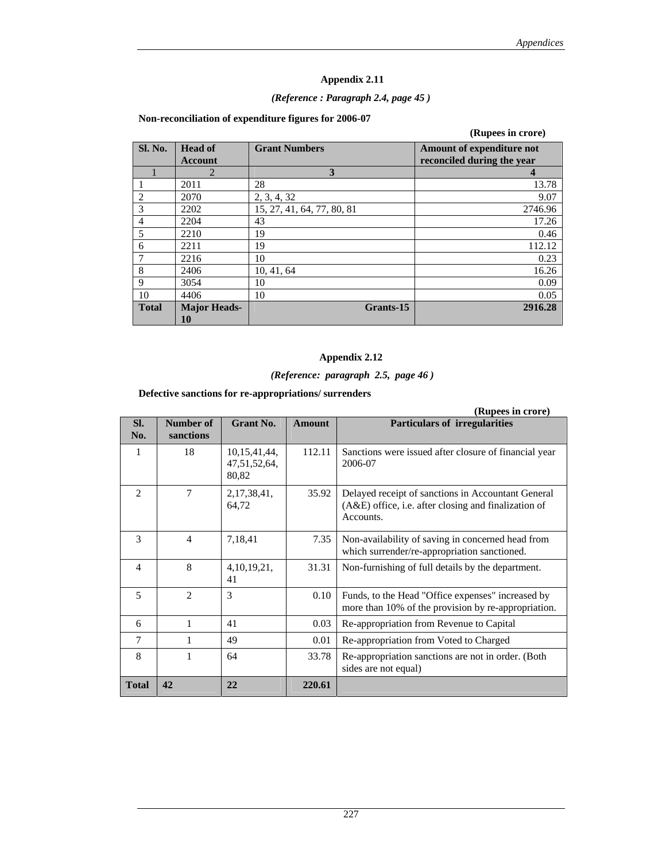### *(Reference : Paragraph 2.4, page 45 )*

| Non-reconciliation of expenditure figures for 2006-07 |  |  |  |
|-------------------------------------------------------|--|--|--|
|                                                       |  |  |  |

|                                  |                            | (Rupees in crore)                                              |
|----------------------------------|----------------------------|----------------------------------------------------------------|
| <b>Head of</b><br><b>Account</b> | <b>Grant Numbers</b>       | <b>Amount of expenditure not</b><br>reconciled during the year |
| $\overline{2}$                   | 3                          | 4                                                              |
| 2011                             | 28                         | 13.78                                                          |
| 2070                             | 2, 3, 4, 32                | 9.07                                                           |
| 2202                             | 15, 27, 41, 64, 77, 80, 81 | 2746.96                                                        |
| 2204                             | 43                         | 17.26                                                          |
| 2210                             | 19                         | 0.46                                                           |
| 2211                             | 19                         | 112.12                                                         |
| 2216                             | 10                         | 0.23                                                           |
| 2406                             | 10, 41, 64                 | 16.26                                                          |
| 3054                             | 10                         | 0.09                                                           |
| 4406                             | 10                         | 0.05                                                           |
| <b>Major Heads-</b>              | Grants-15                  | 2916.28                                                        |
|                                  | 10                         |                                                                |

### **Appendix 2.12**

# *(Reference: paragraph 2.5, page 46 )*

**Defective sanctions for re-appropriations/ surrenders** 

|                |                        |                                       |               | (Rupees in crore)                                                                                                         |
|----------------|------------------------|---------------------------------------|---------------|---------------------------------------------------------------------------------------------------------------------------|
| SI.<br>No.     | Number of<br>sanctions | <b>Grant No.</b>                      | <b>Amount</b> | <b>Particulars of irregularities</b>                                                                                      |
| 1              | 18                     | 10,15,41,44,<br>47,51,52,64,<br>80,82 | 112.11        | Sanctions were issued after closure of financial year<br>2006-07                                                          |
| $\overline{2}$ | $\tau$                 | 2, 17, 38, 41,<br>64,72               | 35.92         | Delayed receipt of sanctions in Accountant General<br>$(A&E)$ office, i.e. after closing and finalization of<br>Accounts. |
| 3              | $\overline{4}$         | 7,18,41                               | 7.35          | Non-availability of saving in concerned head from<br>which surrender/re-appropriation sanctioned.                         |
| $\overline{4}$ | 8                      | 4, 10, 19, 21,<br>41                  | 31.31         | Non-furnishing of full details by the department.                                                                         |
| 5              | $\mathfrak{D}_{n}$     | $\mathcal{F}$                         | 0.10          | Funds, to the Head "Office expenses" increased by<br>more than 10% of the provision by re-appropriation.                  |
| 6              | 1                      | 41                                    | 0.03          | Re-appropriation from Revenue to Capital                                                                                  |
| 7              | 1                      | 49                                    | 0.01          | Re-appropriation from Voted to Charged                                                                                    |
| 8              | 1                      | 64                                    | 33.78         | Re-appropriation sanctions are not in order. (Both<br>sides are not equal)                                                |
| <b>Total</b>   | 42                     | 22                                    | 220.61        |                                                                                                                           |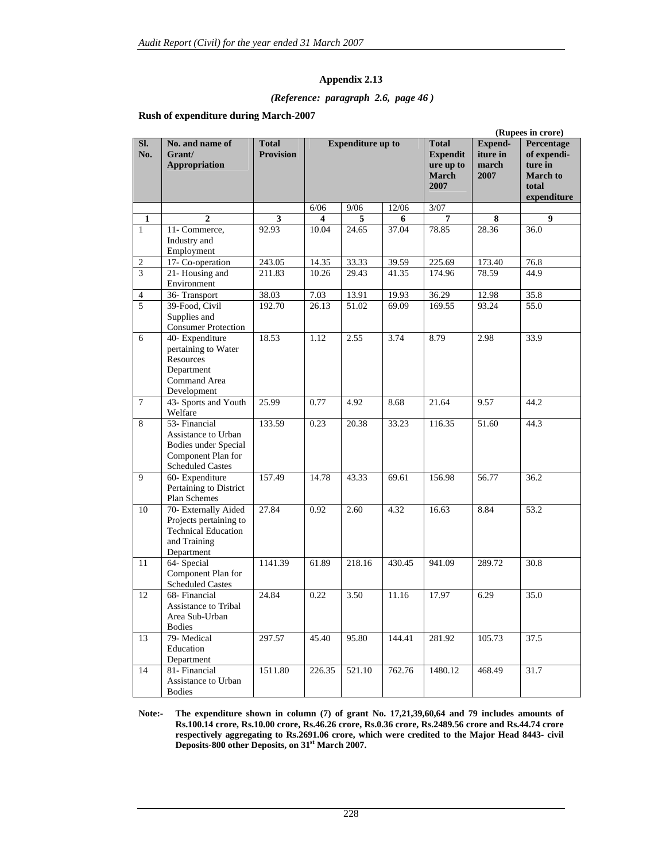#### *(Reference: paragraph 2.6, page 46 )*

#### **Rush of expenditure during March-2007**

|                  |                                                                                                               |                                  | (Rupees in crore)       |                          |                    |                                                                      |                                      |                                                                                 |
|------------------|---------------------------------------------------------------------------------------------------------------|----------------------------------|-------------------------|--------------------------|--------------------|----------------------------------------------------------------------|--------------------------------------|---------------------------------------------------------------------------------|
| SI.<br>No.       | No. and name of<br>Grant/<br><b>Appropriation</b>                                                             | <b>Total</b><br><b>Provision</b> |                         | <b>Expenditure up to</b> |                    | <b>Total</b><br><b>Expendit</b><br>ure up to<br><b>March</b><br>2007 | Expend-<br>iture in<br>march<br>2007 | Percentage<br>of expendi-<br>ture in<br><b>March</b> to<br>total<br>expenditure |
|                  |                                                                                                               |                                  | 6/06                    | 9/06                     | 12/06              | $3/07$                                                               |                                      |                                                                                 |
| 1                | $\overline{2}$                                                                                                | 3                                | $\overline{\mathbf{4}}$ | 5                        | 6                  | 7                                                                    | 8                                    | 9                                                                               |
| $\mathbf{1}$     | 11- Commerce,<br>Industry and<br>Employment                                                                   | 92.93                            | 10.04                   | 24.65                    | 37.04              | 78.85                                                                | 28.36                                | 36.0                                                                            |
| $\boldsymbol{2}$ | 17- Co-operation                                                                                              | 243.05                           | 14.35                   | 33.33                    | 39.59              | 225.69                                                               | 173.40                               | 76.8                                                                            |
| 3                | 21-Housing and<br>Environment                                                                                 | 211.83                           | 10.26                   | 29.43                    | $\overline{41.35}$ | 174.96                                                               | 78.59                                | 44.9                                                                            |
| $\overline{4}$   | 36-Transport                                                                                                  | 38.03                            | 7.03                    | 13.91                    | 19.93              | 36.29                                                                | 12.98                                | 35.8                                                                            |
| 5                | 39-Food, Civil<br>Supplies and<br><b>Consumer Protection</b>                                                  | 192.70                           | $\frac{26.13}{ }$       | 51.02                    | 69.09              | 169.55                                                               | 93.24                                | 55.0                                                                            |
| 6                | 40- Expenditure<br>pertaining to Water<br><b>Resources</b><br>Department<br>Command Area<br>Development       | 18.53                            | 1.12                    | 2.55                     | 3.74               | 8.79                                                                 | 2.98                                 | 33.9                                                                            |
| $\tau$           | 43- Sports and Youth<br>Welfare                                                                               | 25.99                            | 0.77                    | 4.92                     | 8.68               | 21.64                                                                | 9.57                                 | 44.2                                                                            |
| 8                | 53- Financial<br>Assistance to Urban<br>Bodies under Special<br>Component Plan for<br><b>Scheduled Castes</b> | 133.59                           | 0.23                    | 20.38                    | 33.23              | 116.35                                                               | 51.60                                | 44.3                                                                            |
| 9                | 60- Expenditure<br>Pertaining to District<br>Plan Schemes                                                     | 157.49                           | 14.78                   | 43.33                    | 69.61              | 156.98                                                               | 56.77                                | 36.2                                                                            |
| 10               | 70- Externally Aided<br>Projects pertaining to<br><b>Technical Education</b><br>and Training<br>Department    | 27.84                            | 0.92                    | 2.60                     | 4.32               | 16.63                                                                | 8.84                                 | 53.2                                                                            |
| 11               | 64- Special<br>Component Plan for<br><b>Scheduled Castes</b>                                                  | 1141.39                          | 61.89                   | 218.16                   | 430.45             | 941.09                                                               | 289.72                               | 30.8                                                                            |
| 12               | 68- Financial<br><b>Assistance to Tribal</b><br>Area Sub-Urban<br><b>Bodies</b>                               | 24.84                            | 0.22                    | 3.50                     | 11.16              | 17.97                                                                | 6.29                                 | 35.0                                                                            |
| 13               | 79- Medical<br>Education<br>Department                                                                        | 297.57                           | 45.40                   | 95.80                    | 144.41             | 281.92                                                               | 105.73                               | 37.5                                                                            |
| 14               | 81- Financial<br>Assistance to Urban<br><b>Bodies</b>                                                         | 1511.80                          | 226.35                  | 521.10                   | 762.76             | 1480.12                                                              | 468.49                               | 31.7                                                                            |

**Note:- The expenditure shown in column (7) of grant No. 17,21,39,60,64 and 79 includes amounts of Rs.100.14 crore, Rs.10.00 crore, Rs.46.26 crore, Rs.0.36 crore, Rs.2489.56 crore and Rs.44.74 crore respectively aggregating to Rs.2691.06 crore, which were credited to the Major Head 8443- civil Deposits-800 other Deposits, on 31st March 2007.**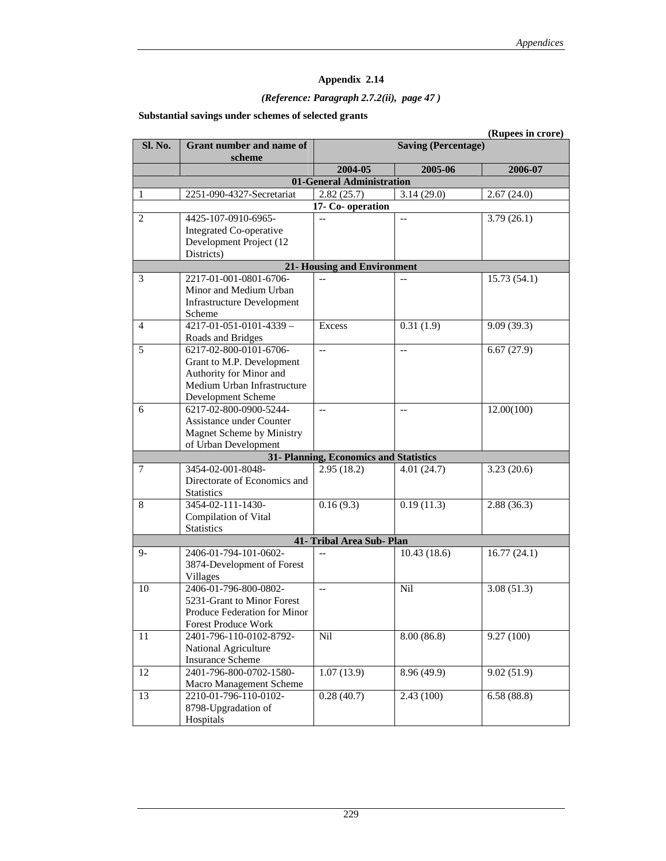## *(Reference: Paragraph 2.7.2(ii), page 47 )*

### **Substantial savings under schemes of selected grants**

|         |                                   |                                        |                | (Rupees in crore) |
|---------|-----------------------------------|----------------------------------------|----------------|-------------------|
| Sl. No. | Grant number and name of          | <b>Saving (Percentage)</b>             |                |                   |
|         | scheme                            |                                        |                |                   |
|         |                                   | 2004-05                                | 2005-06        | 2006-07           |
|         |                                   | 01-General Administration              |                |                   |
|         | 2251-090-4327-Secretariat         | 2.82(25.7)                             | 3.14(29.0)     | 2.67(24.0)        |
|         |                                   | 17- Co-operation                       |                |                   |
| 2       | 4425-107-0910-6965-               | --                                     | $\overline{a}$ | 3.79(26.1)        |
|         | Integrated Co-operative           |                                        |                |                   |
|         | Development Project (12           |                                        |                |                   |
|         | Districts)                        |                                        |                |                   |
|         |                                   | <b>21- Housing and Environment</b>     |                |                   |
| 3       | 2217-01-001-0801-6706-            |                                        |                | 15.73(54.1)       |
|         | Minor and Medium Urban            |                                        |                |                   |
|         | <b>Infrastructure Development</b> |                                        |                |                   |
|         | Scheme                            |                                        |                |                   |
| 4       | $4217 - 01 - 051 - 0101 - 4339 -$ | Excess                                 | 0.31(1.9)      | 9.09(39.3)        |
|         | Roads and Bridges                 |                                        |                |                   |
| 5       | 6217-02-800-0101-6706-            | $\overline{a}$                         | $-$            | 6.67(27.9)        |
|         | Grant to M.P. Development         |                                        |                |                   |
|         | Authority for Minor and           |                                        |                |                   |
|         | Medium Urban Infrastructure       |                                        |                |                   |
|         | Development Scheme                |                                        |                |                   |
| 6       | 6217-02-800-0900-5244-            | $\overline{a}$                         | $-$            | 12.00(100)        |
|         | Assistance under Counter          |                                        |                |                   |
|         | Magnet Scheme by Ministry         |                                        |                |                   |
|         | of Urban Development              |                                        |                |                   |
|         |                                   | 31- Planning, Economics and Statistics |                |                   |
| 7       | 3454-02-001-8048-                 | 2.95(18.2)                             | 4.01(24.7)     | 3.23(20.6)        |
|         | Directorate of Economics and      |                                        |                |                   |
|         | <b>Statistics</b>                 |                                        |                |                   |
| 8       | 3454-02-111-1430-                 | 0.16(9.3)                              | 0.19(11.3)     | 2.88(36.3)        |
|         | Compilation of Vital              |                                        |                |                   |
|         | <b>Statistics</b>                 |                                        |                |                   |
|         |                                   | 41- Tribal Area Sub- Plan              |                |                   |
| $9-$    | 2406-01-794-101-0602-             | $\overline{a}$                         | 10.43(18.6)    | 16.77(24.1)       |
|         | 3874-Development of Forest        |                                        |                |                   |
|         | <b>Villages</b>                   |                                        |                |                   |
| 10      | 2406-01-796-800-0802-             | $\overline{\phantom{a}}$               | <b>Nil</b>     | 3.08(51.3)        |
|         | 5231-Grant to Minor Forest        |                                        |                |                   |
|         | Produce Federation for Minor      |                                        |                |                   |
|         | Forest Produce Work               |                                        |                |                   |
| 11      | 2401-796-110-0102-8792-           | Nil                                    | 8.00(86.8)     | 9.27 (100)        |
|         | National Agriculture              |                                        |                |                   |
|         | <b>Insurance Scheme</b>           |                                        |                |                   |
| 12      | 2401-796-800-0702-1580-           | 1.07(13.9)                             | 8.96 (49.9)    | 9.02(51.9)        |
|         | Macro Management Scheme           |                                        |                |                   |
| 13      | 2210-01-796-110-0102-             | 0.28(40.7)                             | 2.43(100)      | 6.58(88.8)        |
|         | 8798-Upgradation of               |                                        |                |                   |
|         | Hospitals                         |                                        |                |                   |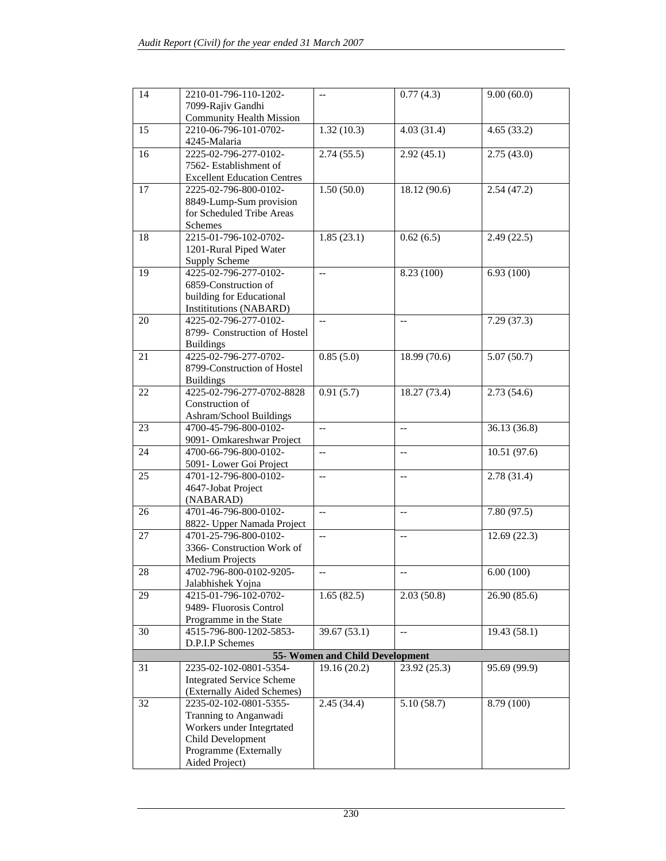| 14 | 2210-01-796-110-1202-<br>7099-Rajiv Gandhi               | $-$                             | 0.77(4.3)                | 9.00(60.0)   |
|----|----------------------------------------------------------|---------------------------------|--------------------------|--------------|
| 15 | <b>Community Health Mission</b><br>2210-06-796-101-0702- | 1.32(10.3)                      | 4.03(31.4)               | 4.65(33.2)   |
|    | 4245-Malaria                                             |                                 |                          |              |
| 16 | 2225-02-796-277-0102-                                    | 2.74(55.5)                      | 2.92(45.1)               | 2.75(43.0)   |
|    | 7562- Establishment of                                   |                                 |                          |              |
|    | <b>Excellent Education Centres</b>                       |                                 |                          |              |
| 17 | 2225-02-796-800-0102-                                    | 1.50(50.0)                      | 18.12 (90.6)             | 2.54(47.2)   |
|    | 8849-Lump-Sum provision<br>for Scheduled Tribe Areas     |                                 |                          |              |
|    | Schemes                                                  |                                 |                          |              |
| 18 | 2215-01-796-102-0702-                                    | 1.85(23.1)                      | 0.62(6.5)                | 2.49(22.5)   |
|    | 1201-Rural Piped Water                                   |                                 |                          |              |
|    | <b>Supply Scheme</b>                                     |                                 |                          |              |
| 19 | 4225-02-796-277-0102-                                    | $\overline{a}$                  | 8.23 (100)               | 6.93(100)    |
|    | 6859-Construction of                                     |                                 |                          |              |
|    | building for Educational                                 |                                 |                          |              |
|    | Instituttions (NABARD)                                   |                                 |                          |              |
| 20 | 4225-02-796-277-0102-                                    | $\overline{\phantom{a}}$        | $-$                      | 7.29(37.3)   |
|    | 8799- Construction of Hostel                             |                                 |                          |              |
|    | <b>Buildings</b>                                         |                                 |                          |              |
| 21 | 4225-02-796-277-0702-                                    | 0.85(5.0)                       | 18.99 (70.6)             | 5.07(50.7)   |
|    | 8799-Construction of Hostel                              |                                 |                          |              |
|    | <b>Buildings</b>                                         |                                 |                          |              |
| 22 | 4225-02-796-277-0702-8828                                | 0.91(5.7)                       | 18.27 (73.4)             | 2.73(54.6)   |
|    | Construction of                                          |                                 |                          |              |
|    | Ashram/School Buildings                                  |                                 |                          |              |
| 23 | 4700-45-796-800-0102-                                    | $\overline{a}$                  | $\overline{a}$           | 36.13 (36.8) |
|    | 9091- Omkareshwar Project                                |                                 |                          |              |
| 24 | 4700-66-796-800-0102-                                    | $-$                             | $\overline{\phantom{a}}$ | 10.51(97.6)  |
|    | 5091- Lower Goi Project                                  |                                 |                          |              |
| 25 | 4701-12-796-800-0102-                                    | $-$                             | $-$                      | 2.78(31.4)   |
|    | 4647-Jobat Project                                       |                                 |                          |              |
|    | (NABARAD)                                                |                                 |                          |              |
| 26 | 4701-46-796-800-0102-                                    | $\overline{\phantom{a}}$        | $\qquad \qquad -$        | 7.80(97.5)   |
|    | 8822- Upper Namada Project                               |                                 |                          |              |
| 27 | 4701-25-796-800-0102-                                    | $\overline{\phantom{a}}$        | $\overline{a}$           | 12.69(22.3)  |
|    | 3366- Construction Work of                               |                                 |                          |              |
|    | <b>Medium Projects</b>                                   |                                 |                          |              |
| 28 | 4702-796-800-0102-9205-                                  |                                 |                          | 6.00(100)    |
|    | Jalabhishek Yojna                                        |                                 |                          |              |
| 29 | 4215-01-796-102-0702-<br>9489- Fluorosis Control         | 1.65(82.5)                      | 2.03(50.8)               | 26.90 (85.6) |
|    | Programme in the State                                   |                                 |                          |              |
| 30 | 4515-796-800-1202-5853-                                  | 39.67 (53.1)                    | $\overline{a}$           | 19.43(58.1)  |
|    | D.P.I.P Schemes                                          |                                 |                          |              |
|    |                                                          | 55- Women and Child Development |                          |              |
| 31 | 2235-02-102-0801-5354-                                   | 19.16 (20.2)                    | 23.92 (25.3)             | 95.69 (99.9) |
|    | <b>Integrated Service Scheme</b>                         |                                 |                          |              |
|    | (Externally Aided Schemes)                               |                                 |                          |              |
| 32 | 2235-02-102-0801-5355-                                   | 2.45(34.4)                      | 5.10(58.7)               | 8.79 (100)   |
|    | Tranning to Anganwadi                                    |                                 |                          |              |
|    | Workers under Integrtated                                |                                 |                          |              |
|    | Child Development                                        |                                 |                          |              |
|    | Programme (Externally                                    |                                 |                          |              |
|    | Aided Project)                                           |                                 |                          |              |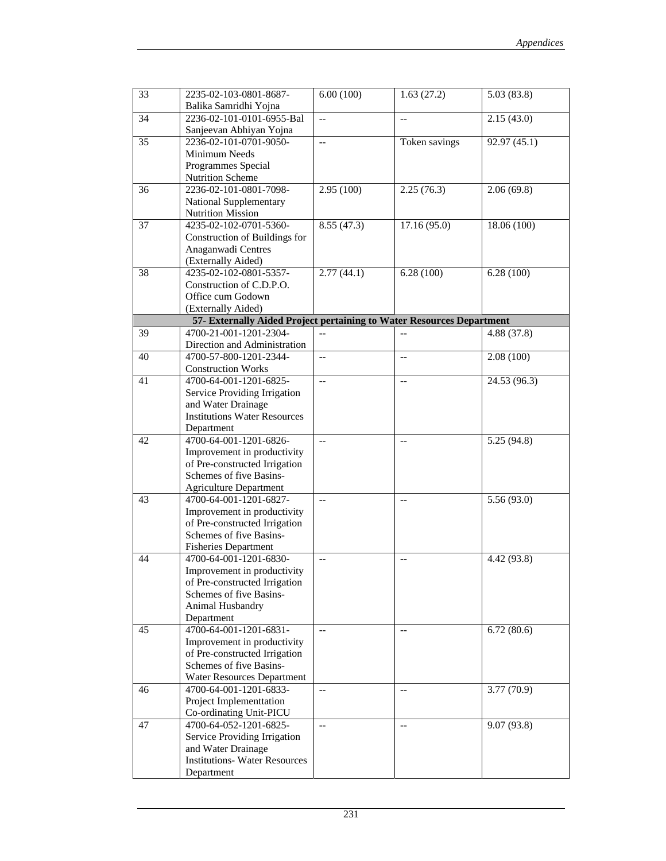| 33 | 2235-02-103-0801-8687-<br>Balika Samridhi Yojna                                                                                                     | 6.00(100)                | 1.63(27.2)               | 5.03(83.8)   |
|----|-----------------------------------------------------------------------------------------------------------------------------------------------------|--------------------------|--------------------------|--------------|
| 34 | 2236-02-101-0101-6955-Bal<br>Sanjeevan Abhiyan Yojna                                                                                                | $-$                      | $-$                      | 2.15(43.0)   |
| 35 | 2236-02-101-0701-9050-<br>Minimum Needs<br>Programmes Special<br>Nutrition Scheme                                                                   | ш.,                      | Token savings            | 92.97 (45.1) |
| 36 | 2236-02-101-0801-7098-<br>National Supplementary<br><b>Nutrition Mission</b>                                                                        | 2.95(100)                | 2.25(76.3)               | 2.06(69.8)   |
| 37 | 4235-02-102-0701-5360-<br>Construction of Buildings for<br>Anaganwadi Centres<br>(Externally Aided)                                                 | 8.55(47.3)               | 17.16 (95.0)             | 18.06 (100)  |
| 38 | 4235-02-102-0801-5357-<br>Construction of C.D.P.O.<br>Office cum Godown<br>(Externally Aided)                                                       | 2.77(44.1)               | 6.28(100)                | 6.28(100)    |
|    | 57- Externally Aided Project pertaining to Water Resources Department                                                                               |                          |                          |              |
| 39 | 4700-21-001-1201-2304-                                                                                                                              |                          | $- -$                    | 4.88 (37.8)  |
|    | Direction and Administration                                                                                                                        |                          |                          |              |
| 40 | 4700-57-800-1201-2344-<br><b>Construction Works</b>                                                                                                 | $\overline{\phantom{a}}$ | $\overline{\phantom{a}}$ | 2.08(100)    |
| 41 | 4700-64-001-1201-6825-<br>Service Providing Irrigation<br>and Water Drainage<br><b>Institutions Water Resources</b>                                 | ш.,                      | $\overline{\phantom{a}}$ | 24.53 (96.3) |
|    | Department                                                                                                                                          |                          |                          |              |
| 42 | 4700-64-001-1201-6826-<br>Improvement in productivity<br>of Pre-constructed Irrigation<br>Schemes of five Basins-<br><b>Agriculture Department</b>  | $\overline{\phantom{a}}$ | $\overline{\phantom{m}}$ | 5.25(94.8)   |
| 43 | 4700-64-001-1201-6827-<br>Improvement in productivity<br>of Pre-constructed Irrigation<br>Schemes of five Basins-<br><b>Fisheries Department</b>    | $\overline{\phantom{a}}$ | $\overline{\phantom{a}}$ | 5.56(93.0)   |
| 44 | 4700-64-001-1201-6830-<br>Improvement in productivity<br>of Pre-constructed Irrigation<br>Schemes of five Basins-<br>Animal Husbandry<br>Department | --                       | $\qquad \qquad -$        | 4.42 (93.8)  |
| 45 | 4700-64-001-1201-6831-<br>Improvement in productivity<br>of Pre-constructed Irrigation<br>Schemes of five Basins-<br>Water Resources Department     | $-$                      | $-$                      | 6.72(80.6)   |
| 46 | 4700-64-001-1201-6833-<br>Project Implementtation<br>Co-ordinating Unit-PICU                                                                        | $\overline{\phantom{a}}$ | $-\,-$                   | 3.77(70.9)   |
| 47 | 4700-64-052-1201-6825-<br>Service Providing Irrigation<br>and Water Drainage<br><b>Institutions-Water Resources</b><br>Department                   | --                       | $-$                      | 9.07 (93.8)  |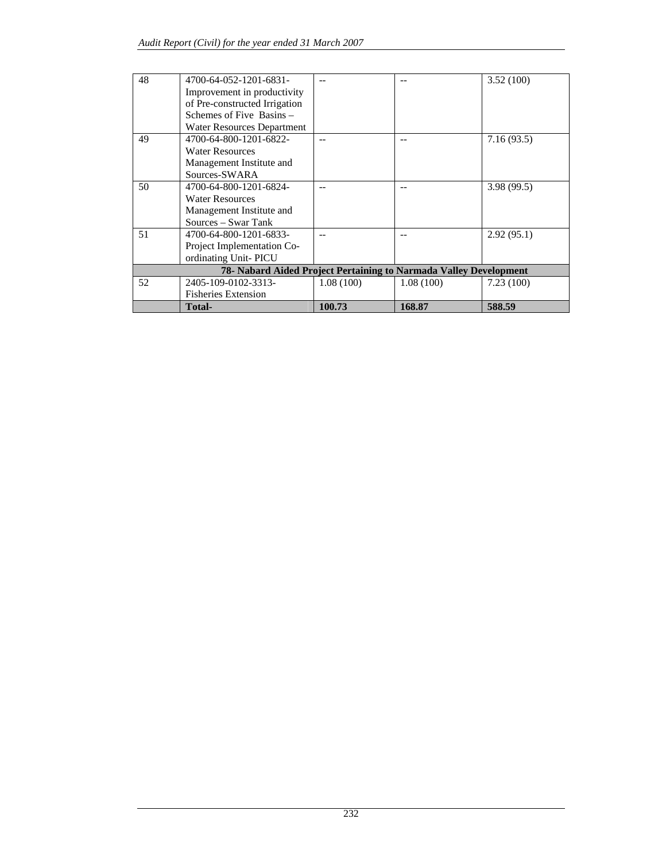| 48 | 4700-64-052-1201-6831-                                            |           | --        | 3.52(100)  |
|----|-------------------------------------------------------------------|-----------|-----------|------------|
|    | Improvement in productivity                                       |           |           |            |
|    | of Pre-constructed Irrigation                                     |           |           |            |
|    | Schemes of Five Basins –                                          |           |           |            |
|    |                                                                   |           |           |            |
|    | <b>Water Resources Department</b>                                 |           |           |            |
| 49 | 4700-64-800-1201-6822-                                            |           |           | 7.16(93.5) |
|    | <b>Water Resources</b>                                            |           |           |            |
|    | Management Institute and                                          |           |           |            |
|    | Sources-SWARA                                                     |           |           |            |
| 50 | 4700-64-800-1201-6824-                                            |           |           | 3.98(99.5) |
|    | <b>Water Resources</b>                                            |           |           |            |
|    | Management Institute and                                          |           |           |            |
|    | Sources – Swar Tank                                               |           |           |            |
| 51 | 4700-64-800-1201-6833-                                            |           |           | 2.92(95.1) |
|    | Project Implementation Co-                                        |           |           |            |
|    | ordinating Unit-PICU                                              |           |           |            |
|    | 78- Nabard Aided Project Pertaining to Narmada Valley Development |           |           |            |
| 52 | 2405-109-0102-3313-                                               | 1.08(100) | 1.08(100) | 7.23(100)  |
|    | <b>Fisheries Extension</b>                                        |           |           |            |
|    | Total-                                                            | 100.73    | 168.87    | 588.59     |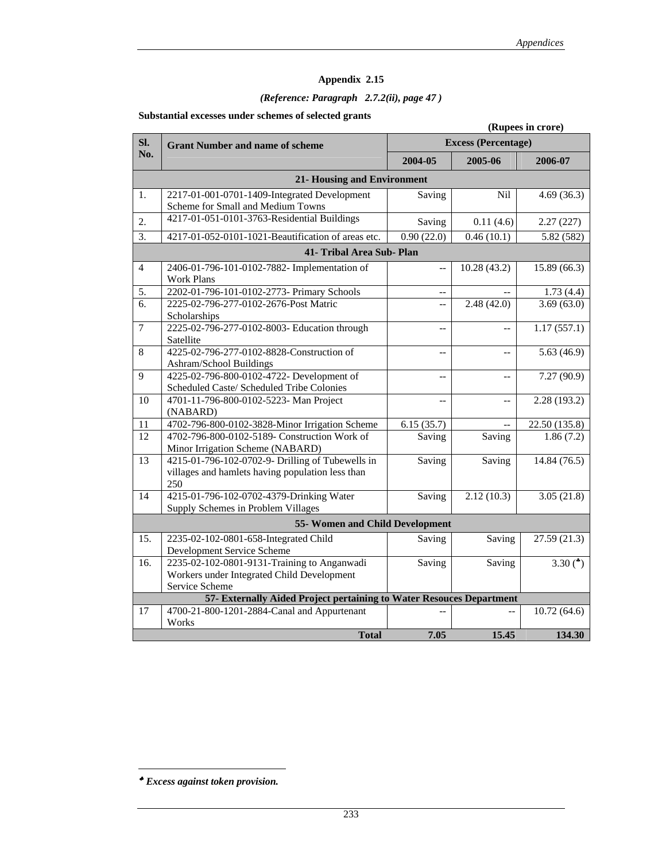## *(Reference: Paragraph 2.7.2(ii), page 47 )*

### **Substantial excesses under schemes of selected grants**

|                 | (Rupees in crore)                                                    |                            |                |                          |  |  |
|-----------------|----------------------------------------------------------------------|----------------------------|----------------|--------------------------|--|--|
| Sl.             | <b>Grant Number and name of scheme</b>                               | <b>Excess (Percentage)</b> |                |                          |  |  |
| No.             |                                                                      | 2004-05                    | 2005-06        | 2006-07                  |  |  |
|                 | <b>21- Housing and Environment</b>                                   |                            |                |                          |  |  |
| 1.              | 2217-01-001-0701-1409-Integrated Development                         | Saving                     | <b>Nil</b>     | 4.69(36.3)               |  |  |
|                 | Scheme for Small and Medium Towns                                    |                            |                |                          |  |  |
| 2.              | 4217-01-051-0101-3763-Residential Buildings                          | Saving                     | 0.11(4.6)      | 2.27(227)                |  |  |
| 3.              | 4217-01-052-0101-1021-Beautification of areas etc.                   | 0.90(22.0)                 | 0.46(10.1)     | 5.82 (582)               |  |  |
|                 | 41- Tribal Area Sub- Plan                                            |                            |                |                          |  |  |
| $\overline{4}$  | 2406-01-796-101-0102-7882- Implementation of                         | $\overline{a}$             | 10.28(43.2)    | 15.89(66.3)              |  |  |
|                 | <b>Work Plans</b>                                                    |                            |                |                          |  |  |
| 5.              | 2202-01-796-101-0102-2773- Primary Schools                           | $\qquad \qquad -$          |                | 1.73(4.4)                |  |  |
| 6.              | 2225-02-796-277-0102-2676-Post Matric                                | $\overline{a}$             | 2.48(42.0)     | 3.69(63.0)               |  |  |
|                 | Scholarships                                                         |                            |                |                          |  |  |
| $\overline{7}$  | 2225-02-796-277-0102-8003- Education through                         | $\overline{a}$             |                | 1.17(557.1)              |  |  |
|                 | Satellite                                                            |                            |                |                          |  |  |
| 8               | 4225-02-796-277-0102-8828-Construction of                            | $\overline{\phantom{a}}$   | $\overline{a}$ | 5.63(46.9)               |  |  |
|                 | Ashram/School Buildings                                              |                            |                |                          |  |  |
| $\overline{9}$  | 4225-02-796-800-0102-4722- Development of                            | $\overline{a}$             | $\overline{a}$ | 7.27 (90.9)              |  |  |
|                 | Scheduled Caste/ Scheduled Tribe Colonies                            |                            |                |                          |  |  |
| 10              | 4701-11-796-800-0102-5223- Man Project                               | $-$                        | $\overline{a}$ | 2.28 (193.2)             |  |  |
|                 | (NABARD)                                                             |                            |                |                          |  |  |
| 11              | 4702-796-800-0102-3828-Minor Irrigation Scheme                       | 6.15(35.7)                 | $\overline{a}$ | 22.50 (135.8)            |  |  |
| $\overline{12}$ | 4702-796-800-0102-5189- Construction Work of                         | Saving                     | Saving         | 1.86(7.2)                |  |  |
|                 | Minor Irrigation Scheme (NABARD)                                     |                            |                |                          |  |  |
| 13              | 4215-01-796-102-0702-9- Drilling of Tubewells in                     | Saving                     | Saving         | 14.84(76.5)              |  |  |
|                 | villages and hamlets having population less than                     |                            |                |                          |  |  |
|                 | 250                                                                  |                            |                |                          |  |  |
| 14              | 4215-01-796-102-0702-4379-Drinking Water                             | Saving                     | 2.12(10.3)     | $\overline{3.05}$ (21.8) |  |  |
|                 | Supply Schemes in Problem Villages                                   |                            |                |                          |  |  |
|                 | 55- Women and Child Development                                      |                            |                |                          |  |  |
| 15.             | 2235-02-102-0801-658-Integrated Child                                | Saving                     | Saving         | 27.59(21.3)              |  |  |
|                 | Development Service Scheme                                           |                            |                |                          |  |  |
| 16.             | 2235-02-102-0801-9131-Training to Anganwadi                          | Saving                     | Saving         | 3.30 $(*)$               |  |  |
|                 | Workers under Integrated Child Development<br>Service Scheme         |                            |                |                          |  |  |
|                 | 57- Externally Aided Project pertaining to Water Resouces Department |                            |                |                          |  |  |
| 17              | 4700-21-800-1201-2884-Canal and Appurtenant                          |                            |                | 10.72(64.6)              |  |  |
|                 | Works                                                                |                            |                |                          |  |  |
|                 | <b>Total</b>                                                         | 7.05                       | 15.45          | 134.30                   |  |  |

 $\overline{a}$ 

<sup>♣</sup> *Excess against token provision.*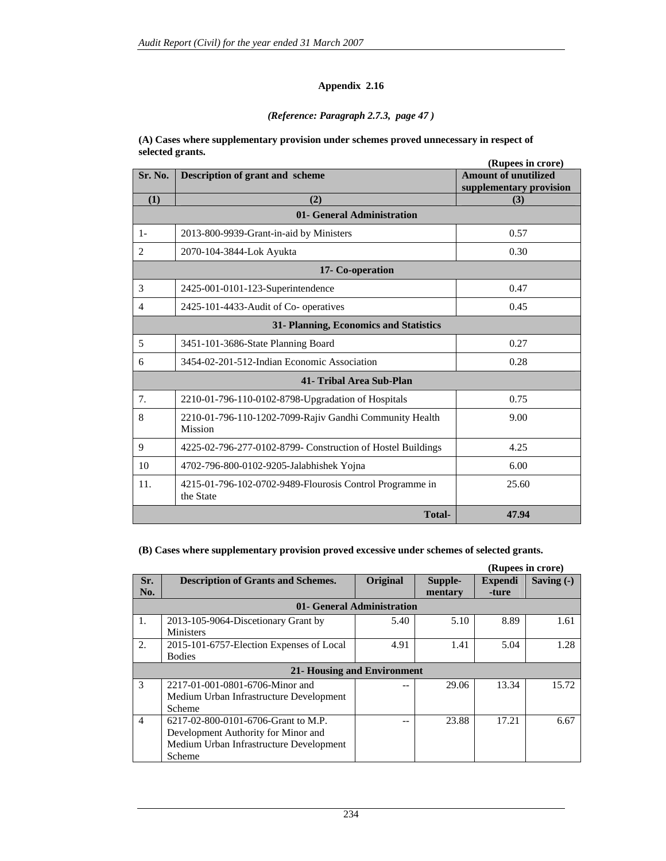### *(Reference: Paragraph 2.7.3, page 47 )*

#### **(A) Cases where supplementary provision under schemes proved unnecessary in respect of selected grants.**

|                |                                                                           | (Rupees in crore)                                      |
|----------------|---------------------------------------------------------------------------|--------------------------------------------------------|
| Sr. No.        | Description of grant and scheme                                           | <b>Amount of unutilized</b><br>supplementary provision |
| (1)            | (2)                                                                       | (3)                                                    |
|                | 01- General Administration                                                |                                                        |
| $1-$           | 2013-800-9939-Grant-in-aid by Ministers                                   | 0.57                                                   |
| $\overline{2}$ | 2070-104-3844-Lok Ayukta                                                  | 0.30                                                   |
|                | 17- Co-operation                                                          |                                                        |
| 3              | 2425-001-0101-123-Superintendence                                         | 0.47                                                   |
| $\overline{4}$ | 2425-101-4433-Audit of Co- operatives                                     | 0.45                                                   |
|                | 31- Planning, Economics and Statistics                                    |                                                        |
| 5              | 3451-101-3686-State Planning Board                                        | 0.27                                                   |
| 6              | 3454-02-201-512-Indian Economic Association                               | 0.28                                                   |
|                | 41- Tribal Area Sub-Plan                                                  |                                                        |
| 7 <sub>1</sub> | 2210-01-796-110-0102-8798-Upgradation of Hospitals                        | 0.75                                                   |
| 8              | 2210-01-796-110-1202-7099-Rajiv Gandhi Community Health<br><b>Mission</b> | 9.00                                                   |
| 9              | 4225-02-796-277-0102-8799- Construction of Hostel Buildings               | 4.25                                                   |
| 10             | 4702-796-800-0102-9205-Jalabhishek Yojna                                  | 6.00                                                   |
| 11.            | 4215-01-796-102-0702-9489-Flourosis Control Programme in<br>the State     | 25.60                                                  |
|                | <b>Total-</b>                                                             | 47.94                                                  |

**(B) Cases where supplementary provision proved excessive under schemes of selected grants.** 

|                |                                                                                                                                 |                            |                    |                         | (Rupees in crore) |
|----------------|---------------------------------------------------------------------------------------------------------------------------------|----------------------------|--------------------|-------------------------|-------------------|
| Sr.<br>No.     | <b>Description of Grants and Schemes.</b>                                                                                       | Original                   | Supple-<br>mentary | <b>Expendi</b><br>-ture | Saving $(-)$      |
|                |                                                                                                                                 | 01- General Administration |                    |                         |                   |
| 1.             | 2013-105-9064-Discetionary Grant by<br><b>Ministers</b>                                                                         | 5.40                       | 5.10               | 8.89                    | 1.61              |
| 2.             | 2015-101-6757-Election Expenses of Local<br><b>Bodies</b>                                                                       | 4.91                       | 1.41               | 5.04                    | 1.28              |
|                | <b>21- Housing and Environment</b>                                                                                              |                            |                    |                         |                   |
| $\mathcal{R}$  | 2217-01-001-0801-6706-Minor and<br>Medium Urban Infrastructure Development<br>Scheme                                            |                            | 29.06              | 13.34                   | 15.72             |
| $\overline{4}$ | 6217-02-800-0101-6706-Grant to M.P.<br>Development Authority for Minor and<br>Medium Urban Infrastructure Development<br>Scheme |                            | 23.88              | 17.21                   | 6.67              |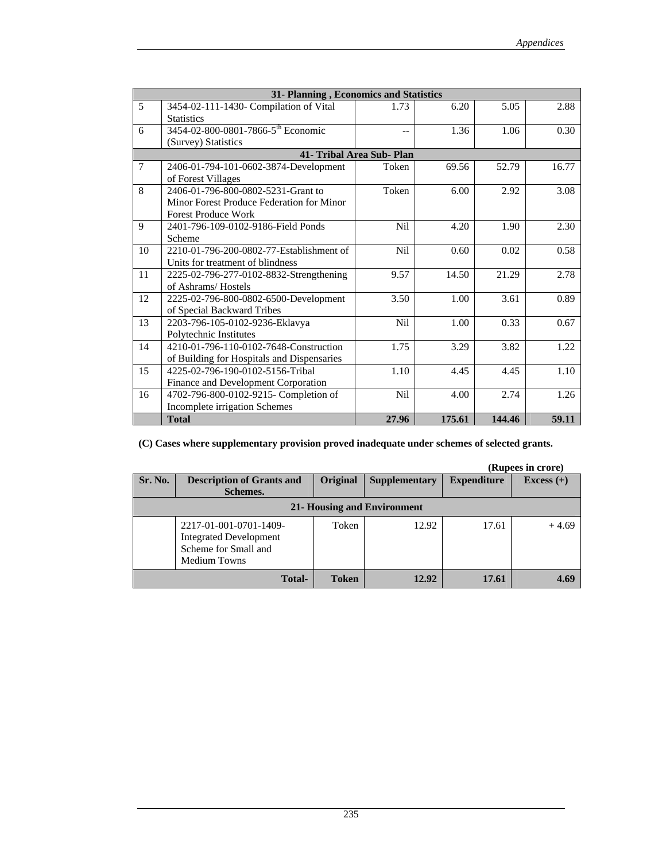|    | 31- Planning, Economics and Statistics         |                           |        |        |       |  |
|----|------------------------------------------------|---------------------------|--------|--------|-------|--|
| 5  | 3454-02-111-1430- Compilation of Vital         | 1.73                      | 6.20   | 5.05   | 2.88  |  |
|    | <b>Statistics</b>                              |                           |        |        |       |  |
| 6  | 3454-02-800-0801-7866-5 <sup>th</sup> Economic | $-$                       | 1.36   | 1.06   | 0.30  |  |
|    | (Survey) Statistics                            |                           |        |        |       |  |
|    |                                                | 41- Tribal Area Sub- Plan |        |        |       |  |
| 7  | 2406-01-794-101-0602-3874-Development          | Token                     | 69.56  | 52.79  | 16.77 |  |
|    | of Forest Villages                             |                           |        |        |       |  |
| 8  | 2406-01-796-800-0802-5231-Grant to             | Token                     | 6.00   | 2.92   | 3.08  |  |
|    | Minor Forest Produce Federation for Minor      |                           |        |        |       |  |
|    | <b>Forest Produce Work</b>                     |                           |        |        |       |  |
| 9  | 2401-796-109-0102-9186-Field Ponds             | N <sub>i</sub> l          | 4.20   | 1.90   | 2.30  |  |
|    | Scheme                                         |                           |        |        |       |  |
| 10 | 2210-01-796-200-0802-77-Establishment of       | N <sub>i</sub> l          | 0.60   | 0.02   | 0.58  |  |
|    | Units for treatment of blindness               |                           |        |        |       |  |
| 11 | 2225-02-796-277-0102-8832-Strengthening        | 9.57                      | 14.50  | 21.29  | 2.78  |  |
|    | of Ashrams/Hostels                             |                           |        |        |       |  |
| 12 | 2225-02-796-800-0802-6500-Development          | 3.50                      | 1.00   | 3.61   | 0.89  |  |
|    | of Special Backward Tribes                     |                           |        |        |       |  |
| 13 | 2203-796-105-0102-9236-Eklavya                 | N <sub>i</sub> l          | 1.00   | 0.33   | 0.67  |  |
|    | Polytechnic Institutes                         |                           |        |        |       |  |
| 14 | 4210-01-796-110-0102-7648-Construction         | 1.75                      | 3.29   | 3.82   | 1.22  |  |
|    | of Building for Hospitals and Dispensaries     |                           |        |        |       |  |
| 15 | 4225-02-796-190-0102-5156-Tribal               | 1.10                      | 4.45   | 4.45   | 1.10  |  |
|    | Finance and Development Corporation            |                           |        |        |       |  |
| 16 | 4702-796-800-0102-9215- Completion of          | <b>Nil</b>                | 4.00   | 2.74   | 1.26  |  |
|    | Incomplete irrigation Schemes                  |                           |        |        |       |  |
|    | <b>Total</b>                                   | 27.96                     | 175.61 | 144.46 | 59.11 |  |

### **(C) Cases where supplementary provision proved inadequate under schemes of selected grants.**

|               |                                                                                                 |              |                      |                    | (Rupees in crore) |  |  |  |
|---------------|-------------------------------------------------------------------------------------------------|--------------|----------------------|--------------------|-------------------|--|--|--|
| Sr. No.       | <b>Description of Grants and</b><br>Schemes.                                                    | Original     | <b>Supplementary</b> | <b>Expenditure</b> | Excess $(+)$      |  |  |  |
|               |                                                                                                 |              |                      |                    |                   |  |  |  |
|               | 21- Housing and Environment                                                                     |              |                      |                    |                   |  |  |  |
|               | 2217-01-001-0701-1409-<br><b>Integrated Development</b><br>Scheme for Small and<br>Medium Towns | Token        | 12.92                | 17.61              | $+4.69$           |  |  |  |
| <b>Total-</b> |                                                                                                 | <b>Token</b> | 12.92                | 17.61              | 4.69              |  |  |  |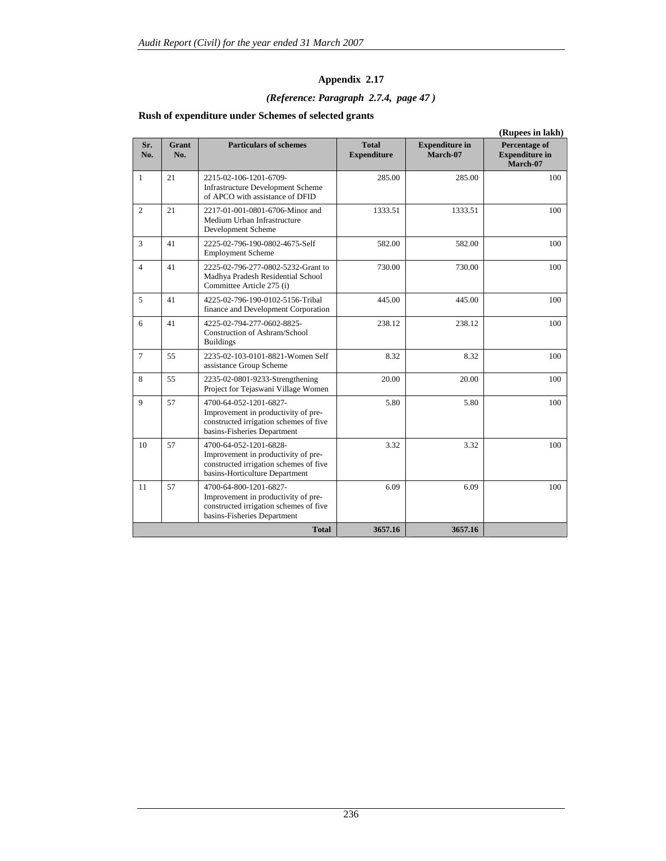## *(Reference: Paragraph 2.7.4, page 47 )*

| (Rupees in lakh) |              |                                                                                                                                           |                                    |                                   |                                                    |
|------------------|--------------|-------------------------------------------------------------------------------------------------------------------------------------------|------------------------------------|-----------------------------------|----------------------------------------------------|
| Sr.<br>No.       | Grant<br>No. | <b>Particulars of schemes</b>                                                                                                             | <b>Total</b><br><b>Expenditure</b> | <b>Expenditure in</b><br>March-07 | Percentage of<br><b>Expenditure in</b><br>March-07 |
| $\mathbf{1}$     | 21           | 2215-02-106-1201-6709-<br><b>Infrastructure Development Scheme</b><br>of APCO with assistance of DFID                                     | 285.00                             | 285.00                            | 100                                                |
| $\overline{2}$   | 21           | 2217-01-001-0801-6706-Minor and<br>Medium Urban Infrastructure<br>Development Scheme                                                      | 1333.51                            | 1333.51                           | 100                                                |
| $\overline{3}$   | 41           | 2225-02-796-190-0802-4675-Self<br><b>Employment Scheme</b>                                                                                | 582.00                             | 582.00                            | 100                                                |
| $\overline{4}$   | 41           | 2225-02-796-277-0802-5232-Grant to<br>Madhya Pradesh Residential School<br>Committee Article 275 (i)                                      | 730.00                             | 730.00                            | 100                                                |
| 5                | 41           | 4225-02-796-190-0102-5156-Tribal<br>finance and Development Corporation                                                                   | 445.00                             | 445.00                            | 100                                                |
| 6                | 41           | 4225-02-794-277-0602-8825-<br>Construction of Ashram/School<br><b>Buildings</b>                                                           | 238.12                             | 238.12                            | 100                                                |
| $\overline{7}$   | 55           | 2235-02-103-0101-8821-Women Self<br>assistance Group Scheme                                                                               | 8.32                               | 8.32                              | 100                                                |
| 8                | 55           | 2235-02-0801-9233-Strengthening<br>Project for Tejaswani Village Women                                                                    | 20.00                              | 20.00                             | 100                                                |
| 9                | 57           | 4700-64-052-1201-6827-<br>Improvement in productivity of pre-<br>constructed irrigation schemes of five<br>basins-Fisheries Department    | 5.80                               | 5.80                              | 100                                                |
| 10               | 57           | 4700-64-052-1201-6828-<br>Improvement in productivity of pre-<br>constructed irrigation schemes of five<br>basins-Horticulture Department | 3.32                               | 3.32                              | 100                                                |
| 11               | 57           | 4700-64-800-1201-6827-<br>Improvement in productivity of pre-<br>constructed irrigation schemes of five<br>basins-Fisheries Department    | 6.09                               | 6.09                              | 100                                                |
|                  |              | <b>Total</b>                                                                                                                              | 3657.16                            | 3657.16                           |                                                    |

### **Rush of expenditure under Schemes of selected grants**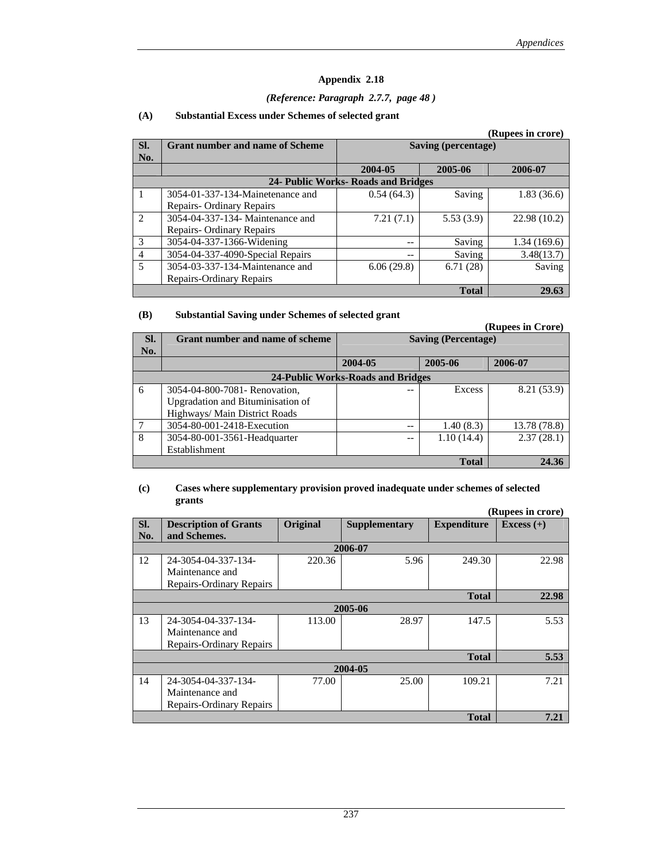#### *(Reference: Paragraph 2.7.7, page 48 )*

|                |                                        |                                     |                     | (Rupees in crore) |  |
|----------------|----------------------------------------|-------------------------------------|---------------------|-------------------|--|
| SI.            | <b>Grant number and name of Scheme</b> |                                     | Saving (percentage) |                   |  |
| No.            |                                        |                                     |                     |                   |  |
|                |                                        | 2004-05                             | 2005-06             | 2006-07           |  |
|                |                                        | 24- Public Works- Roads and Bridges |                     |                   |  |
|                | 3054-01-337-134-Mainetenance and       | 0.54(64.3)                          | Saving              | 1.83(36.6)        |  |
|                | Repairs-Ordinary Repairs               |                                     |                     |                   |  |
| $\mathfrak{D}$ | 3054-04-337-134- Maintenance and       | 7.21(7.1)                           | 5.53(3.9)           | 22.98(10.2)       |  |
|                | Repairs - Ordinary Repairs             |                                     |                     |                   |  |
| $\mathcal{R}$  | 3054-04-337-1366-Widening              | --                                  | Saving              | 1.34(169.6)       |  |
| $\overline{4}$ | 3054-04-337-4090-Special Repairs       | --                                  | Saving              | 3.48(13.7)        |  |
| 5              | 3054-03-337-134-Maintenance and        | 6.06(29.8)                          | 6.71(28)            | Saving            |  |
|                | Repairs-Ordinary Repairs               |                                     |                     |                   |  |
|                | <b>Total</b>                           |                                     |                     |                   |  |

#### **(A) Substantial Excess under Schemes of selected grant**

#### **(B) Substantial Saving under Schemes of selected grant**

**(Rupees in Crore) Sl. No.**  Grant number and name of scheme **Saving (Percentage) 2004-05 2005-06 2006-07 24-Public Works-Roads and Bridges**  6 3054-04-800-7081- Renovation, Upgradation and Bituminisation of Highways/ Main District Roads  $-$  Excess 8.21 (53.9) 7 3054-80-001-2418-Execution -- 1.40 (8.3) 13.78 (78.8) 8 3054-80-001-3561-Headquarter Establishment  $-$  1.10 (14.4) 2.37 (28.1) **Total 24.36** 

#### **(c) Cases where supplementary provision proved inadequate under schemes of selected grants**

|     |                                 |                 |               |                    | (Rupees in crore) |  |  |  |
|-----|---------------------------------|-----------------|---------------|--------------------|-------------------|--|--|--|
| SI. | <b>Description of Grants</b>    | <b>Original</b> | Supplementary | <b>Expenditure</b> | Excess $(+)$      |  |  |  |
| No. | and Schemes.                    |                 |               |                    |                   |  |  |  |
|     |                                 |                 | 2006-07       |                    |                   |  |  |  |
| 12  | 24-3054-04-337-134-             | 220.36          | 5.96          | 249.30             | 22.98             |  |  |  |
|     | Maintenance and                 |                 |               |                    |                   |  |  |  |
|     | Repairs-Ordinary Repairs        |                 |               |                    |                   |  |  |  |
|     | 22.98<br><b>Total</b>           |                 |               |                    |                   |  |  |  |
|     |                                 |                 | 2005-06       |                    |                   |  |  |  |
| 13  | 24-3054-04-337-134-             | 113.00          | 28.97         | 147.5              | 5.53              |  |  |  |
|     | Maintenance and                 |                 |               |                    |                   |  |  |  |
|     | <b>Repairs-Ordinary Repairs</b> |                 |               |                    |                   |  |  |  |
|     |                                 |                 |               | <b>Total</b>       | 5.53              |  |  |  |
|     |                                 |                 | 2004-05       |                    |                   |  |  |  |
| 14  | 24-3054-04-337-134-             | 77.00           | 25.00         | 109.21             | 7.21              |  |  |  |
|     | Maintenance and                 |                 |               |                    |                   |  |  |  |
|     | Repairs-Ordinary Repairs        |                 |               |                    |                   |  |  |  |
|     | 7.21<br><b>Total</b>            |                 |               |                    |                   |  |  |  |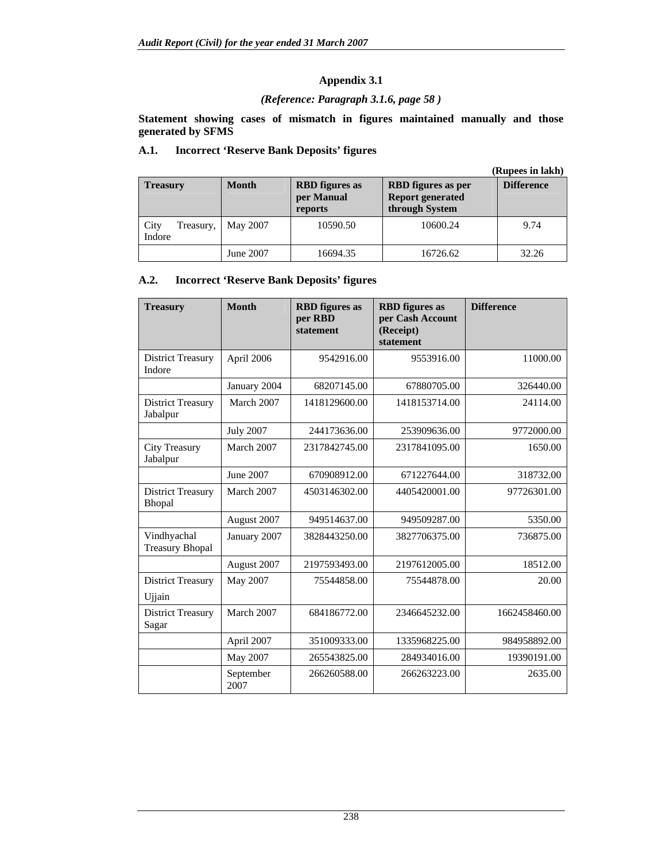### *(Reference: Paragraph 3.1.6, page 58 )*

**Statement showing cases of mismatch in figures maintained manually and those generated by SFMS** 

### **A.1. Incorrect 'Reserve Bank Deposits' figures**

|                             |              |                                                |                                                                        | (Rupees in lakh)  |  |
|-----------------------------|--------------|------------------------------------------------|------------------------------------------------------------------------|-------------------|--|
| <b>Treasury</b>             | <b>Month</b> | <b>RBD</b> figures as<br>per Manual<br>reports | <b>RBD</b> figures as per<br><b>Report generated</b><br>through System | <b>Difference</b> |  |
| City<br>Treasury,<br>Indore | May 2007     | 10590.50                                       | 10600.24                                                               | 9.74              |  |
|                             | June 2007    | 16694.35                                       | 16726.62                                                               | 32.26             |  |

### **A.2. Incorrect 'Reserve Bank Deposits' figures**

| <b>Treasury</b>                       | <b>Month</b>      | <b>RBD</b> figures as<br>per RBD<br>statement | <b>RBD</b> figures as<br>per Cash Account<br>(Receipt)<br>statement | <b>Difference</b> |
|---------------------------------------|-------------------|-----------------------------------------------|---------------------------------------------------------------------|-------------------|
| <b>District Treasury</b><br>Indore    | April 2006        | 9542916.00                                    | 9553916.00                                                          | 11000.00          |
|                                       | January 2004      | 68207145.00                                   | 67880705.00                                                         | 326440.00         |
| <b>District Treasury</b><br>Jabalpur  | March 2007        | 1418129600.00                                 | 1418153714.00                                                       | 24114.00          |
|                                       | <b>July 2007</b>  | 244173636.00                                  | 253909636.00                                                        | 9772000.00        |
| <b>City Treasury</b><br>Jabalpur      | March 2007        | 2317842745.00                                 | 2317841095.00                                                       | 1650.00           |
|                                       | June 2007         | 670908912.00                                  | 671227644.00                                                        | 318732.00         |
| <b>District Treasury</b><br>Bhopal    | March 2007        | 4503146302.00                                 | 4405420001.00                                                       | 97726301.00       |
|                                       | August 2007       | 949514637.00                                  | 949509287.00                                                        | 5350.00           |
| Vindhyachal<br><b>Treasury Bhopal</b> | January 2007      | 3828443250.00                                 | 3827706375.00                                                       | 736875.00         |
|                                       | August 2007       | 2197593493.00                                 | 2197612005.00                                                       | 18512.00          |
| <b>District Treasury</b><br>Ujjain    | May 2007          | 75544858.00                                   | 75544878.00                                                         | 20.00             |
| <b>District Treasury</b><br>Sagar     | March 2007        | 684186772.00                                  | 2346645232.00                                                       | 1662458460.00     |
|                                       | April 2007        | 351009333.00                                  | 1335968225.00                                                       | 984958892.00      |
|                                       | May 2007          | 265543825.00                                  | 284934016.00                                                        | 19390191.00       |
|                                       | September<br>2007 | 266260588.00                                  | 266263223.00                                                        | 2635.00           |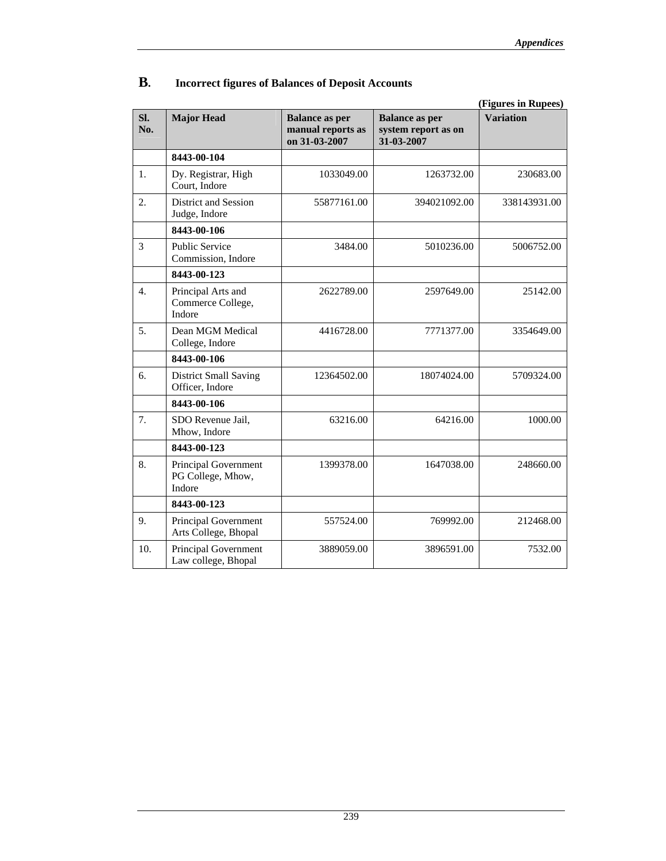|                  |                                                     |                                                             |                                                            | (Figures in Rupees) |
|------------------|-----------------------------------------------------|-------------------------------------------------------------|------------------------------------------------------------|---------------------|
| SI.<br>No.       | <b>Major Head</b>                                   | <b>Balance as per</b><br>manual reports as<br>on 31-03-2007 | <b>Balance as per</b><br>system report as on<br>31-03-2007 | <b>Variation</b>    |
|                  | 8443-00-104                                         |                                                             |                                                            |                     |
| 1.               | Dy. Registrar, High<br>Court, Indore                | 1033049.00                                                  | 1263732.00                                                 | 230683.00           |
| 2.               | District and Session<br>Judge, Indore               | 55877161.00                                                 | 394021092.00                                               | 338143931.00        |
|                  | 8443-00-106                                         |                                                             |                                                            |                     |
| 3                | <b>Public Service</b><br>Commission, Indore         | 3484.00                                                     | 5010236.00                                                 | 5006752.00          |
|                  | 8443-00-123                                         |                                                             |                                                            |                     |
| $\overline{4}$ . | Principal Arts and<br>Commerce College,<br>Indore   | 2622789.00                                                  | 2597649.00                                                 | 25142.00            |
| 5.               | Dean MGM Medical<br>College, Indore                 | 4416728.00                                                  | 7771377.00                                                 | 3354649.00          |
|                  | 8443-00-106                                         |                                                             |                                                            |                     |
| 6.               | <b>District Small Saving</b><br>Officer, Indore     | 12364502.00                                                 | 18074024.00                                                | 5709324.00          |
|                  | 8443-00-106                                         |                                                             |                                                            |                     |
| 7.               | SDO Revenue Jail,<br>Mhow, Indore                   | 63216.00                                                    | 64216.00                                                   | 1000.00             |
|                  | 8443-00-123                                         |                                                             |                                                            |                     |
| 8.               | Principal Government<br>PG College, Mhow,<br>Indore | 1399378.00                                                  | 1647038.00                                                 | 248660.00           |
|                  | 8443-00-123                                         |                                                             |                                                            |                     |
| 9.               | Principal Government<br>Arts College, Bhopal        | 557524.00                                                   | 769992.00                                                  | 212468.00           |
| 10.              | Principal Government<br>Law college, Bhopal         | 3889059.00                                                  | 3896591.00                                                 | 7532.00             |

## **B. Incorrect figures of Balances of Deposit Accounts**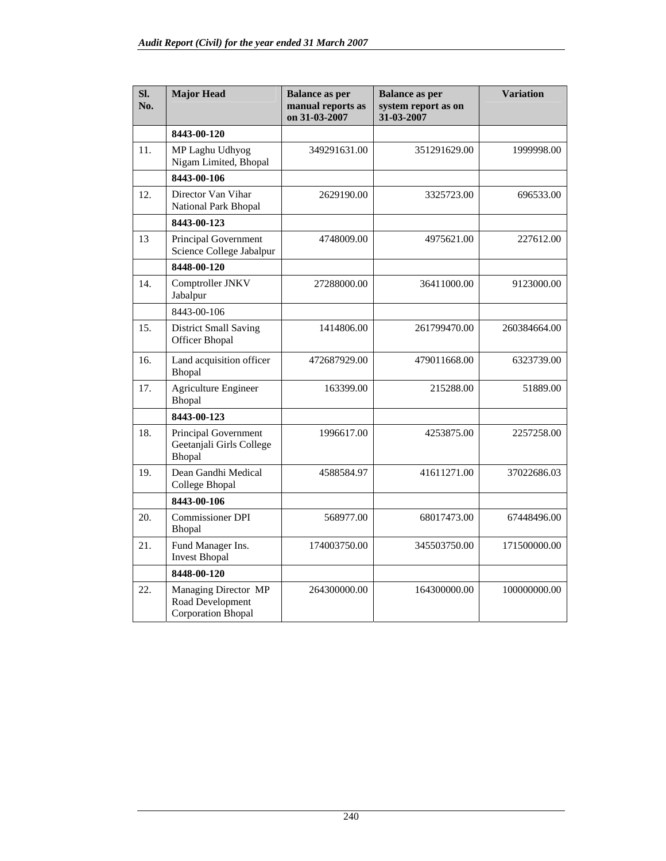| SI.<br>N <sub>0</sub> | <b>Major Head</b>                                                     | <b>Balance as per</b><br>manual reports as<br>on 31-03-2007 | <b>Balance as per</b><br>system report as on<br>31-03-2007 | <b>Variation</b> |
|-----------------------|-----------------------------------------------------------------------|-------------------------------------------------------------|------------------------------------------------------------|------------------|
|                       | 8443-00-120                                                           |                                                             |                                                            |                  |
| 11.                   | MP Laghu Udhyog<br>Nigam Limited, Bhopal                              | 349291631.00                                                | 351291629.00                                               | 1999998.00       |
|                       | 8443-00-106                                                           |                                                             |                                                            |                  |
| 12.                   | Director Van Vihar<br>National Park Bhopal                            | 2629190.00                                                  | 3325723.00                                                 | 696533.00        |
|                       | 8443-00-123                                                           |                                                             |                                                            |                  |
| 13                    | Principal Government<br>Science College Jabalpur                      | 4748009.00                                                  | 4975621.00                                                 | 227612.00        |
|                       | 8448-00-120                                                           |                                                             |                                                            |                  |
| 14.                   | Comptroller JNKV<br>Jabalpur                                          | 27288000.00                                                 | 36411000.00                                                | 9123000.00       |
|                       | 8443-00-106                                                           |                                                             |                                                            |                  |
| 15.                   | <b>District Small Saving</b><br><b>Officer Bhopal</b>                 | 1414806.00                                                  | 261799470.00                                               | 260384664.00     |
| 16.                   | Land acquisition officer<br>Bhopal                                    | 472687929.00                                                | 479011668.00                                               | 6323739.00       |
| 17.                   | <b>Agriculture Engineer</b><br>Bhopal                                 | 163399.00                                                   | 215288.00                                                  | 51889.00         |
|                       | 8443-00-123                                                           |                                                             |                                                            |                  |
| 18.                   | Principal Government<br>Geetanjali Girls College<br>Bhopal            | 1996617.00                                                  | 4253875.00                                                 | 2257258.00       |
| 19.                   | Dean Gandhi Medical<br>College Bhopal                                 | 4588584.97                                                  | 41611271.00                                                | 37022686.03      |
|                       | 8443-00-106                                                           |                                                             |                                                            |                  |
| 20.                   | <b>Commissioner DPI</b><br>Bhopal                                     | 568977.00                                                   | 68017473.00                                                | 67448496.00      |
| 21.                   | Fund Manager Ins.<br><b>Invest Bhopal</b>                             | 174003750.00                                                | 345503750.00                                               | 171500000.00     |
|                       | 8448-00-120                                                           |                                                             |                                                            |                  |
| 22.                   | Managing Director MP<br>Road Development<br><b>Corporation Bhopal</b> | 264300000.00                                                | 164300000.00                                               | 100000000.00     |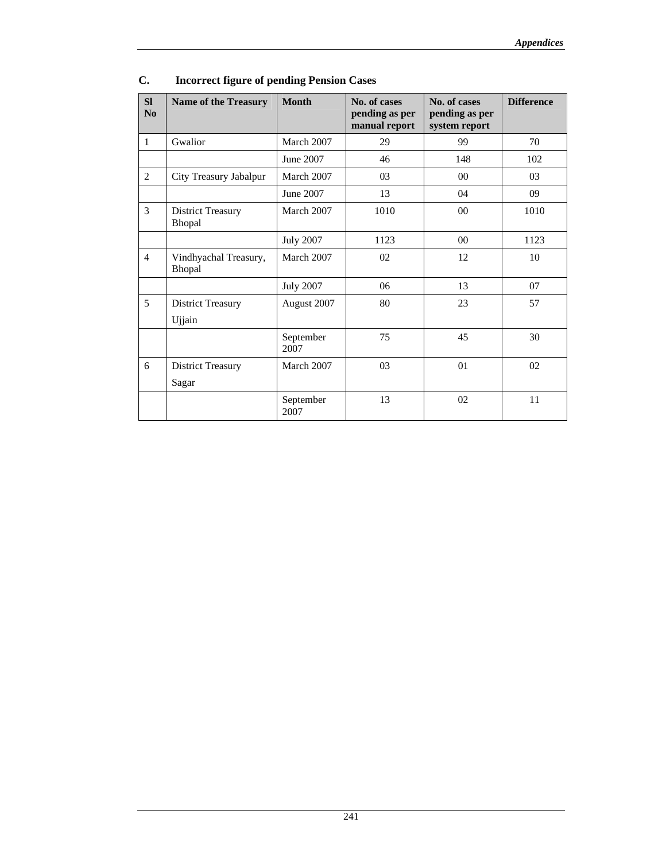| <b>SI</b><br>No | <b>Name of the Treasury</b>        | <b>Month</b>      | No. of cases<br>pending as per<br>manual report | No. of cases<br>pending as per<br>system report | <b>Difference</b> |
|-----------------|------------------------------------|-------------------|-------------------------------------------------|-------------------------------------------------|-------------------|
| $\mathbf{1}$    | Gwalior                            | March 2007        | 29                                              | 99                                              | 70                |
|                 |                                    | June 2007         | 46                                              | 148                                             | 102               |
| $\overline{2}$  | City Treasury Jabalpur             | March 2007        | 03                                              | $00\,$                                          | 03                |
|                 |                                    | June 2007         | 13                                              | 04                                              | 09                |
| 3               | <b>District Treasury</b><br>Bhopal | March 2007        | 1010                                            | 00                                              | 1010              |
|                 |                                    | <b>July 2007</b>  | 1123                                            | 0 <sup>0</sup>                                  | 1123              |
| $\overline{4}$  | Vindhyachal Treasury,<br>Bhopal    | March 2007        | 02                                              | 12                                              | 10                |
|                 |                                    | <b>July 2007</b>  | 06                                              | 13                                              | 07                |
| 5               | <b>District Treasury</b>           | August 2007       | 80                                              | 23                                              | 57                |
|                 | Ujjain                             |                   |                                                 |                                                 |                   |
|                 |                                    | September<br>2007 | 75                                              | 45                                              | 30                |
| 6               | <b>District Treasury</b><br>Sagar  | March 2007        | 03                                              | 01                                              | 02                |
|                 |                                    | September         | 13                                              | 02                                              | 11                |
|                 |                                    | 2007              |                                                 |                                                 |                   |

# **C. Incorrect figure of pending Pension Cases**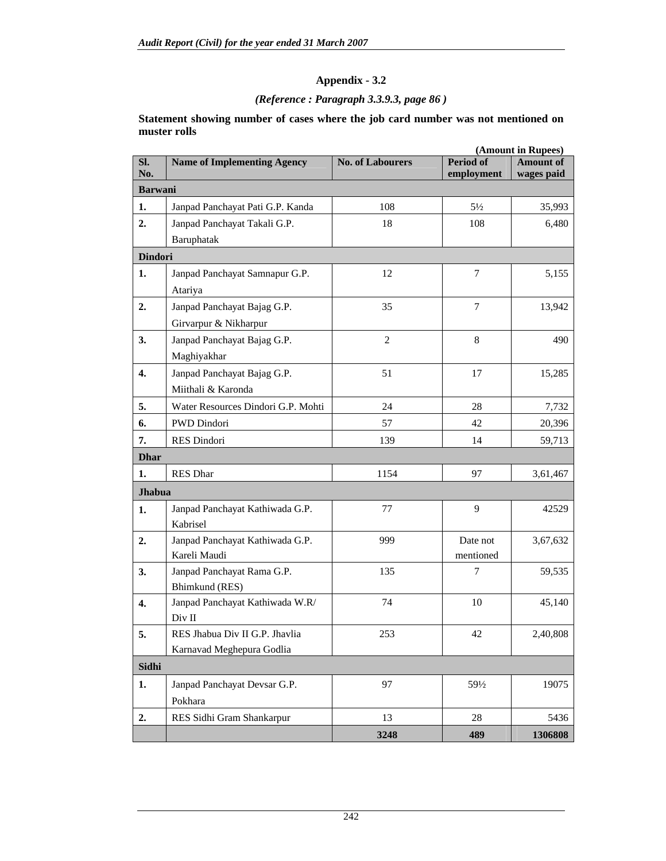## *(Reference : Paragraph 3.3.9.3, page 86 )*

**Statement showing number of cases where the job card number was not mentioned on muster rolls** 

|                  |                                             |                         |                                | (Amount in Rupees)             |
|------------------|---------------------------------------------|-------------------------|--------------------------------|--------------------------------|
| SI.<br>No.       | <b>Name of Implementing Agency</b>          | <b>No. of Labourers</b> | <b>Period of</b><br>employment | <b>Amount of</b><br>wages paid |
| <b>Barwani</b>   |                                             |                         |                                |                                |
| 1.               | Janpad Panchayat Pati G.P. Kanda            | 108                     | $5\frac{1}{2}$                 | 35,993                         |
| 2.               | Janpad Panchayat Takali G.P.                | 18                      | 108                            | 6,480                          |
|                  | Baruphatak                                  |                         |                                |                                |
| <b>Dindori</b>   |                                             |                         |                                |                                |
| 1.               | Janpad Panchayat Samnapur G.P.              | 12                      | 7                              | 5,155                          |
|                  | Atariya                                     |                         |                                |                                |
| 2.               | Janpad Panchayat Bajag G.P.                 | 35                      | $\overline{7}$                 | 13,942                         |
|                  | Girvarpur & Nikharpur                       |                         |                                |                                |
| 3.               | Janpad Panchayat Bajag G.P.                 | $\overline{2}$          | 8                              | 490                            |
|                  | Maghiyakhar                                 |                         |                                |                                |
| $\overline{4}$ . | Janpad Panchayat Bajag G.P.                 | 51                      | 17                             | 15,285                         |
|                  | Miithali & Karonda                          |                         |                                |                                |
| 5.               | Water Resources Dindori G.P. Mohti          | 24                      | 28                             | 7,732                          |
| 6.               | PWD Dindori                                 | 57                      | 42                             | 20,396                         |
| 7.               | RES Dindori                                 | 139                     | 14                             | 59,713                         |
| <b>Dhar</b>      |                                             |                         |                                |                                |
| 1.               | <b>RES Dhar</b>                             | 1154                    | 97                             | 3,61,467                       |
| <b>Jhabua</b>    |                                             |                         |                                |                                |
|                  |                                             | 77                      | 9                              | 42529                          |
| 1.               | Janpad Panchayat Kathiwada G.P.<br>Kabrisel |                         |                                |                                |
| 2.               | Janpad Panchayat Kathiwada G.P.             | 999                     | Date not                       | 3,67,632                       |
|                  | Kareli Maudi                                |                         | mentioned                      |                                |
| 3.               | Janpad Panchayat Rama G.P.                  | 135                     | 7                              | 59,535                         |
|                  | Bhimkund (RES)                              |                         |                                |                                |
| $\overline{4}$ . | Janpad Panchayat Kathiwada W.R/             | 74                      | 10                             | 45,140                         |
|                  | Div II                                      |                         |                                |                                |
| 5.               | RES Jhabua Div II G.P. Jhavlia              | 253                     | 42                             | 2,40,808                       |
|                  | Karnavad Meghepura Godlia                   |                         |                                |                                |
| Sidhi            |                                             |                         |                                |                                |
| 1.               | Janpad Panchayat Devsar G.P.                | 97                      | $59\frac{1}{2}$                | 19075                          |
|                  | Pokhara                                     |                         |                                |                                |
| 2.               | RES Sidhi Gram Shankarpur                   | 13                      | 28                             | 5436                           |
|                  |                                             | 3248                    | 489                            | 1306808                        |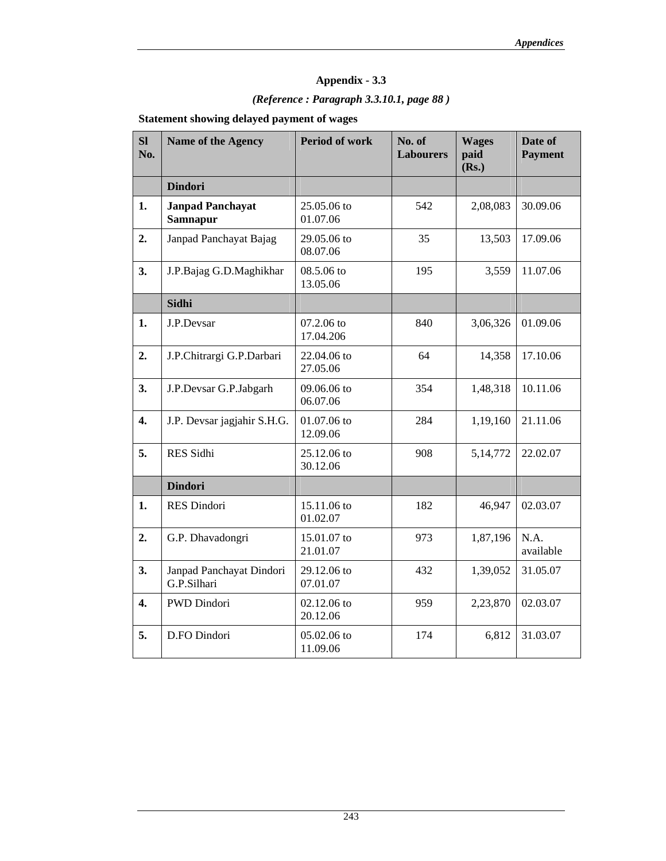# *(Reference : Paragraph 3.3.10.1, page 88 )*

**Statement showing delayed payment of wages** 

| SI<br>No.        | <b>Name of the Agency</b>                  | <b>Period of work</b>   | No. of<br><b>Labourers</b> | <b>Wages</b><br>paid<br>(Rs.) | Date of<br><b>Payment</b> |
|------------------|--------------------------------------------|-------------------------|----------------------------|-------------------------------|---------------------------|
|                  | <b>Dindori</b>                             |                         |                            |                               |                           |
| 1.               | <b>Janpad Panchayat</b><br><b>Samnapur</b> | 25.05.06 to<br>01.07.06 | 542                        | 2,08,083                      | 30.09.06                  |
| 2.               | Janpad Panchayat Bajag                     | 29.05.06 to<br>08.07.06 | 35                         | 13,503                        | 17.09.06                  |
| 3.               | J.P.Bajag G.D.Maghikhar                    | 08.5.06 to<br>13.05.06  | 195                        | 3,559                         | 11.07.06                  |
|                  | Sidhi                                      |                         |                            |                               |                           |
| 1.               | J.P.Devsar                                 | 07.2.06 to<br>17.04.206 | 840                        | 3,06,326                      | 01.09.06                  |
| 2.               | J.P.Chitrargi G.P.Darbari                  | 22.04.06 to<br>27.05.06 | 64                         | 14,358                        | 17.10.06                  |
| 3.               | J.P.Devsar G.P.Jabgarh                     | 09.06.06 to<br>06.07.06 | 354                        | 1,48,318                      | 10.11.06                  |
| $\overline{4}$ . | J.P. Devsar jagjahir S.H.G.                | 01.07.06 to<br>12.09.06 | 284                        | 1,19,160                      | 21.11.06                  |
| 5.               | RES Sidhi                                  | 25.12.06 to<br>30.12.06 | 908                        | 5,14,772                      | 22.02.07                  |
|                  | <b>Dindori</b>                             |                         |                            |                               |                           |
| 1.               | RES Dindori                                | 15.11.06 to<br>01.02.07 | 182                        | 46,947                        | 02.03.07                  |
| 2.               | G.P. Dhavadongri                           | 15.01.07 to<br>21.01.07 | 973                        | 1,87,196                      | N.A.<br>available         |
| 3.               | Janpad Panchayat Dindori<br>G.P.Silhari    | 29.12.06 to<br>07.01.07 | 432                        | 1,39,052                      | 31.05.07                  |
| $\overline{4}$ . | PWD Dindori                                | 02.12.06 to<br>20.12.06 | 959                        | 2,23,870                      | 02.03.07                  |
| 5.               | D.FO Dindori                               | 05.02.06 to<br>11.09.06 | 174                        | 6,812                         | 31.03.07                  |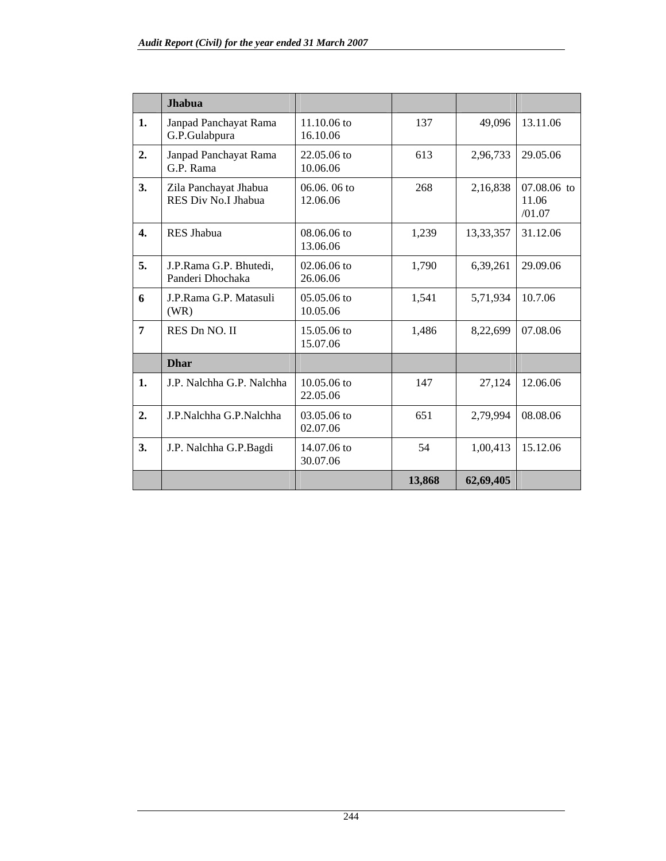|                  | <b>Jhabua</b>                                |                           |        |           |                                  |
|------------------|----------------------------------------------|---------------------------|--------|-----------|----------------------------------|
| 1.               | Janpad Panchayat Rama<br>G.P.Gulabpura       | $11.10.06$ to<br>16.10.06 | 137    | 49,096    | 13.11.06                         |
| 2.               | Janpad Panchayat Rama<br>G.P. Rama           | 22.05.06 to<br>10.06.06   | 613    | 2,96,733  | 29.05.06                         |
| 3.               | Zila Panchayat Jhabua<br>RES Div No.I Jhabua | $06.06.06$ to<br>12.06.06 | 268    | 2,16,838  | $07.08.06$ to<br>11.06<br>/01.07 |
| $\overline{4}$ . | <b>RES Jhabua</b>                            | 08.06.06 to<br>13.06.06   | 1,239  | 13,33,357 | 31.12.06                         |
| 5.               | J.P.Rama G.P. Bhutedi,<br>Panderi Dhochaka   | $02.06.06$ to<br>26.06.06 | 1,790  | 6,39,261  | 29.09.06                         |
| 6                | J.P.Rama G.P. Matasuli<br>(WR)               | $05.05.06$ to<br>10.05.06 | 1,541  | 5,71,934  | 10.7.06                          |
| 7                | RES Dn NO. II                                | $15.05.06$ to<br>15.07.06 | 1,486  | 8,22,699  | 07.08.06                         |
|                  | <b>Dhar</b>                                  |                           |        |           |                                  |
| 1.               | J.P. Nalchha G.P. Nalchha                    | $10.05.06$ to<br>22.05.06 | 147    | 27,124    | 12.06.06                         |
| 2.               | J.P.Nalchha G.P.Nalchha                      | 03.05.06 to<br>02.07.06   | 651    | 2,79,994  | 08.08.06                         |
| 3.               | J.P. Nalchha G.P.Bagdi                       | 14.07.06 to<br>30.07.06   | 54     | 1,00,413  | 15.12.06                         |
|                  |                                              |                           | 13,868 | 62,69,405 |                                  |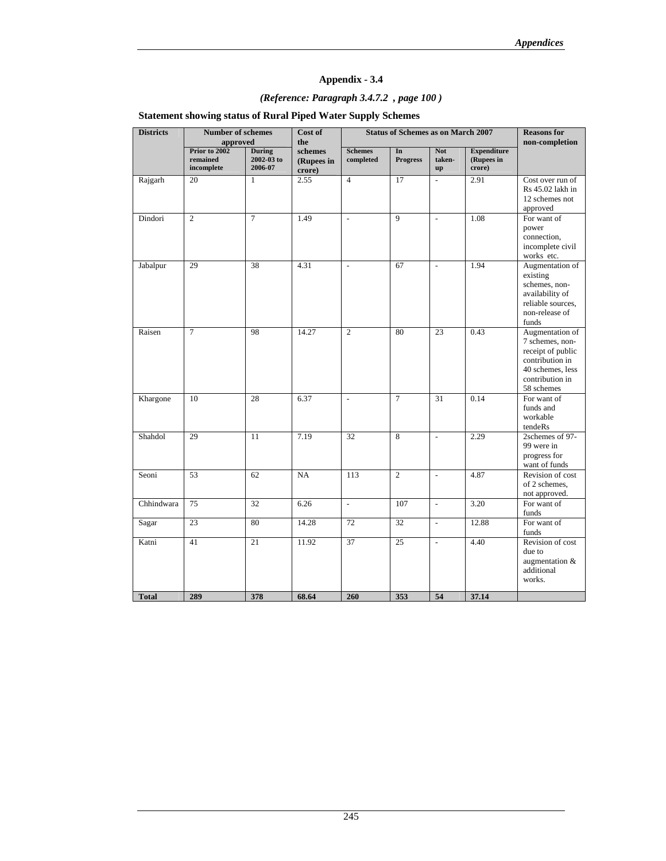## *(Reference: Paragraph 3.4.7.2 , page 100 )*

## **Statement showing status of Rural Piped Water Supply Schemes**

| <b>Districts</b> | <b>Number of schemes</b><br>approved    |                                        | Cost of<br>the                  | <b>Status of Schemes as on March 2007</b> |                       |                                                |                                            | <b>Reasons</b> for<br>non-completion                                                                                            |
|------------------|-----------------------------------------|----------------------------------------|---------------------------------|-------------------------------------------|-----------------------|------------------------------------------------|--------------------------------------------|---------------------------------------------------------------------------------------------------------------------------------|
|                  | Prior to 2002<br>remained<br>incomplete | <b>During</b><br>2002-03 to<br>2006-07 | schemes<br>(Rupees in<br>crore) | <b>Schemes</b><br>completed               | In<br><b>Progress</b> | <b>Not</b><br>taken-<br>$\mathbf{u}\mathbf{p}$ | <b>Expenditure</b><br>(Rupees in<br>crore) |                                                                                                                                 |
| Rajgarh          | 20                                      | $\mathbf{1}$                           | 2.55                            | $\overline{4}$                            | 17                    | $\overline{a}$                                 | 2.91                                       | Cost over run of<br>Rs 45.02 lakh in<br>12 schemes not<br>approved                                                              |
| Dindori          | $\overline{c}$                          | $\tau$                                 | 1.49                            | $\overline{\phantom{a}}$                  | $\mathbf Q$           | $\overline{\phantom{a}}$                       | 1.08                                       | For want of<br>power<br>connection,<br>incomplete civil<br>works etc.                                                           |
| Jabalpur         | 29                                      | 38                                     | 4.31                            | $\frac{1}{2}$                             | 67                    | $\bar{\phantom{a}}$                            | 1.94                                       | Augmentation of<br>existing<br>schemes, non-<br>availability of<br>reliable sources,<br>non-release of<br>funds                 |
| Raisen           | $\tau$                                  | 98                                     | 14.27                           | $\overline{2}$                            | 80                    | 23                                             | 0.43                                       | Augmentation of<br>7 schemes, non-<br>receipt of public<br>contribution in<br>40 schemes, less<br>contribution in<br>58 schemes |
| Khargone         | 10                                      | 28                                     | 6.37                            | $\frac{1}{2}$                             | $\overline{7}$        | 31                                             | 0.14                                       | For want of<br>funds and<br>workable<br>tendeRs                                                                                 |
| Shahdol          | 29                                      | 11                                     | 7.19                            | 32                                        | 8                     | $\overline{\phantom{a}}$                       | 2.29                                       | 2schemes of 97-<br>99 were in<br>progress for<br>want of funds                                                                  |
| Seoni            | 53                                      | 62                                     | NA                              | 113                                       | $\overline{2}$        | $\overline{\phantom{a}}$                       | 4.87                                       | Revision of cost<br>of 2 schemes,<br>not approved.                                                                              |
| Chhindwara       | 75                                      | 32                                     | 6.26                            | $\overline{a}$                            | 107                   | $\overline{\phantom{a}}$                       | 3.20                                       | For want of<br>funds                                                                                                            |
| Sagar            | 23                                      | 80                                     | 14.28                           | 72                                        | 32                    | $\overline{\phantom{a}}$                       | 12.88                                      | For want of<br>funds                                                                                                            |
| Katni            | 41                                      | 21                                     | 11.92                           | 37                                        | 25                    | $\frac{1}{2}$                                  | 4.40                                       | Revision of cost<br>due to<br>augmentation &<br>additional<br>works.                                                            |
| <b>Total</b>     | 289                                     | 378                                    | 68.64                           | 260                                       | 353                   | 54                                             | 37.14                                      |                                                                                                                                 |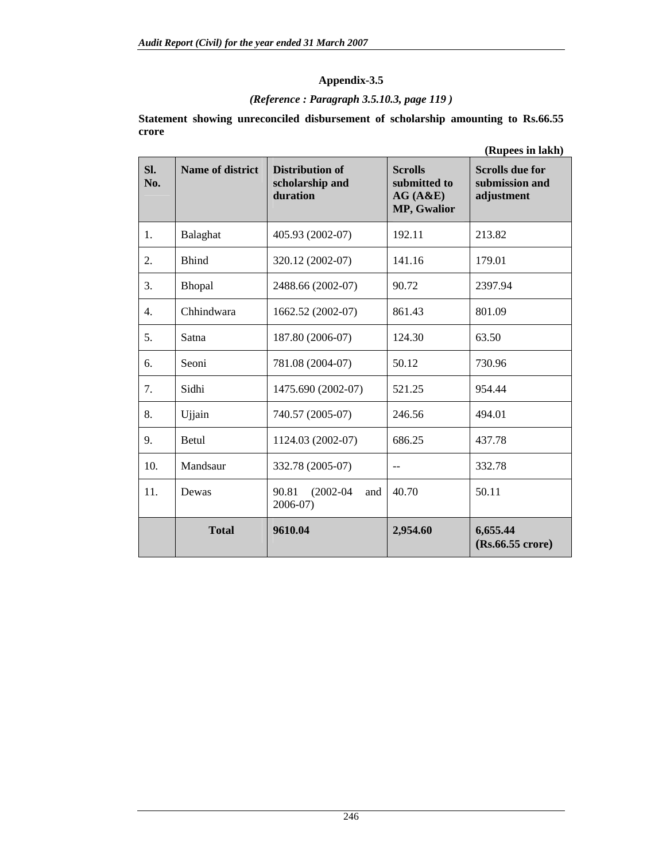## **Appendix-3.5**

### *(Reference : Paragraph 3.5.10.3, page 119 )*

**Statement showing unreconciled disbursement of scholarship amounting to Rs.66.55 crore** 

|                  |                         |                                                       |                                                          | (Rupees in lakh)                                       |
|------------------|-------------------------|-------------------------------------------------------|----------------------------------------------------------|--------------------------------------------------------|
| SI.<br>No.       | <b>Name of district</b> | <b>Distribution of</b><br>scholarship and<br>duration | <b>Scrolls</b><br>submitted to<br>AG(A&E)<br>MP, Gwalior | <b>Scrolls due for</b><br>submission and<br>adjustment |
| 1.               | Balaghat                | 405.93 (2002-07)                                      | 192.11                                                   | 213.82                                                 |
| 2.               | <b>Bhind</b>            | 320.12 (2002-07)                                      | 141.16                                                   | 179.01                                                 |
| 3.               | Bhopal                  | 2488.66 (2002-07)                                     | 90.72                                                    | 2397.94                                                |
| $\overline{4}$ . | Chhindwara              | 1662.52 (2002-07)                                     | 861.43                                                   | 801.09                                                 |
| 5.               | Satna                   | 187.80 (2006-07)                                      | 124.30                                                   | 63.50                                                  |
| 6.               | Seoni                   | 781.08 (2004-07)                                      | 50.12                                                    | 730.96                                                 |
| 7.               | Sidhi                   | 1475.690 (2002-07)                                    | 521.25                                                   | 954.44                                                 |
| 8.               | Ujjain                  | 740.57 (2005-07)                                      | 246.56                                                   | 494.01                                                 |
| 9.               | <b>Betul</b>            | 1124.03 (2002-07)                                     | 686.25                                                   | 437.78                                                 |
| 10.              | Mandsaur                | 332.78 (2005-07)                                      | $-$                                                      | 332.78                                                 |
| 11.              | Dewas                   | $(2002 - 04)$<br>90.81<br>and<br>2006-07)             | 40.70                                                    | 50.11                                                  |
|                  | <b>Total</b>            | 9610.04                                               | 2,954.60                                                 | 6,655.44<br>$(Rs.66.55$ crore)                         |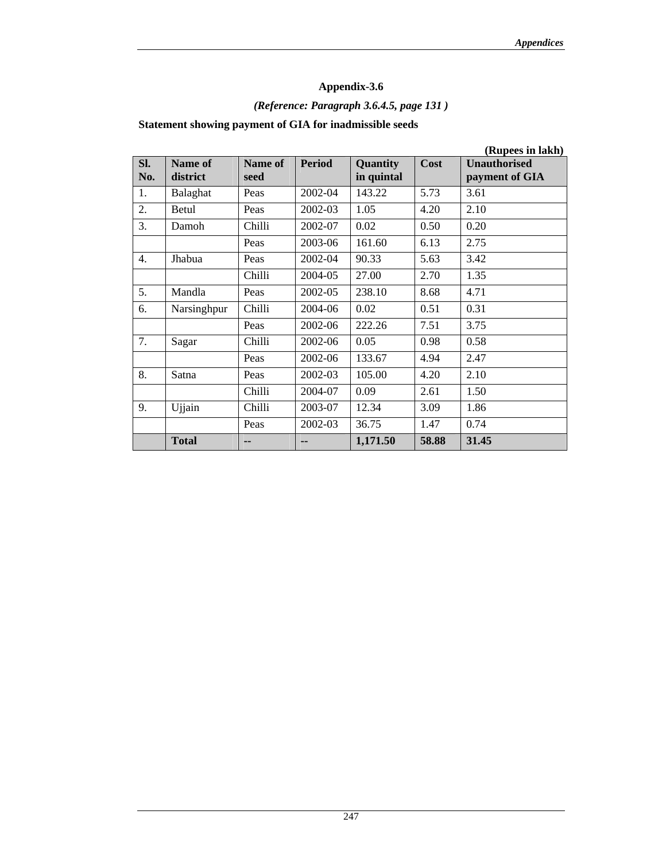# **Appendix-3.6**

# *(Reference: Paragraph 3.6.4.5, page 131 )*

## **Statement showing payment of GIA for inadmissible seeds**

|            |                     |                 |               |                               |       | (Rupees in lakh)                      |
|------------|---------------------|-----------------|---------------|-------------------------------|-------|---------------------------------------|
| Sl.<br>No. | Name of<br>district | Name of<br>seed | <b>Period</b> | <b>Quantity</b><br>in quintal | Cost  | <b>Unauthorised</b><br>payment of GIA |
| 1.         | Balaghat            | Peas            | 2002-04       | 143.22                        | 5.73  | 3.61                                  |
| 2.         | Betul               | Peas            | 2002-03       | 1.05                          | 4.20  | 2.10                                  |
| 3.         | Damoh               | Chilli          | 2002-07       | 0.02                          | 0.50  | 0.20                                  |
|            |                     | Peas            | 2003-06       | 161.60                        | 6.13  | 2.75                                  |
| 4.         | Jhabua              | Peas            | 2002-04       | 90.33                         | 5.63  | 3.42                                  |
|            |                     | Chilli          | 2004-05       | 27.00                         | 2.70  | 1.35                                  |
| 5.         | Mandla              | Peas            | 2002-05       | 238.10                        | 8.68  | 4.71                                  |
| 6.         | Narsinghpur         | Chilli          | 2004-06       | 0.02                          | 0.51  | 0.31                                  |
|            |                     | Peas            | 2002-06       | 222.26                        | 7.51  | 3.75                                  |
| 7.         | Sagar               | Chilli          | 2002-06       | 0.05                          | 0.98  | 0.58                                  |
|            |                     | Peas            | 2002-06       | 133.67                        | 4.94  | 2.47                                  |
| 8.         | Satna               | Peas            | 2002-03       | 105.00                        | 4.20  | 2.10                                  |
|            |                     | Chilli          | 2004-07       | 0.09                          | 2.61  | 1.50                                  |
| 9.         | Ujjain              | Chilli          | 2003-07       | 12.34                         | 3.09  | 1.86                                  |
|            |                     | Peas            | 2002-03       | 36.75                         | 1.47  | 0.74                                  |
|            | <b>Total</b>        | --              |               | 1,171.50                      | 58.88 | 31.45                                 |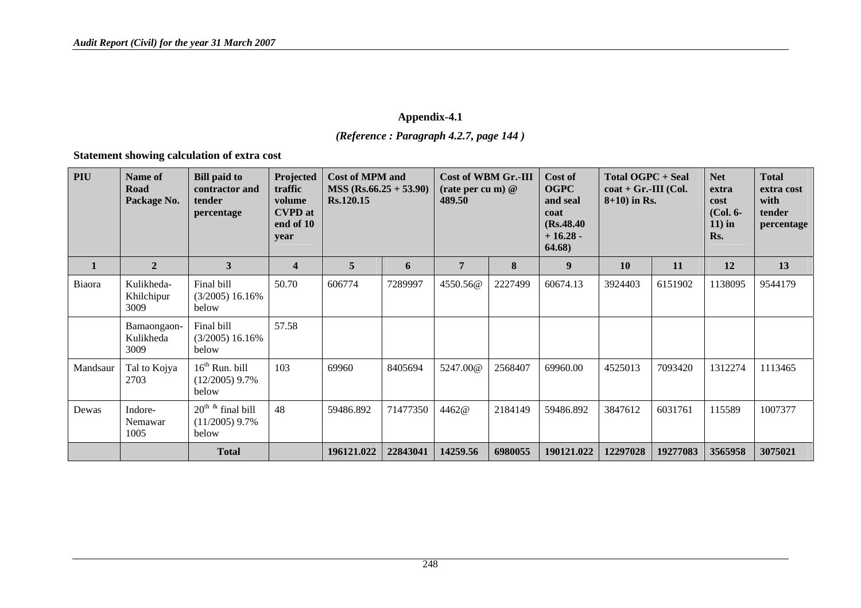*(Reference : Paragraph 4.2.7, page 144 )* 

**Statement showing calculation of extra cost** 

| <b>PIU</b>   | Name of<br>Road<br>Package No.   | <b>Bill paid to</b><br>contractor and<br>tender<br>percentage | Projected<br>traffic<br>volume<br><b>CVPD</b> at<br>end of 10<br>vear | <b>Cost of MPM and</b><br>$MSS (Rs.66.25 + 53.90)$<br>Rs.120.15 |          | Cost of WBM Gr.-III<br>(rate per cu m) $@$<br>489.50 |         | Cost of<br><b>OGPC</b><br>and seal<br>coat<br>(Rs.48.40)<br>$+16.28-$<br>64.68) | <b>Total OGPC + Seal</b><br>$\textbf{coat} + \textbf{Gr.-III}$ (Col.<br>$8+10$ ) in Rs. |          | <b>Net</b><br>extra<br>cost<br>$(Col. 6-$<br>$11$ ) in<br>Rs. | <b>Total</b><br>extra cost<br>with<br>tender<br>percentage |
|--------------|----------------------------------|---------------------------------------------------------------|-----------------------------------------------------------------------|-----------------------------------------------------------------|----------|------------------------------------------------------|---------|---------------------------------------------------------------------------------|-----------------------------------------------------------------------------------------|----------|---------------------------------------------------------------|------------------------------------------------------------|
| $\mathbf{1}$ | $\overline{2}$                   | 3                                                             | $\overline{\mathbf{4}}$                                               | 5                                                               | 6        | 7                                                    | 8       | $\boldsymbol{9}$                                                                | <b>10</b>                                                                               | 11       | 12                                                            | 13                                                         |
| Biaora       | Kulikheda-<br>Khilchipur<br>3009 | Final bill<br>$(3/2005)$ 16.16%<br>below                      | 50.70                                                                 | 606774                                                          | 7289997  | 4550.56@                                             | 2227499 | 60674.13                                                                        | 3924403                                                                                 | 6151902  | 1138095                                                       | 9544179                                                    |
|              | Bamaongaon-<br>Kulikheda<br>3009 | Final bill<br>$(3/2005)$ 16.16%<br>below                      | 57.58                                                                 |                                                                 |          |                                                      |         |                                                                                 |                                                                                         |          |                                                               |                                                            |
| Mandsaur     | Tal to Kojya<br>2703             | $16th$ Run. bill<br>$(12/2005)$ 9.7%<br>below                 | 103                                                                   | 69960                                                           | 8405694  | 5247.00@                                             | 2568407 | 69960.00                                                                        | 4525013                                                                                 | 7093420  | 1312274                                                       | 1113465                                                    |
| Dewas        | Indore-<br>Nemawar<br>1005       | $20^{th}$ & final bill<br>$(11/2005)$ 9.7%<br>below           | 48                                                                    | 59486.892                                                       | 71477350 | 4462@                                                | 2184149 | 59486.892                                                                       | 3847612                                                                                 | 6031761  | 115589                                                        | 1007377                                                    |
|              |                                  | <b>Total</b>                                                  |                                                                       | 196121.022                                                      | 22843041 | 14259.56                                             | 6980055 | 190121.022                                                                      | 12297028                                                                                | 19277083 | 3565958                                                       | 3075021                                                    |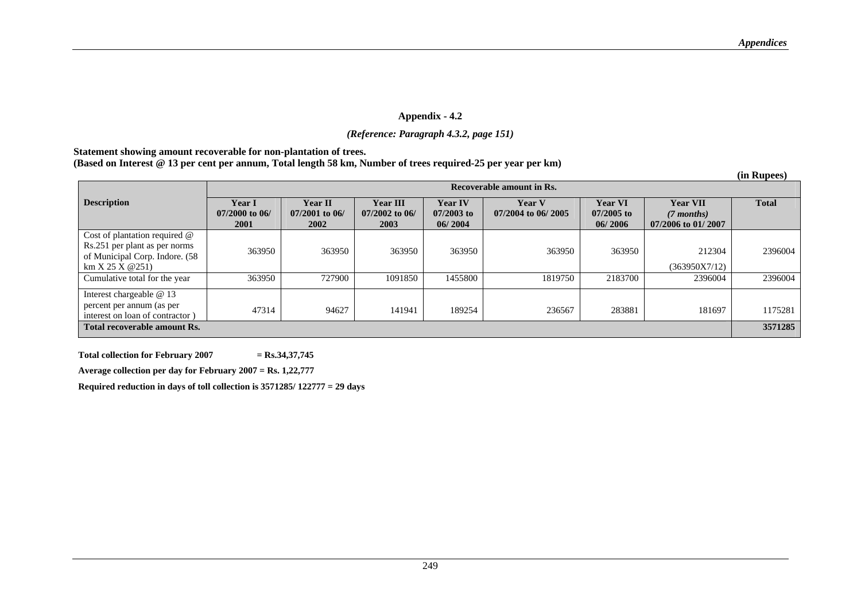### *(Reference: Paragraph 4.3.2, page 151)*

### **Statement showing amount recoverable for non-plantation of trees.**

## **(Based on Interest @ 13 per cent per annum, Total length 58 km, Number of trees required-25 per year per km)**

|                                                                                                                     |                                                  |                                            |                                      |                                           |                                     |                                           |                                                       | (in Rupees)  |  |  |
|---------------------------------------------------------------------------------------------------------------------|--------------------------------------------------|--------------------------------------------|--------------------------------------|-------------------------------------------|-------------------------------------|-------------------------------------------|-------------------------------------------------------|--------------|--|--|
|                                                                                                                     | Recoverable amount in Rs.                        |                                            |                                      |                                           |                                     |                                           |                                                       |              |  |  |
| <b>Description</b>                                                                                                  | <b>Year I</b><br>$07/2000$ to 06/<br><b>2001</b> | <b>Year II</b><br>$07/2001$ to 06/<br>2002 | Year III<br>$07/2002$ to 06/<br>2003 | <b>Year IV</b><br>$07/2003$ to<br>06/2004 | <b>Year V</b><br>07/2004 to 06/2005 | <b>Year VI</b><br>$07/2005$ to<br>06/2006 | <b>Year VII</b><br>$(7$ months)<br>07/2006 to 01/2007 | <b>Total</b> |  |  |
| Cost of plantation required @<br>Rs.251 per plant as per norms<br>of Municipal Corp. Indore. (58<br>km X 25 X @ 251 | 363950                                           | 363950                                     | 363950                               | 363950                                    | 363950                              | 363950                                    | 212304<br>(363950X7/12)                               | 2396004      |  |  |
| Cumulative total for the year                                                                                       | 363950                                           | 727900                                     | 1091850                              | 1455800                                   | 1819750                             | 2183700                                   | 2396004                                               | 2396004      |  |  |
| Interest chargeable @ 13<br>percent per annum (as per<br>interest on loan of contractor)                            | 47314                                            | 94627                                      | 141941                               | 189254                                    | 236567                              | 283881                                    | 181697                                                | 1175281      |  |  |
| Total recoverable amount Rs.                                                                                        |                                                  |                                            |                                      |                                           |                                     |                                           |                                                       | 3571285      |  |  |

 **Total collection for February 2007 = Rs.34,37,745** 

 **Average collection per day for February 2007 = Rs. 1,22,777**

 **Required reduction in days of toll collection is 3571285/ 122777 = 29 days**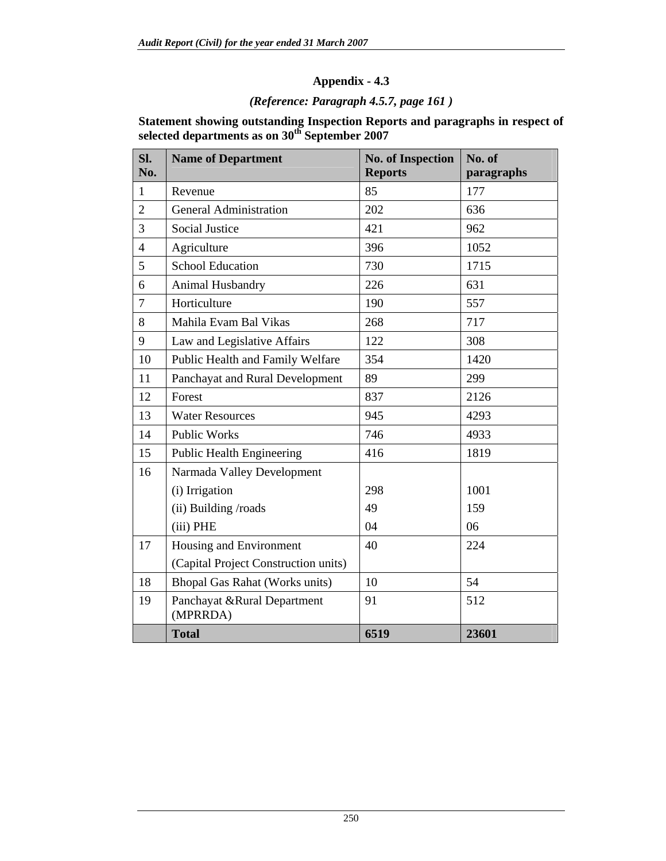# *(Reference: Paragraph 4.5.7, page 161 )*

| Statement showing outstanding Inspection Reports and paragraphs in respect of |
|-------------------------------------------------------------------------------|
| selected departments as on 30 <sup>th</sup> September 2007                    |

| Sl.<br>No.     | <b>Name of Department</b>                | <b>No. of Inspection</b><br><b>Reports</b> | No. of<br>paragraphs |
|----------------|------------------------------------------|--------------------------------------------|----------------------|
| $\mathbf{1}$   | Revenue                                  | 85                                         | 177                  |
| $\overline{2}$ | <b>General Administration</b>            | 202                                        | 636                  |
| 3              | <b>Social Justice</b>                    | 421                                        | 962                  |
| $\overline{4}$ | Agriculture                              | 396                                        | 1052                 |
| 5              | <b>School Education</b>                  | 730                                        | 1715                 |
| 6              | Animal Husbandry                         | 226                                        | 631                  |
| $\overline{7}$ | Horticulture                             | 190                                        | 557                  |
| 8              | Mahila Evam Bal Vikas                    | 268                                        | 717                  |
| 9              | Law and Legislative Affairs              | 122                                        | 308                  |
| 10             | Public Health and Family Welfare         | 354                                        | 1420                 |
| 11             | Panchayat and Rural Development          | 89                                         | 299                  |
| 12             | Forest                                   | 837                                        | 2126                 |
| 13             | <b>Water Resources</b>                   | 945                                        | 4293                 |
| 14             | <b>Public Works</b>                      | 746                                        | 4933                 |
| 15             | <b>Public Health Engineering</b>         | 416                                        | 1819                 |
| 16             | Narmada Valley Development               |                                            |                      |
|                | (i) Irrigation                           | 298                                        | 1001                 |
|                | (ii) Building /roads                     | 49                                         | 159                  |
|                | (iii) PHE                                | 04                                         | 06                   |
| 17             | Housing and Environment                  | 40                                         | 224                  |
|                | (Capital Project Construction units)     |                                            |                      |
| 18             | <b>Bhopal Gas Rahat (Works units)</b>    | 10                                         | 54                   |
| 19             | Panchayat & Rural Department<br>(MPRRDA) | 91                                         | 512                  |
|                | <b>Total</b>                             | 6519                                       | 23601                |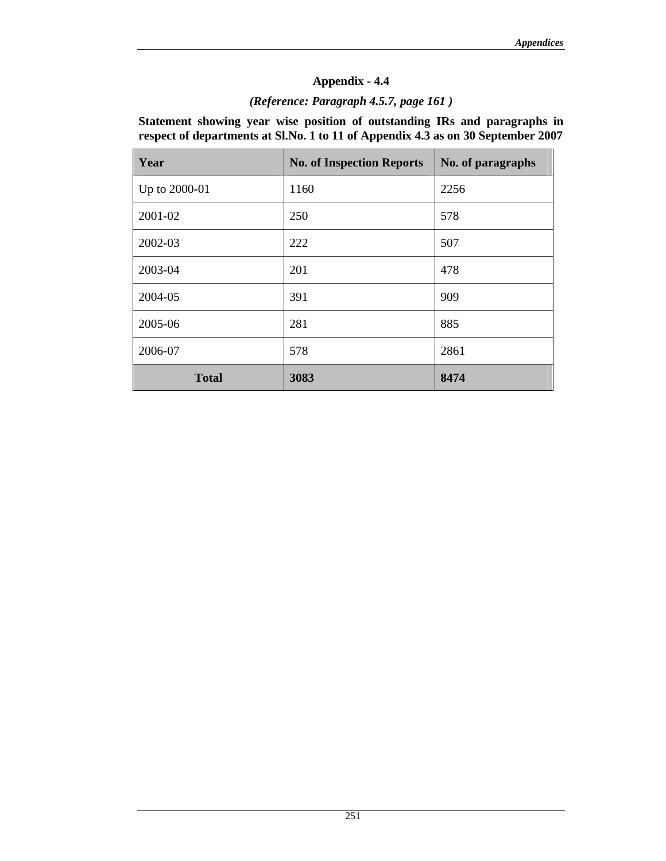## *(Reference: Paragraph 4.5.7, page 161 )*

**Statement showing year wise position of outstanding IRs and paragraphs in respect of departments at Sl.No. 1 to 11 of Appendix 4.3 as on 30 September 2007** 

| Year          | <b>No. of Inspection Reports</b> | No. of paragraphs |  |
|---------------|----------------------------------|-------------------|--|
| Up to 2000-01 | 1160                             | 2256              |  |
| 2001-02       | 250                              | 578               |  |
| 2002-03       | 222                              | 507               |  |
| 2003-04       | 201                              | 478               |  |
| 2004-05       | 391                              | 909               |  |
| 2005-06       | 281                              | 885               |  |
| 2006-07       | 578                              | 2861              |  |
| <b>Total</b>  | 3083                             | 8474              |  |